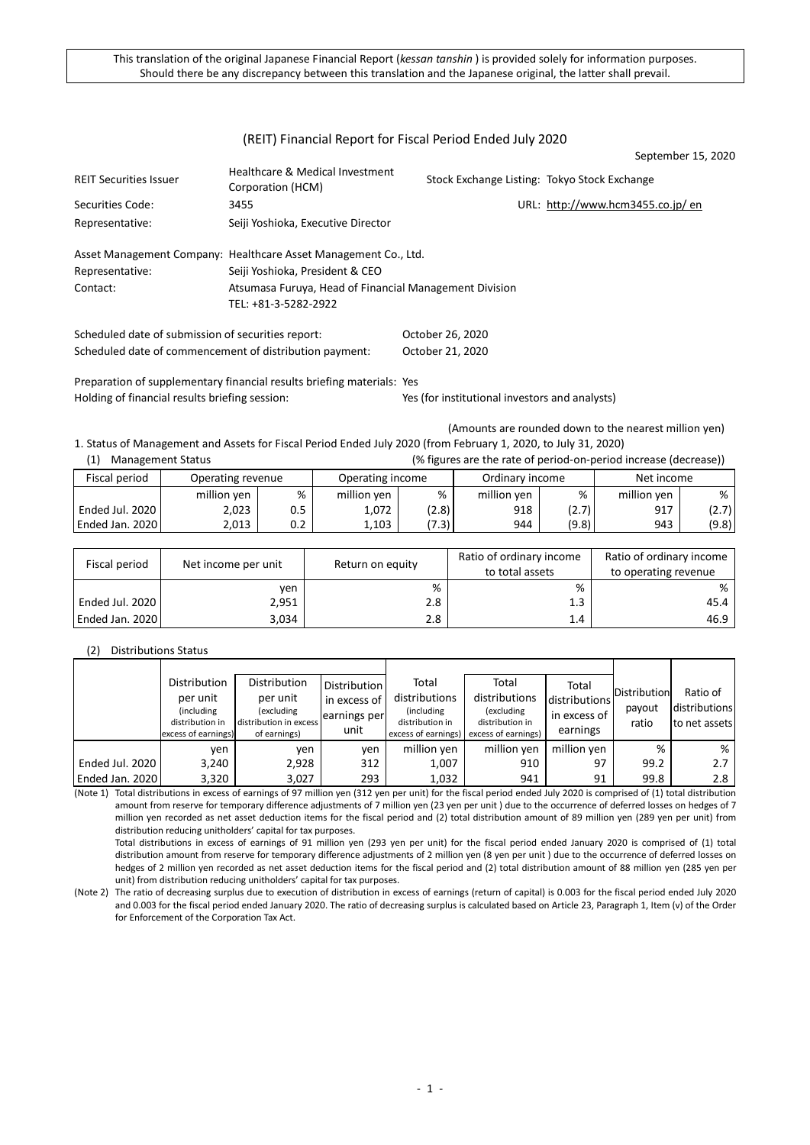## (REIT) Financial Report for Fiscal Period Ended July 2020

|                               |                                                                 |                                              | September 15, 2020               |
|-------------------------------|-----------------------------------------------------------------|----------------------------------------------|----------------------------------|
| <b>REIT Securities Issuer</b> | Healthcare & Medical Investment<br>Corporation (HCM)            | Stock Exchange Listing: Tokyo Stock Exchange |                                  |
| Securities Code:              | 3455                                                            |                                              | URL: http://www.hcm3455.co.jp/en |
| Representative:               | Seiji Yoshioka, Executive Director                              |                                              |                                  |
|                               | Asset Management Company: Healthcare Asset Management Co., Ltd. |                                              |                                  |
| Representative:               | Seiji Yoshioka, President & CEO                                 |                                              |                                  |
| Contact:                      | Atsumasa Furuya, Head of Financial Management Division          |                                              |                                  |
|                               | TEL: +81-3-5282-2922                                            |                                              |                                  |
|                               |                                                                 |                                              |                                  |

Scheduled date of submission of securities report: October 26, 2020 Scheduled date of commencement of distribution payment: October 21, 2020

Preparation of supplementary financial results briefing materials: Yes Holding of financial results briefing session: Yes (for institutional investors and analysts)

(Amounts are rounded down to the nearest million yen)

1. Status of Management and Assets for Fiscal Period Ended July 2020 (from February 1, 2020, to July 31, 2020) (1) Management Status (% figures are the rate of period-on-period increase (decrease))

| .                 |                   |     |                  |       |                 | ויס וואמוכט מוכ נווכ ומנכ טו אכווטמ טוו אכווטמ וווטוכמטכ ומכטוכמטכון |             |       |
|-------------------|-------------------|-----|------------------|-------|-----------------|----------------------------------------------------------------------|-------------|-------|
| Fiscal period     | Operating revenue |     | Operating income |       | Ordinary income |                                                                      | Net income  |       |
|                   | million yen       | %   | million ven      | %     | million ven     | %                                                                    | million ven | %     |
| Ended Jul. 2020 l | 2,023             | 0.5 | 1,072            | (2.8) | 918             | (2.7)                                                                | 917         | (2.7) |
| Ended Jan. 2020   | 2.013             | 0.2 | 1.103            | (7.3) | 944             | (9.8)                                                                | 943         | (9.8) |

| Fiscal period   | Net income per unit | Return on equity | Ratio of ordinary income<br>to total assets | Ratio of ordinary income<br>to operating revenue |
|-----------------|---------------------|------------------|---------------------------------------------|--------------------------------------------------|
|                 | ven                 | %                | %                                           | %                                                |
| Ended Jul. 2020 | 2,951               | 2.8              | 1.3                                         | 45.4                                             |
| Ended Jan. 2020 | 3,034               | 2.8              | 1.4                                         | 46.9                                             |

#### (2) Distributions Status

|                 | Distribution                           | Distribution                           | <b>Distribution</b> | Total                                  | Total                                  | Total         |              |               |
|-----------------|----------------------------------------|----------------------------------------|---------------------|----------------------------------------|----------------------------------------|---------------|--------------|---------------|
|                 | per unit                               | per unit                               | in excess of        | distributions                          | distributions                          | distributions | Distribution | Ratio of      |
|                 | (including                             | (excluding                             | learnings per       | (including)                            | (excluding                             | in excess of  | payout       | distributions |
|                 | distribution in<br>excess of earnings) | distribution in excess<br>of earnings) | unit                | distribution in<br>excess of earnings) | distribution in<br>excess of earnings) | earnings      | ratio        | to net assets |
|                 | ven                                    | ven                                    | ven                 | million yen                            | million yen                            | million ven   | %            | %             |
| Ended Jul. 2020 | 3,240                                  | 2,928                                  | 312                 | 1,007                                  | 910                                    | 97            | 99.2         | 2.7           |
| Ended Jan. 2020 | 3,320                                  | 3,027                                  | 293                 | 1,032                                  | 941                                    | 91            | 99.8         | 2.8           |

(Note 1) Total distributions in excess of earnings of 97 million yen (312 yen per unit) for the fiscal period ended July 2020 is comprised of (1) total distribution amount from reserve for temporary difference adjustments of 7 million yen (23 yen per unit ) due to the occurrence of deferred losses on hedges of 7 million yen recorded as net asset deduction items for the fiscal period and (2) total distribution amount of 89 million yen (289 yen per unit) from distribution reducing unitholders' capital for tax purposes.

Total distributions in excess of earnings of 91 million yen (293 yen per unit) for the fiscal period ended January 2020 is comprised of (1) total distribution amount from reserve for temporary difference adjustments of 2 million yen (8 yen per unit ) due to the occurrence of deferred losses on hedges of 2 million yen recorded as net asset deduction items for the fiscal period and (2) total distribution amount of 88 million yen (285 yen per unit) from distribution reducing unitholders' capital for tax purposes.

(Note 2) The ratio of decreasing surplus due to execution of distribution in excess of earnings (return of capital) is 0.003 for the fiscal period ended July 2020 and 0.003 for the fiscal period ended January 2020. The ratio of decreasing surplus is calculated based on Article 23, Paragraph 1, Item (v) of the Order for Enforcement of the Corporation Tax Act.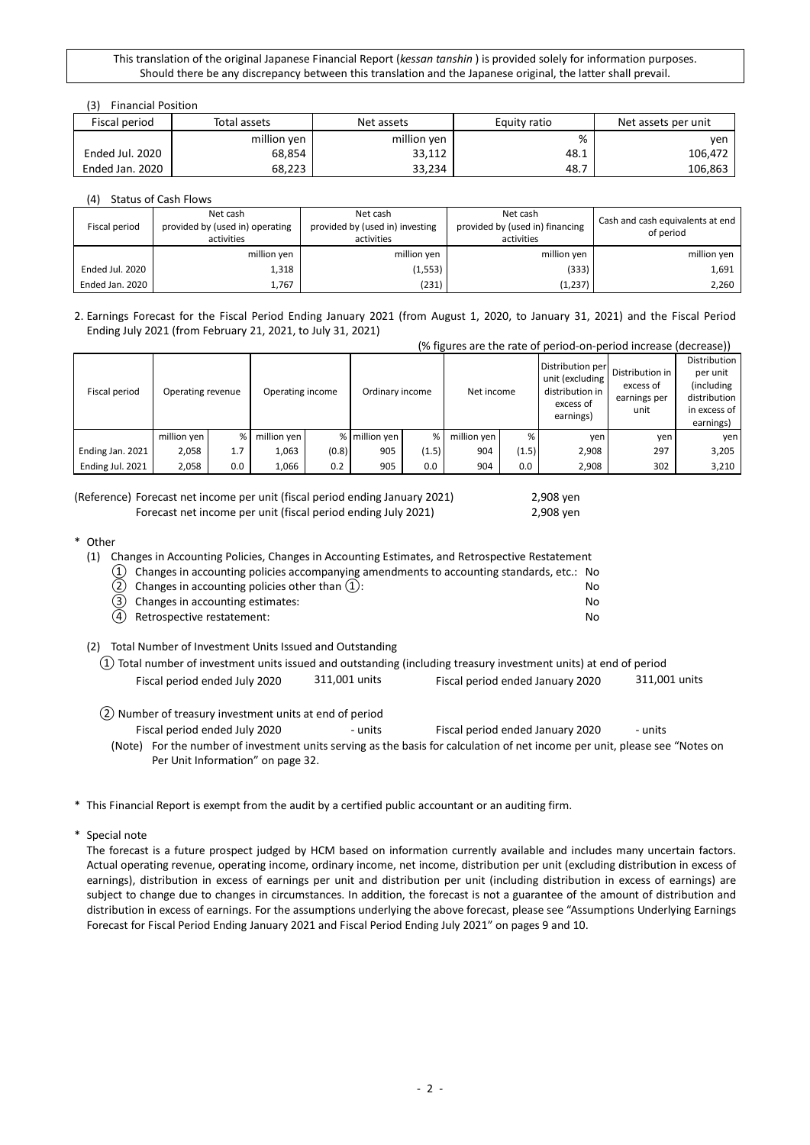## (3) Financial Position

| Fiscal period   | Total assets | Net assets  | Equity ratio | Net assets per unit |
|-----------------|--------------|-------------|--------------|---------------------|
|                 | million yen  | million yen | %            | ven                 |
| Ended Jul. 2020 | 68,854       | 33,112      | 48.⊥         | 106,472             |
| Ended Jan. 2020 | 68,223       | 33,234      | 48.7         | 106,863             |

(4) Status of Cash Flows

| Fiscal period   | Net cash<br>provided by (used in) operating<br>activities | Net cash<br>provided by (used in) investing<br>activities | Net cash<br>provided by (used in) financing<br>activities | Cash and cash equivalents at end<br>of period |
|-----------------|-----------------------------------------------------------|-----------------------------------------------------------|-----------------------------------------------------------|-----------------------------------------------|
|                 | million yen                                               | million yen                                               | million yen                                               | million yen                                   |
| Ended Jul. 2020 | 1,318                                                     | (1,553)                                                   | (333)                                                     | 1,691                                         |
| Ended Jan. 2020 | 1,767                                                     | (231)                                                     | (1, 237)                                                  | 2,260                                         |

#### 2. Earnings Forecast for the Fiscal Period Ending January 2021 (from August 1, 2020, to January 31, 2021) and the Fiscal Period Ending July 2021 (from February 21, 2021, to July 31, 2021)

|                  |                   |     |             |                                     |               |       |             | (% figures are the rate of period-on-period increase (decrease)) |                                                                                  |                                                      |                                                                                      |
|------------------|-------------------|-----|-------------|-------------------------------------|---------------|-------|-------------|------------------------------------------------------------------|----------------------------------------------------------------------------------|------------------------------------------------------|--------------------------------------------------------------------------------------|
| Fiscal period    | Operating revenue |     |             | Operating income<br>Ordinary income |               |       | Net income  |                                                                  | Distribution per<br>unit (excluding<br>distribution in<br>excess of<br>earnings) | Distribution in<br>excess of<br>earnings per<br>unit | Distribution<br>per unit<br>(including)<br>distribution<br>in excess of<br>earnings) |
|                  | million yen       | %   | million yen |                                     | % million yen | %     | million yen | %                                                                | ven                                                                              | yen                                                  | ven                                                                                  |
| Ending Jan. 2021 | 2,058             | 1.7 | 1,063       | (0.8)                               | 905           | (1.5) | 904         | (1.5)                                                            | 2,908                                                                            | 297                                                  | 3,205                                                                                |
| Ending Jul. 2021 | 2,058             | 0.0 | 1,066       | 0.2                                 | 905           | 0.0   | 904         | 0.0                                                              | 2,908                                                                            | 302                                                  | 3,210                                                                                |

(Reference) Forecast net income per unit (fiscal period ending January 2021) 2,908 yen Forecast net income per unit (fiscal period ending July 2021) 2,908 yen

\* Other

| (1) |     | Changes in Accounting Policies, Changes in Accounting Estimates, and Retrospective Restatement |    |
|-----|-----|------------------------------------------------------------------------------------------------|----|
|     |     | $(1)$ Changes in accounting policies accompanying amendments to accounting standards, etc.: No |    |
|     |     | (2) Changes in accounting policies other than $(1)$ :                                          | N٥ |
|     | (3) | Changes in accounting estimates:                                                               | N٥ |
|     |     | (4) Retrospective restatement:                                                                 | N٥ |
|     |     |                                                                                                |    |

(2) Total Number of Investment Units Issued and Outstanding

|                               |               | $(1)$ Total number of investment units issued and outstanding (including treasury investment units) at end of period |               |
|-------------------------------|---------------|----------------------------------------------------------------------------------------------------------------------|---------------|
| Fiscal period ended July 2020 | 311,001 units | Fiscal period ended January 2020                                                                                     | 311,001 units |

- ② Number of treasury investment units at end of period Fiscal period ended July 2020 - units Fiscal period ended January 2020 - units
	- (Note) For the number of investment units serving as the basis for calculation of net income per unit, please see "Notes on Per Unit Information" on page 32.
- \* This Financial Report is exempt from the audit by a certified public accountant or an auditing firm.

\* Special note

The forecast is a future prospect judged by HCM based on information currently available and includes many uncertain factors. Actual operating revenue, operating income, ordinary income, net income, distribution per unit (excluding distribution in excess of earnings), distribution in excess of earnings per unit and distribution per unit (including distribution in excess of earnings) are subject to change due to changes in circumstances. In addition, the forecast is not a guarantee of the amount of distribution and distribution in excess of earnings. For the assumptions underlying the above forecast, please see "Assumptions Underlying Earnings Forecast for Fiscal Period Ending January 2021 and Fiscal Period Ending July 2021" on pages 9 and 10.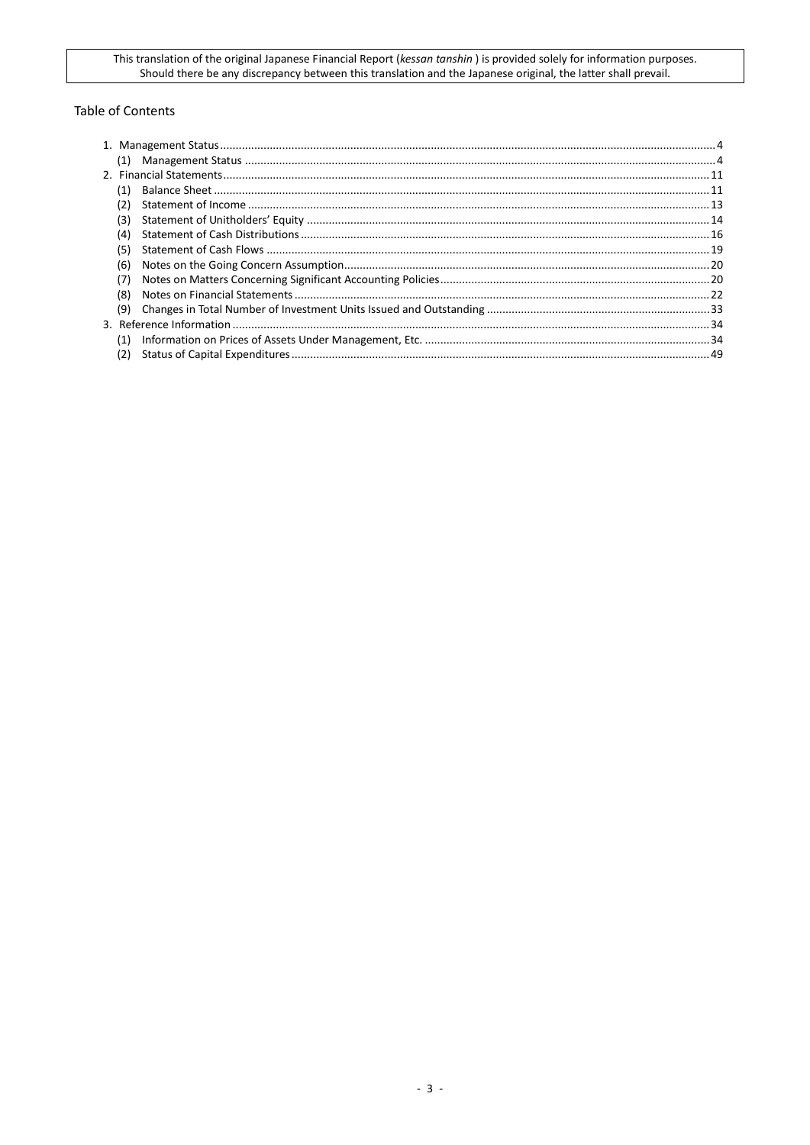## **Table of Contents**

| (1) |  |
|-----|--|
|     |  |
| (1) |  |
|     |  |
| (3) |  |
| (4) |  |
| (5) |  |
| (6) |  |
| (7) |  |
| (8) |  |
| (9) |  |
|     |  |
| (1) |  |
| (2) |  |
|     |  |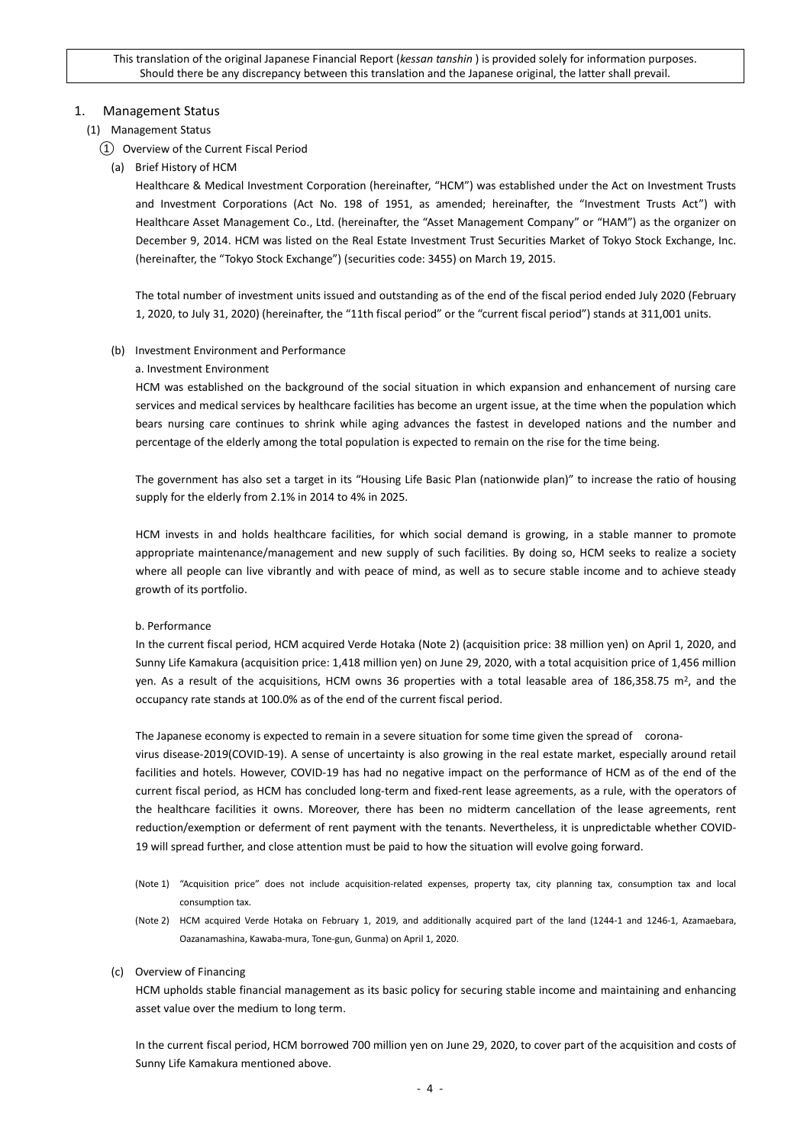## <span id="page-3-0"></span>1. Management Status

## <span id="page-3-1"></span>(1) Management Status

## ① Overview of the Current Fiscal Period

(a) Brief History of HCM

Healthcare & Medical Investment Corporation (hereinafter, "HCM") was established under the Act on Investment Trusts and Investment Corporations (Act No. 198 of 1951, as amended; hereinafter, the "Investment Trusts Act") with Healthcare Asset Management Co., Ltd. (hereinafter, the "Asset Management Company" or "HAM") as the organizer on December 9, 2014. HCM was listed on the Real Estate Investment Trust Securities Market of Tokyo Stock Exchange, Inc. (hereinafter, the "Tokyo Stock Exchange") (securities code: 3455) on March 19, 2015.

The total number of investment units issued and outstanding as of the end of the fiscal period ended July 2020 (February 1, 2020, to July 31, 2020) (hereinafter, the "11th fiscal period" or the "current fiscal period") stands at 311,001 units.

## (b) Investment Environment and Performance

### a. Investment Environment

HCM was established on the background of the social situation in which expansion and enhancement of nursing care services and medical services by healthcare facilities has become an urgent issue, at the time when the population which bears nursing care continues to shrink while aging advances the fastest in developed nations and the number and percentage of the elderly among the total population is expected to remain on the rise for the time being.

The government has also set a target in its "Housing Life Basic Plan (nationwide plan)" to increase the ratio of housing supply for the elderly from 2.1% in 2014 to 4% in 2025.

HCM invests in and holds healthcare facilities, for which social demand is growing, in a stable manner to promote appropriate maintenance/management and new supply of such facilities. By doing so, HCM seeks to realize a society where all people can live vibrantly and with peace of mind, as well as to secure stable income and to achieve steady growth of its portfolio.

## b. Performance

In the current fiscal period, HCM acquired Verde Hotaka (Note 2) (acquisition price: 38 million yen) on April 1, 2020, and Sunny Life Kamakura (acquisition price: 1,418 million yen) on June 29, 2020, with a total acquisition price of 1,456 million yen. As a result of the acquisitions, HCM owns 36 properties with a total leasable area of  $186,358.75$  m<sup>2</sup>, and the occupancy rate stands at 100.0% as of the end of the current fiscal period.

The Japanese economy is expected to remain in a severe situation for some time given the spread of corona-

virus disease-2019(COVID-19). A sense of uncertainty is also growing in the real estate market, especially around retail facilities and hotels. However, COVID-19 has had no negative impact on the performance of HCM as of the end of the current fiscal period, as HCM has concluded long-term and fixed-rent lease agreements, as a rule, with the operators of the healthcare facilities it owns. Moreover, there has been no midterm cancellation of the lease agreements, rent reduction/exemption or deferment of rent payment with the tenants. Nevertheless, it is unpredictable whether COVID-19 will spread further, and close attention must be paid to how the situation will evolve going forward.

- (Note 1) "Acquisition price" does not include acquisition-related expenses, property tax, city planning tax, consumption tax and local consumption tax.
- (Note 2) HCM acquired Verde Hotaka on February 1, 2019, and additionally acquired part of the land (1244-1 and 1246-1, Azamaebara, Oazanamashina, Kawaba-mura, Tone-gun, Gunma) on April 1, 2020.

#### (c) Overview of Financing

HCM upholds stable financial management as its basic policy for securing stable income and maintaining and enhancing asset value over the medium to long term.

In the current fiscal period, HCM borrowed 700 million yen on June 29, 2020, to cover part of the acquisition and costs of Sunny Life Kamakura mentioned above.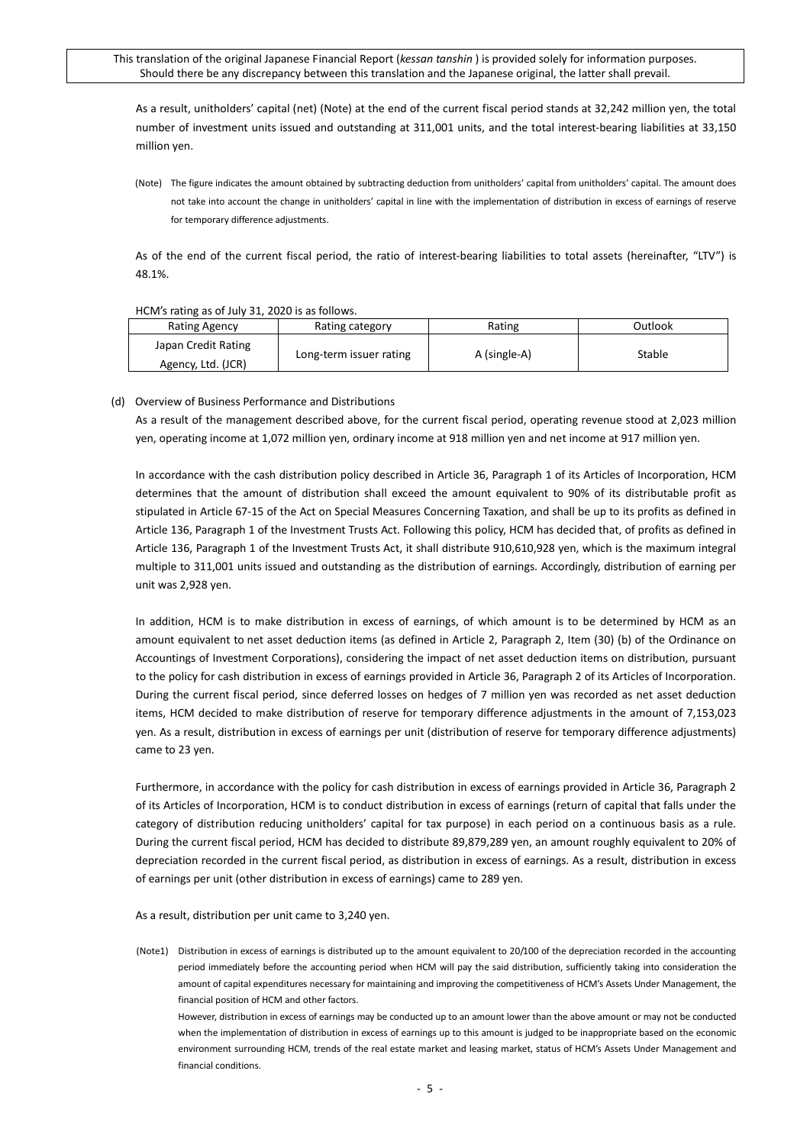As a result, unitholders' capital (net) (Note) at the end of the current fiscal period stands at 32,242 million yen, the total number of investment units issued and outstanding at 311,001 units, and the total interest-bearing liabilities at 33,150 million yen.

(Note) The figure indicates the amount obtained by subtracting deduction from unitholders' capital from unitholders' capital. The amount does not take into account the change in unitholders' capital in line with the implementation of distribution in excess of earnings of reserve for temporary difference adjustments.

As of the end of the current fiscal period, the ratio of interest-bearing liabilities to total assets (hereinafter, "LTV") is 48.1%.

### HCM's rating as of July 31, 2020 is as follows.

| <b>Rating Agency</b> | Rating category         | Rating       | Outlook |  |
|----------------------|-------------------------|--------------|---------|--|
| Japan Credit Rating  | Long-term issuer rating |              | Stable  |  |
| Agency, Ltd. (JCR)   |                         | A (single-A) |         |  |

## (d) Overview of Business Performance and Distributions

As a result of the management described above, for the current fiscal period, operating revenue stood at 2,023 million yen, operating income at 1,072 million yen, ordinary income at 918 million yen and net income at 917 million yen.

In accordance with the cash distribution policy described in Article 36, Paragraph 1 of its Articles of Incorporation, HCM determines that the amount of distribution shall exceed the amount equivalent to 90% of its distributable profit as stipulated in Article 67-15 of the Act on Special Measures Concerning Taxation, and shall be up to its profits as defined in Article 136, Paragraph 1 of the Investment Trusts Act. Following this policy, HCM has decided that, of profits as defined in Article 136, Paragraph 1 of the Investment Trusts Act, it shall distribute 910,610,928 yen, which is the maximum integral multiple to 311,001 units issued and outstanding as the distribution of earnings. Accordingly, distribution of earning per unit was 2,928 yen.

In addition, HCM is to make distribution in excess of earnings, of which amount is to be determined by HCM as an amount equivalent to net asset deduction items (as defined in Article 2, Paragraph 2, Item (30) (b) of the Ordinance on Accountings of Investment Corporations), considering the impact of net asset deduction items on distribution, pursuant to the policy for cash distribution in excess of earnings provided in Article 36, Paragraph 2 of its Articles of Incorporation. During the current fiscal period, since deferred losses on hedges of 7 million yen was recorded as net asset deduction items, HCM decided to make distribution of reserve for temporary difference adjustments in the amount of 7,153,023 yen. As a result, distribution in excess of earnings per unit (distribution of reserve for temporary difference adjustments) came to 23 yen.

Furthermore, in accordance with the policy for cash distribution in excess of earnings provided in Article 36, Paragraph 2 of its Articles of Incorporation, HCM is to conduct distribution in excess of earnings (return of capital that falls under the category of distribution reducing unitholders' capital for tax purpose) in each period on a continuous basis as a rule. During the current fiscal period, HCM has decided to distribute 89,879,289 yen, an amount roughly equivalent to 20% of depreciation recorded in the current fiscal period, as distribution in excess of earnings. As a result, distribution in excess of earnings per unit (other distribution in excess of earnings) came to 289 yen.

As a result, distribution per unit came to 3,240 yen.

(Note1) Distribution in excess of earnings is distributed up to the amount equivalent to 20/100 of the depreciation recorded in the accounting period immediately before the accounting period when HCM will pay the said distribution, sufficiently taking into consideration the amount of capital expenditures necessary for maintaining and improving the competitiveness of HCM's Assets Under Management, the financial position of HCM and other factors.

However, distribution in excess of earnings may be conducted up to an amount lower than the above amount or may not be conducted when the implementation of distribution in excess of earnings up to this amount is judged to be inappropriate based on the economic environment surrounding HCM, trends of the real estate market and leasing market, status of HCM's Assets Under Management and financial conditions.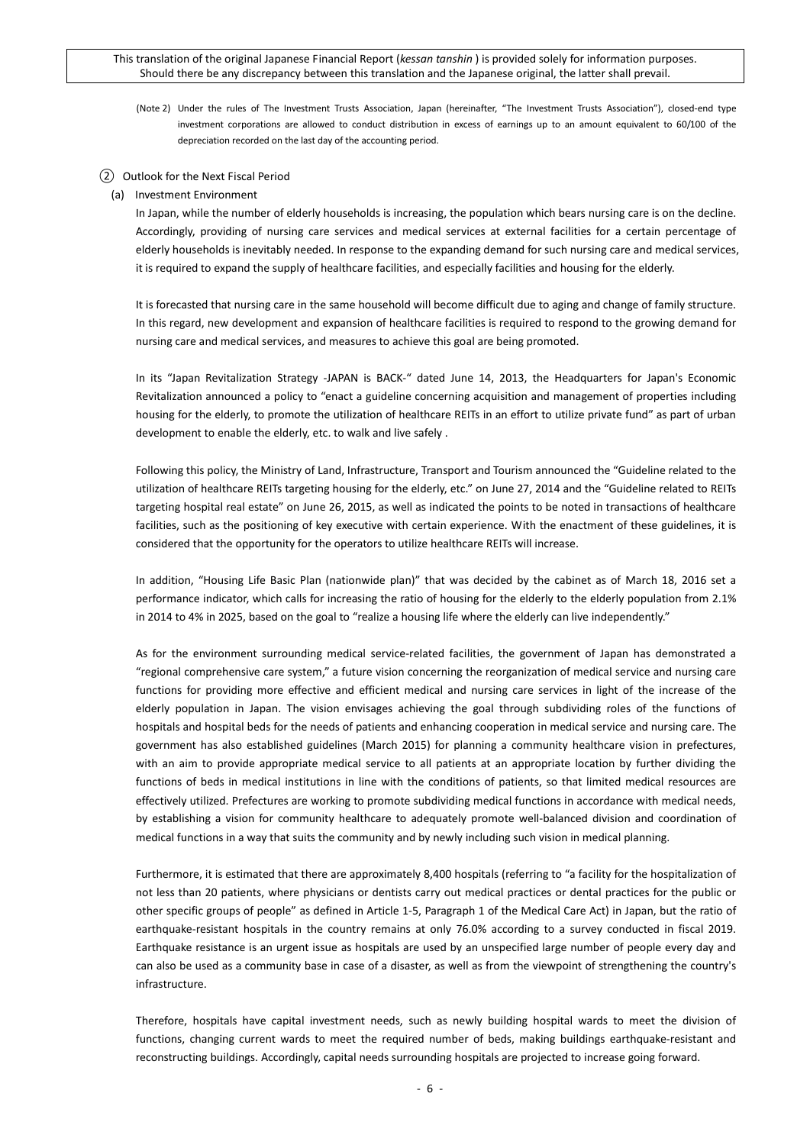(Note 2) Under the rules of The Investment Trusts Association, Japan (hereinafter, "The Investment Trusts Association"), closed-end type investment corporations are allowed to conduct distribution in excess of earnings up to an amount equivalent to 60/100 of the depreciation recorded on the last day of the accounting period.

### ② Outlook for the Next Fiscal Period

## (a) Investment Environment

In Japan, while the number of elderly households is increasing, the population which bears nursing care is on the decline. Accordingly, providing of nursing care services and medical services at external facilities for a certain percentage of elderly households is inevitably needed. In response to the expanding demand for such nursing care and medical services, it is required to expand the supply of healthcare facilities, and especially facilities and housing for the elderly.

It is forecasted that nursing care in the same household will become difficult due to aging and change of family structure. In this regard, new development and expansion of healthcare facilities is required to respond to the growing demand for nursing care and medical services, and measures to achieve this goal are being promoted.

In its "Japan Revitalization Strategy -JAPAN is BACK-" dated June 14, 2013, the Headquarters for Japan's Economic Revitalization announced a policy to "enact a guideline concerning acquisition and management of properties including housing for the elderly, to promote the utilization of healthcare REITs in an effort to utilize private fund" as part of urban development to enable the elderly, etc. to walk and live safely .

Following this policy, the Ministry of Land, Infrastructure, Transport and Tourism announced the "Guideline related to the utilization of healthcare REITs targeting housing for the elderly, etc." on June 27, 2014 and the "Guideline related to REITs targeting hospital real estate" on June 26, 2015, as well as indicated the points to be noted in transactions of healthcare facilities, such as the positioning of key executive with certain experience. With the enactment of these guidelines, it is considered that the opportunity for the operators to utilize healthcare REITs will increase.

In addition, "Housing Life Basic Plan (nationwide plan)" that was decided by the cabinet as of March 18, 2016 set a performance indicator, which calls for increasing the ratio of housing for the elderly to the elderly population from 2.1% in 2014 to 4% in 2025, based on the goal to "realize a housing life where the elderly can live independently."

As for the environment surrounding medical service-related facilities, the government of Japan has demonstrated a "regional comprehensive care system," a future vision concerning the reorganization of medical service and nursing care functions for providing more effective and efficient medical and nursing care services in light of the increase of the elderly population in Japan. The vision envisages achieving the goal through subdividing roles of the functions of hospitals and hospital beds for the needs of patients and enhancing cooperation in medical service and nursing care. The government has also established guidelines (March 2015) for planning a community healthcare vision in prefectures, with an aim to provide appropriate medical service to all patients at an appropriate location by further dividing the functions of beds in medical institutions in line with the conditions of patients, so that limited medical resources are effectively utilized. Prefectures are working to promote subdividing medical functions in accordance with medical needs, by establishing a vision for community healthcare to adequately promote well-balanced division and coordination of medical functions in a way that suits the community and by newly including such vision in medical planning.

Furthermore, it is estimated that there are approximately 8,400 hospitals (referring to "a facility for the hospitalization of not less than 20 patients, where physicians or dentists carry out medical practices or dental practices for the public or other specific groups of people" as defined in Article 1-5, Paragraph 1 of the Medical Care Act) in Japan, but the ratio of earthquake-resistant hospitals in the country remains at only 76.0% according to a survey conducted in fiscal 2019. Earthquake resistance is an urgent issue as hospitals are used by an unspecified large number of people every day and can also be used as a community base in case of a disaster, as well as from the viewpoint of strengthening the country's infrastructure.

Therefore, hospitals have capital investment needs, such as newly building hospital wards to meet the division of functions, changing current wards to meet the required number of beds, making buildings earthquake-resistant and reconstructing buildings. Accordingly, capital needs surrounding hospitals are projected to increase going forward.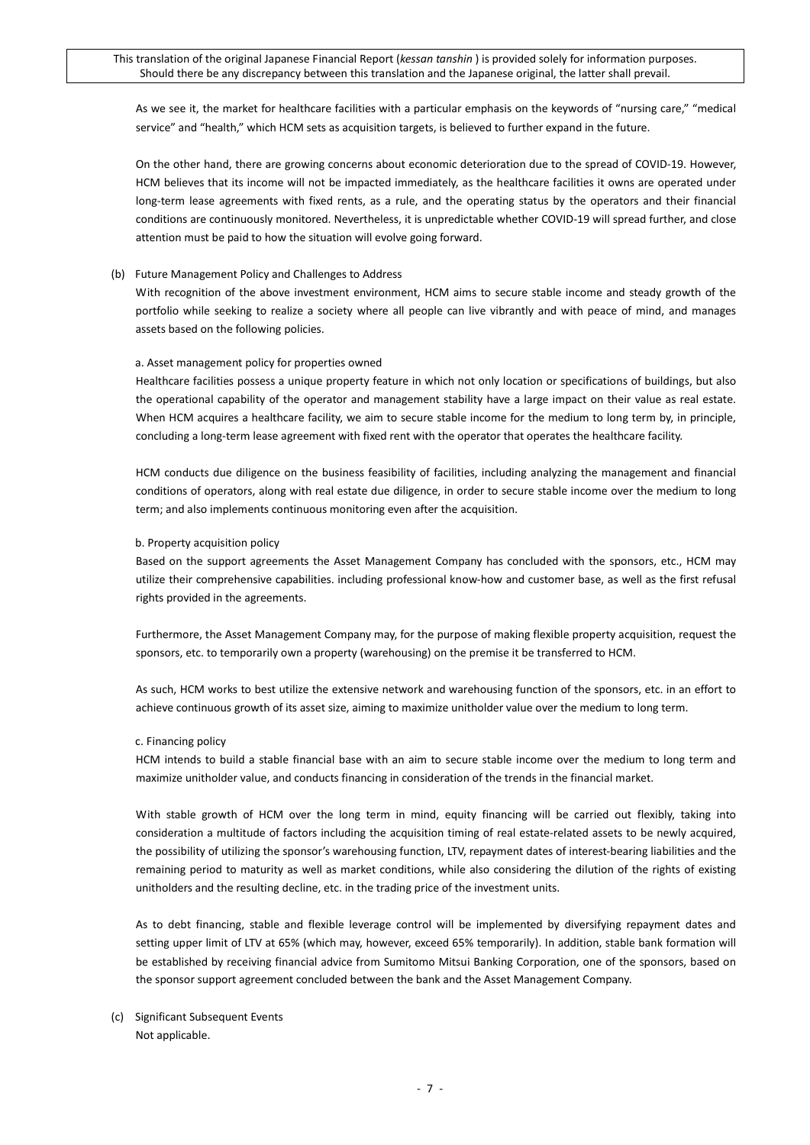As we see it, the market for healthcare facilities with a particular emphasis on the keywords of "nursing care," "medical service" and "health," which HCM sets as acquisition targets, is believed to further expand in the future.

On the other hand, there are growing concerns about economic deterioration due to the spread of COVID-19. However, HCM believes that its income will not be impacted immediately, as the healthcare facilities it owns are operated under long-term lease agreements with fixed rents, as a rule, and the operating status by the operators and their financial conditions are continuously monitored. Nevertheless, it is unpredictable whether COVID-19 will spread further, and close attention must be paid to how the situation will evolve going forward.

### (b) Future Management Policy and Challenges to Address

With recognition of the above investment environment, HCM aims to secure stable income and steady growth of the portfolio while seeking to realize a society where all people can live vibrantly and with peace of mind, and manages assets based on the following policies.

### a. Asset management policy for properties owned

Healthcare facilities possess a unique property feature in which not only location or specifications of buildings, but also the operational capability of the operator and management stability have a large impact on their value as real estate. When HCM acquires a healthcare facility, we aim to secure stable income for the medium to long term by, in principle, concluding a long-term lease agreement with fixed rent with the operator that operates the healthcare facility.

HCM conducts due diligence on the business feasibility of facilities, including analyzing the management and financial conditions of operators, along with real estate due diligence, in order to secure stable income over the medium to long term; and also implements continuous monitoring even after the acquisition.

### b. Property acquisition policy

Based on the support agreements the Asset Management Company has concluded with the sponsors, etc., HCM may utilize their comprehensive capabilities. including professional know-how and customer base, as well as the first refusal rights provided in the agreements.

Furthermore, the Asset Management Company may, for the purpose of making flexible property acquisition, request the sponsors, etc. to temporarily own a property (warehousing) on the premise it be transferred to HCM.

As such, HCM works to best utilize the extensive network and warehousing function of the sponsors, etc. in an effort to achieve continuous growth of its asset size, aiming to maximize unitholder value over the medium to long term.

#### c. Financing policy

HCM intends to build a stable financial base with an aim to secure stable income over the medium to long term and maximize unitholder value, and conducts financing in consideration of the trends in the financial market.

With stable growth of HCM over the long term in mind, equity financing will be carried out flexibly, taking into consideration a multitude of factors including the acquisition timing of real estate-related assets to be newly acquired, the possibility of utilizing the sponsor's warehousing function, LTV, repayment dates of interest-bearing liabilities and the remaining period to maturity as well as market conditions, while also considering the dilution of the rights of existing unitholders and the resulting decline, etc. in the trading price of the investment units.

As to debt financing, stable and flexible leverage control will be implemented by diversifying repayment dates and setting upper limit of LTV at 65% (which may, however, exceed 65% temporarily). In addition, stable bank formation will be established by receiving financial advice from Sumitomo Mitsui Banking Corporation, one of the sponsors, based on the sponsor support agreement concluded between the bank and the Asset Management Company.

(c) Significant Subsequent Events Not applicable.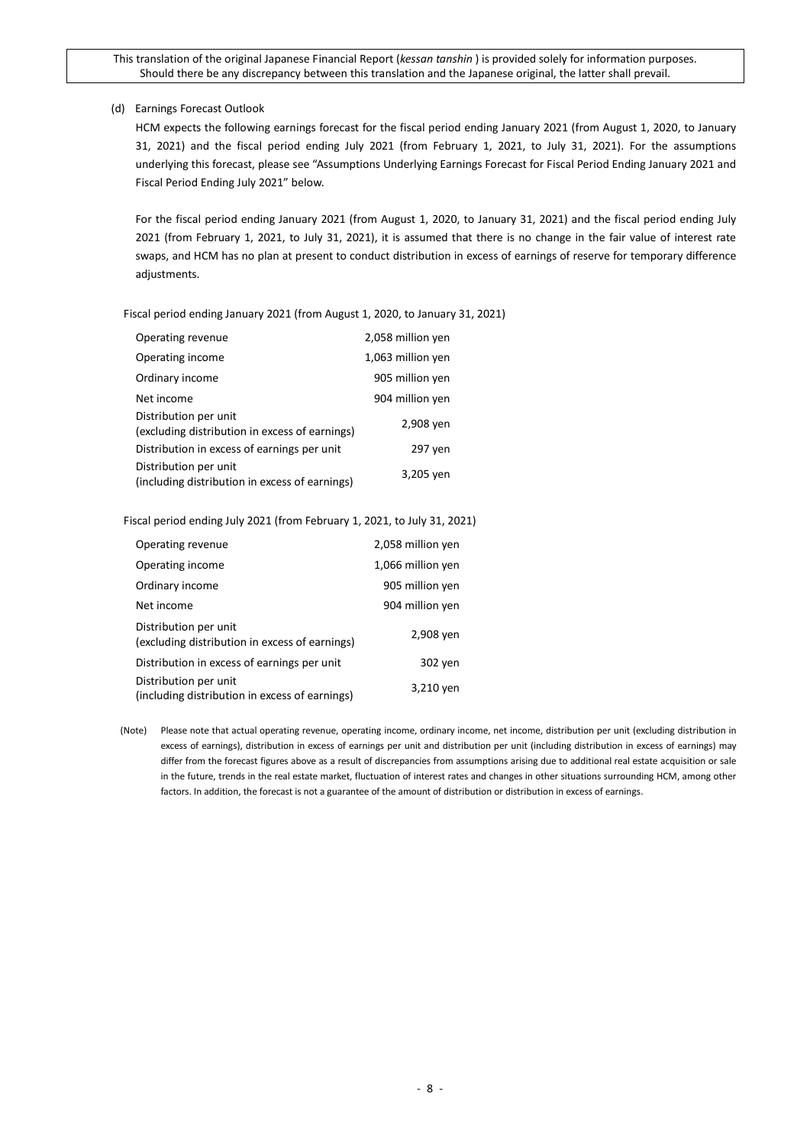## (d) Earnings Forecast Outlook

HCM expects the following earnings forecast for the fiscal period ending January 2021 (from August 1, 2020, to January 31, 2021) and the fiscal period ending July 2021 (from February 1, 2021, to July 31, 2021). For the assumptions underlying this forecast, please see "Assumptions Underlying Earnings Forecast for Fiscal Period Ending January 2021 and Fiscal Period Ending July 2021" below.

For the fiscal period ending January 2021 (from August 1, 2020, to January 31, 2021) and the fiscal period ending July 2021 (from February 1, 2021, to July 31, 2021), it is assumed that there is no change in the fair value of interest rate swaps, and HCM has no plan at present to conduct distribution in excess of earnings of reserve for temporary difference adjustments.

Fiscal period ending January 2021 (from August 1, 2020, to January 31, 2021)

| Operating revenue                                                       | 2,058 million yen |
|-------------------------------------------------------------------------|-------------------|
| Operating income                                                        | 1,063 million yen |
| Ordinary income                                                         | 905 million yen   |
| Net income                                                              | 904 million yen   |
| Distribution per unit<br>(excluding distribution in excess of earnings) | 2,908 yen         |
| Distribution in excess of earnings per unit                             | 297 yen           |
| Distribution per unit<br>(including distribution in excess of earnings) | 3,205 yen         |

Fiscal period ending July 2021 (from February 1, 2021, to July 31, 2021)

| Operating revenue                                                       | 2,058 million yen |
|-------------------------------------------------------------------------|-------------------|
| Operating income                                                        | 1,066 million yen |
| Ordinary income                                                         | 905 million yen   |
| Net income                                                              | 904 million yen   |
| Distribution per unit<br>(excluding distribution in excess of earnings) | 2,908 yen         |
| Distribution in excess of earnings per unit                             | 302 yen           |
| Distribution per unit<br>(including distribution in excess of earnings) | 3,210 yen         |

(Note) Please note that actual operating revenue, operating income, ordinary income, net income, distribution per unit (excluding distribution in excess of earnings), distribution in excess of earnings per unit and distribution per unit (including distribution in excess of earnings) may differ from the forecast figures above as a result of discrepancies from assumptions arising due to additional real estate acquisition or sale in the future, trends in the real estate market, fluctuation of interest rates and changes in other situations surrounding HCM, among other factors. In addition, the forecast is not a guarantee of the amount of distribution or distribution in excess of earnings.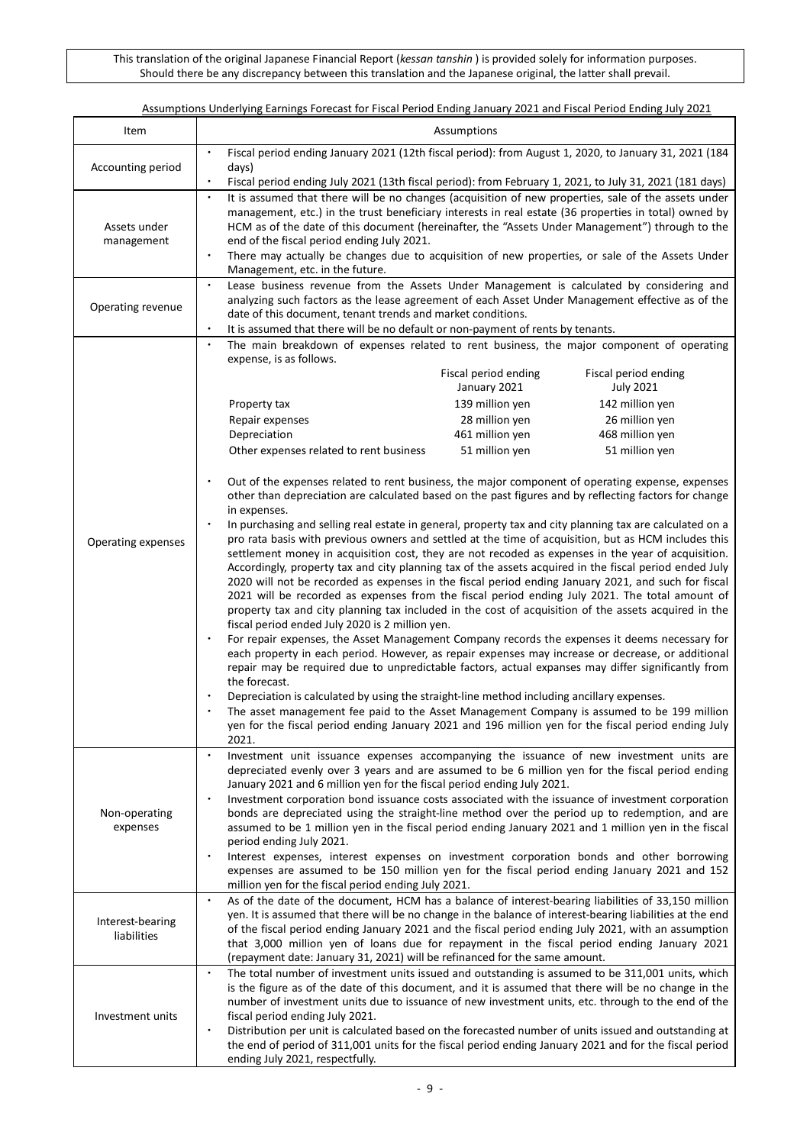| Assumptions Underlying Earnings Forecast for Fiscal Period Ending January 2021 and Fiscal Period Ending July 2021 |  |
|-------------------------------------------------------------------------------------------------------------------|--|
|                                                                                                                   |  |

| Item                            | Assumptions                                                                                                                                                                                                                                                                                                                                                                                                                                                                                                                                                                                                                                                                                                                                                                                                                                                                                                        |  |  |  |  |  |
|---------------------------------|--------------------------------------------------------------------------------------------------------------------------------------------------------------------------------------------------------------------------------------------------------------------------------------------------------------------------------------------------------------------------------------------------------------------------------------------------------------------------------------------------------------------------------------------------------------------------------------------------------------------------------------------------------------------------------------------------------------------------------------------------------------------------------------------------------------------------------------------------------------------------------------------------------------------|--|--|--|--|--|
| Accounting period               | Fiscal period ending January 2021 (12th fiscal period): from August 1, 2020, to January 31, 2021 (184<br>days)                                                                                                                                                                                                                                                                                                                                                                                                                                                                                                                                                                                                                                                                                                                                                                                                     |  |  |  |  |  |
|                                 | Fiscal period ending July 2021 (13th fiscal period): from February 1, 2021, to July 31, 2021 (181 days)                                                                                                                                                                                                                                                                                                                                                                                                                                                                                                                                                                                                                                                                                                                                                                                                            |  |  |  |  |  |
| Assets under<br>management      | It is assumed that there will be no changes (acquisition of new properties, sale of the assets under<br>$\bullet$<br>management, etc.) in the trust beneficiary interests in real estate (36 properties in total) owned by<br>HCM as of the date of this document (hereinafter, the "Assets Under Management") through to the<br>end of the fiscal period ending July 2021.<br>There may actually be changes due to acquisition of new properties, or sale of the Assets Under<br>$\bullet$                                                                                                                                                                                                                                                                                                                                                                                                                        |  |  |  |  |  |
| Operating revenue               | Management, etc. in the future.<br>Lease business revenue from the Assets Under Management is calculated by considering and<br>$\bullet$<br>analyzing such factors as the lease agreement of each Asset Under Management effective as of the<br>date of this document, tenant trends and market conditions.<br>It is assumed that there will be no default or non-payment of rents by tenants.                                                                                                                                                                                                                                                                                                                                                                                                                                                                                                                     |  |  |  |  |  |
|                                 | $\bullet$<br>The main breakdown of expenses related to rent business, the major component of operating<br>expense, is as follows.                                                                                                                                                                                                                                                                                                                                                                                                                                                                                                                                                                                                                                                                                                                                                                                  |  |  |  |  |  |
|                                 | Fiscal period ending<br>Fiscal period ending<br>January 2021<br><b>July 2021</b>                                                                                                                                                                                                                                                                                                                                                                                                                                                                                                                                                                                                                                                                                                                                                                                                                                   |  |  |  |  |  |
|                                 | 139 million yen<br>142 million yen<br>Property tax                                                                                                                                                                                                                                                                                                                                                                                                                                                                                                                                                                                                                                                                                                                                                                                                                                                                 |  |  |  |  |  |
|                                 | 28 million yen<br>26 million yen<br>Repair expenses                                                                                                                                                                                                                                                                                                                                                                                                                                                                                                                                                                                                                                                                                                                                                                                                                                                                |  |  |  |  |  |
|                                 | Depreciation<br>461 million yen<br>468 million yen<br>51 million yen<br>51 million yen                                                                                                                                                                                                                                                                                                                                                                                                                                                                                                                                                                                                                                                                                                                                                                                                                             |  |  |  |  |  |
|                                 | Other expenses related to rent business                                                                                                                                                                                                                                                                                                                                                                                                                                                                                                                                                                                                                                                                                                                                                                                                                                                                            |  |  |  |  |  |
|                                 | $\bullet$<br>Out of the expenses related to rent business, the major component of operating expense, expenses<br>other than depreciation are calculated based on the past figures and by reflecting factors for change<br>in expenses.                                                                                                                                                                                                                                                                                                                                                                                                                                                                                                                                                                                                                                                                             |  |  |  |  |  |
| Operating expenses              | In purchasing and selling real estate in general, property tax and city planning tax are calculated on a<br>pro rata basis with previous owners and settled at the time of acquisition, but as HCM includes this<br>settlement money in acquisition cost, they are not recoded as expenses in the year of acquisition.<br>Accordingly, property tax and city planning tax of the assets acquired in the fiscal period ended July<br>2020 will not be recorded as expenses in the fiscal period ending January 2021, and such for fiscal<br>2021 will be recorded as expenses from the fiscal period ending July 2021. The total amount of<br>property tax and city planning tax included in the cost of acquisition of the assets acquired in the<br>fiscal period ended July 2020 is 2 million yen.<br>For repair expenses, the Asset Management Company records the expenses it deems necessary for<br>$\bullet$ |  |  |  |  |  |
|                                 | each property in each period. However, as repair expenses may increase or decrease, or additional<br>repair may be required due to unpredictable factors, actual expanses may differ significantly from<br>the forecast.<br>Depreciation is calculated by using the straight-line method including ancillary expenses.<br>$\bullet$<br>The asset management fee paid to the Asset Management Company is assumed to be 199 million<br>yen for the fiscal period ending January 2021 and 196 million yen for the fiscal period ending July<br>2021.                                                                                                                                                                                                                                                                                                                                                                  |  |  |  |  |  |
|                                 | Investment unit issuance expenses accompanying the issuance of new investment units are<br>depreciated evenly over 3 years and are assumed to be 6 million yen for the fiscal period ending<br>January 2021 and 6 million yen for the fiscal period ending July 2021.                                                                                                                                                                                                                                                                                                                                                                                                                                                                                                                                                                                                                                              |  |  |  |  |  |
| Non-operating<br>expenses       | Investment corporation bond issuance costs associated with the issuance of investment corporation<br>$\bullet$<br>bonds are depreciated using the straight-line method over the period up to redemption, and are<br>assumed to be 1 million yen in the fiscal period ending January 2021 and 1 million yen in the fiscal                                                                                                                                                                                                                                                                                                                                                                                                                                                                                                                                                                                           |  |  |  |  |  |
|                                 | period ending July 2021.<br>Interest expenses, interest expenses on investment corporation bonds and other borrowing<br>$\bullet$<br>expenses are assumed to be 150 million yen for the fiscal period ending January 2021 and 152<br>million yen for the fiscal period ending July 2021.                                                                                                                                                                                                                                                                                                                                                                                                                                                                                                                                                                                                                           |  |  |  |  |  |
| Interest-bearing<br>liabilities | As of the date of the document, HCM has a balance of interest-bearing liabilities of 33,150 million<br>$\bullet$<br>yen. It is assumed that there will be no change in the balance of interest-bearing liabilities at the end<br>of the fiscal period ending January 2021 and the fiscal period ending July 2021, with an assumption<br>that 3,000 million yen of loans due for repayment in the fiscal period ending January 2021<br>(repayment date: January 31, 2021) will be refinanced for the same amount.                                                                                                                                                                                                                                                                                                                                                                                                   |  |  |  |  |  |
| Investment units                | The total number of investment units issued and outstanding is assumed to be 311,001 units, which<br>$\bullet$<br>is the figure as of the date of this document, and it is assumed that there will be no change in the<br>number of investment units due to issuance of new investment units, etc. through to the end of the<br>fiscal period ending July 2021.                                                                                                                                                                                                                                                                                                                                                                                                                                                                                                                                                    |  |  |  |  |  |
|                                 | Distribution per unit is calculated based on the forecasted number of units issued and outstanding at<br>$\bullet$<br>the end of period of 311,001 units for the fiscal period ending January 2021 and for the fiscal period<br>ending July 2021, respectfully.                                                                                                                                                                                                                                                                                                                                                                                                                                                                                                                                                                                                                                                    |  |  |  |  |  |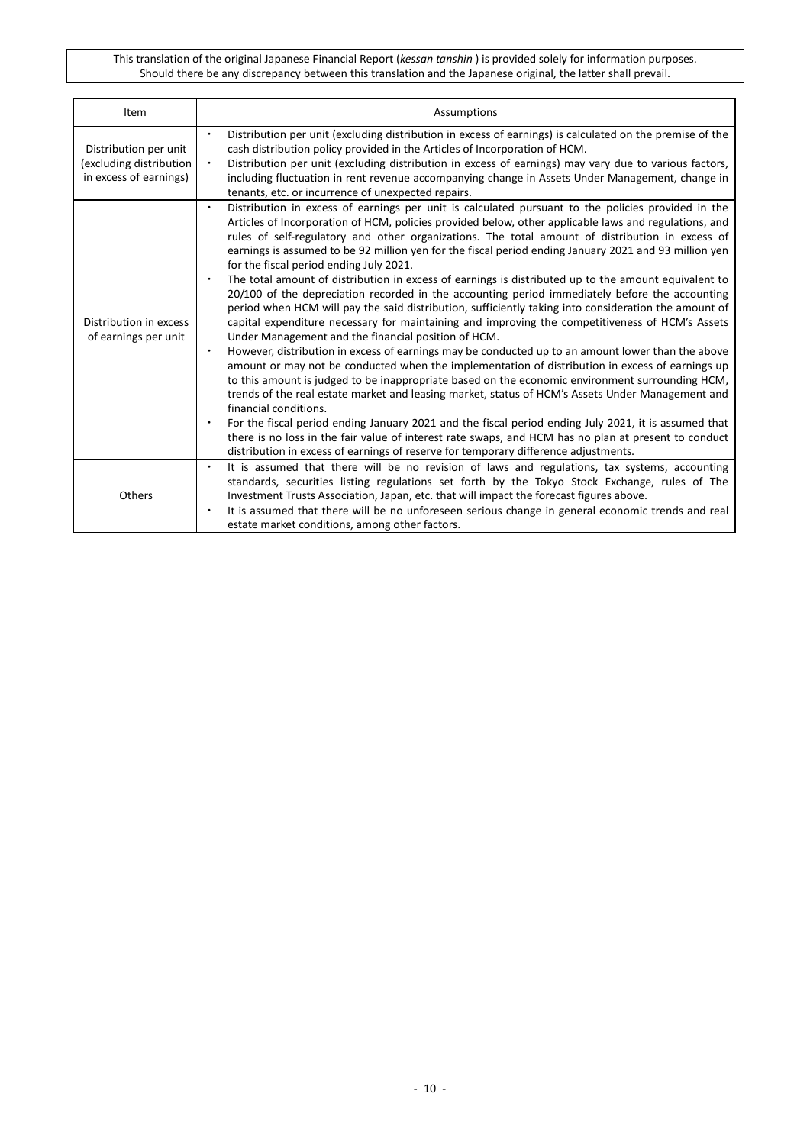| Item                                                                       | Assumptions                                                                                                                                                                                                                                                                                                                                                                                                                                                                                                                                                                                                                                                                                                                                                                                                                                                                                                                                                                                                                                                                                                                                                                                                                                                                                                                                                                                                                                                                                                                                                                                                                                                                                                                       |
|----------------------------------------------------------------------------|-----------------------------------------------------------------------------------------------------------------------------------------------------------------------------------------------------------------------------------------------------------------------------------------------------------------------------------------------------------------------------------------------------------------------------------------------------------------------------------------------------------------------------------------------------------------------------------------------------------------------------------------------------------------------------------------------------------------------------------------------------------------------------------------------------------------------------------------------------------------------------------------------------------------------------------------------------------------------------------------------------------------------------------------------------------------------------------------------------------------------------------------------------------------------------------------------------------------------------------------------------------------------------------------------------------------------------------------------------------------------------------------------------------------------------------------------------------------------------------------------------------------------------------------------------------------------------------------------------------------------------------------------------------------------------------------------------------------------------------|
| Distribution per unit<br>(excluding distribution<br>in excess of earnings) | Distribution per unit (excluding distribution in excess of earnings) is calculated on the premise of the<br>$\bullet$<br>cash distribution policy provided in the Articles of Incorporation of HCM.<br>Distribution per unit (excluding distribution in excess of earnings) may vary due to various factors,<br>$\bullet$<br>including fluctuation in rent revenue accompanying change in Assets Under Management, change in<br>tenants, etc. or incurrence of unexpected repairs.                                                                                                                                                                                                                                                                                                                                                                                                                                                                                                                                                                                                                                                                                                                                                                                                                                                                                                                                                                                                                                                                                                                                                                                                                                                |
| Distribution in excess<br>of earnings per unit                             | Distribution in excess of earnings per unit is calculated pursuant to the policies provided in the<br>$\bullet$<br>Articles of Incorporation of HCM, policies provided below, other applicable laws and regulations, and<br>rules of self-regulatory and other organizations. The total amount of distribution in excess of<br>earnings is assumed to be 92 million yen for the fiscal period ending January 2021 and 93 million yen<br>for the fiscal period ending July 2021.<br>The total amount of distribution in excess of earnings is distributed up to the amount equivalent to<br>٠<br>20/100 of the depreciation recorded in the accounting period immediately before the accounting<br>period when HCM will pay the said distribution, sufficiently taking into consideration the amount of<br>capital expenditure necessary for maintaining and improving the competitiveness of HCM's Assets<br>Under Management and the financial position of HCM.<br>However, distribution in excess of earnings may be conducted up to an amount lower than the above<br>$\bullet$<br>amount or may not be conducted when the implementation of distribution in excess of earnings up<br>to this amount is judged to be inappropriate based on the economic environment surrounding HCM,<br>trends of the real estate market and leasing market, status of HCM's Assets Under Management and<br>financial conditions.<br>For the fiscal period ending January 2021 and the fiscal period ending July 2021, it is assumed that<br>٠<br>there is no loss in the fair value of interest rate swaps, and HCM has no plan at present to conduct<br>distribution in excess of earnings of reserve for temporary difference adjustments. |
| Others                                                                     | It is assumed that there will be no revision of laws and regulations, tax systems, accounting<br>$\bullet$<br>standards, securities listing regulations set forth by the Tokyo Stock Exchange, rules of The<br>Investment Trusts Association, Japan, etc. that will impact the forecast figures above.<br>It is assumed that there will be no unforeseen serious change in general economic trends and real<br>$\bullet$<br>estate market conditions, among other factors.                                                                                                                                                                                                                                                                                                                                                                                                                                                                                                                                                                                                                                                                                                                                                                                                                                                                                                                                                                                                                                                                                                                                                                                                                                                        |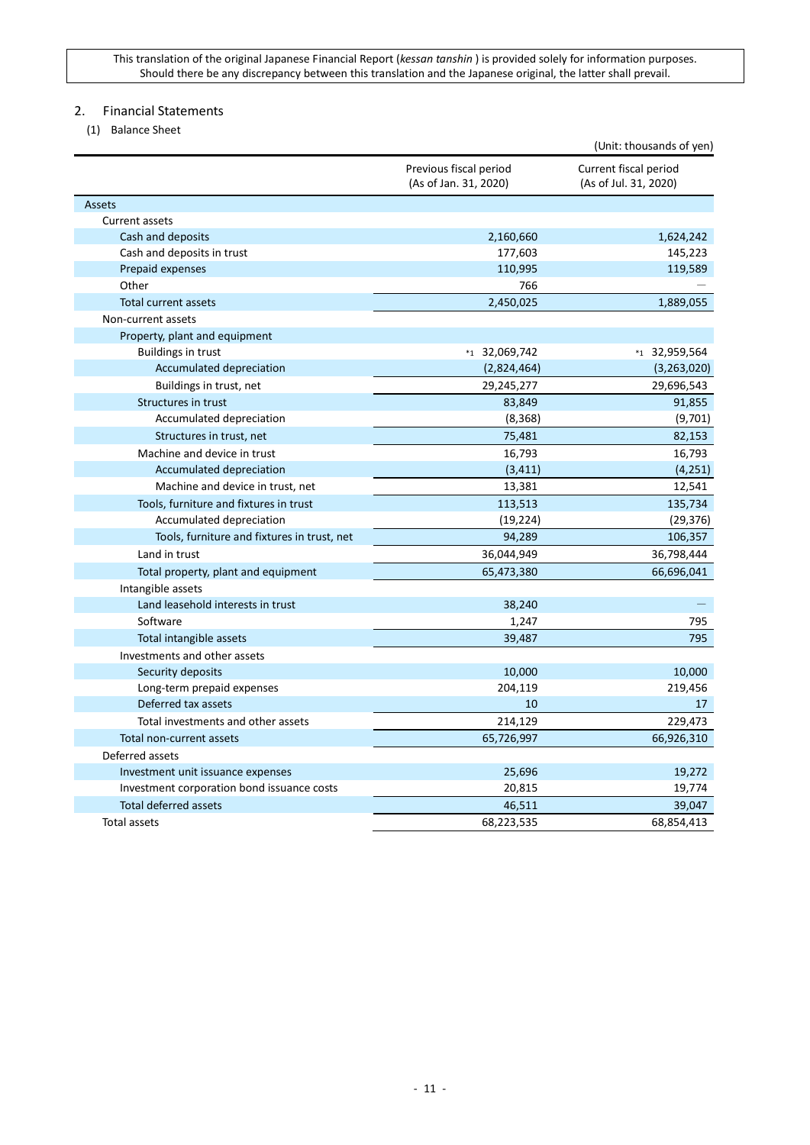## <span id="page-10-0"></span>2. Financial Statements

<span id="page-10-1"></span>(1) Balance Sheet

|                                             |                                                 | (Unit: thousands of yen)                       |
|---------------------------------------------|-------------------------------------------------|------------------------------------------------|
|                                             | Previous fiscal period<br>(As of Jan. 31, 2020) | Current fiscal period<br>(As of Jul. 31, 2020) |
| Assets                                      |                                                 |                                                |
| Current assets                              |                                                 |                                                |
| Cash and deposits                           | 2,160,660                                       | 1,624,242                                      |
| Cash and deposits in trust                  | 177,603                                         | 145,223                                        |
| Prepaid expenses                            | 110,995                                         | 119,589                                        |
| Other                                       | 766                                             |                                                |
| <b>Total current assets</b>                 | 2,450,025                                       | 1,889,055                                      |
| Non-current assets                          |                                                 |                                                |
| Property, plant and equipment               |                                                 |                                                |
| <b>Buildings in trust</b>                   | $*_{1}$ 32,069,742                              | *1 32,959,564                                  |
| Accumulated depreciation                    | (2,824,464)                                     | (3,263,020)                                    |
| Buildings in trust, net                     | 29,245,277                                      | 29,696,543                                     |
| Structures in trust                         | 83,849                                          | 91,855                                         |
| Accumulated depreciation                    | (8, 368)                                        | (9,701)                                        |
| Structures in trust, net                    | 75,481                                          | 82,153                                         |
| Machine and device in trust                 | 16,793                                          | 16,793                                         |
| Accumulated depreciation                    | (3, 411)                                        | (4, 251)                                       |
| Machine and device in trust, net            | 13,381                                          | 12,541                                         |
| Tools, furniture and fixtures in trust      | 113,513                                         | 135,734                                        |
| Accumulated depreciation                    | (19, 224)                                       | (29, 376)                                      |
| Tools, furniture and fixtures in trust, net | 94,289                                          | 106,357                                        |
| Land in trust                               | 36,044,949                                      | 36,798,444                                     |
| Total property, plant and equipment         | 65,473,380                                      | 66,696,041                                     |
| Intangible assets                           |                                                 |                                                |
| Land leasehold interests in trust           | 38,240                                          |                                                |
| Software                                    | 1,247                                           | 795                                            |
| Total intangible assets                     | 39,487                                          | 795                                            |
| Investments and other assets                |                                                 |                                                |
| Security deposits                           | 10,000                                          | 10,000                                         |
| Long-term prepaid expenses                  | 204,119                                         | 219,456                                        |
| Deferred tax assets                         | 10                                              | 17                                             |
| Total investments and other assets          | 214,129                                         | 229,473                                        |
| Total non-current assets                    | 65,726,997                                      | 66,926,310                                     |
| Deferred assets                             |                                                 |                                                |
| Investment unit issuance expenses           | 25,696                                          | 19,272                                         |
| Investment corporation bond issuance costs  | 20,815                                          | 19,774                                         |
| <b>Total deferred assets</b>                | 46,511                                          | 39,047                                         |
| Total assets                                | 68,223,535                                      | 68,854,413                                     |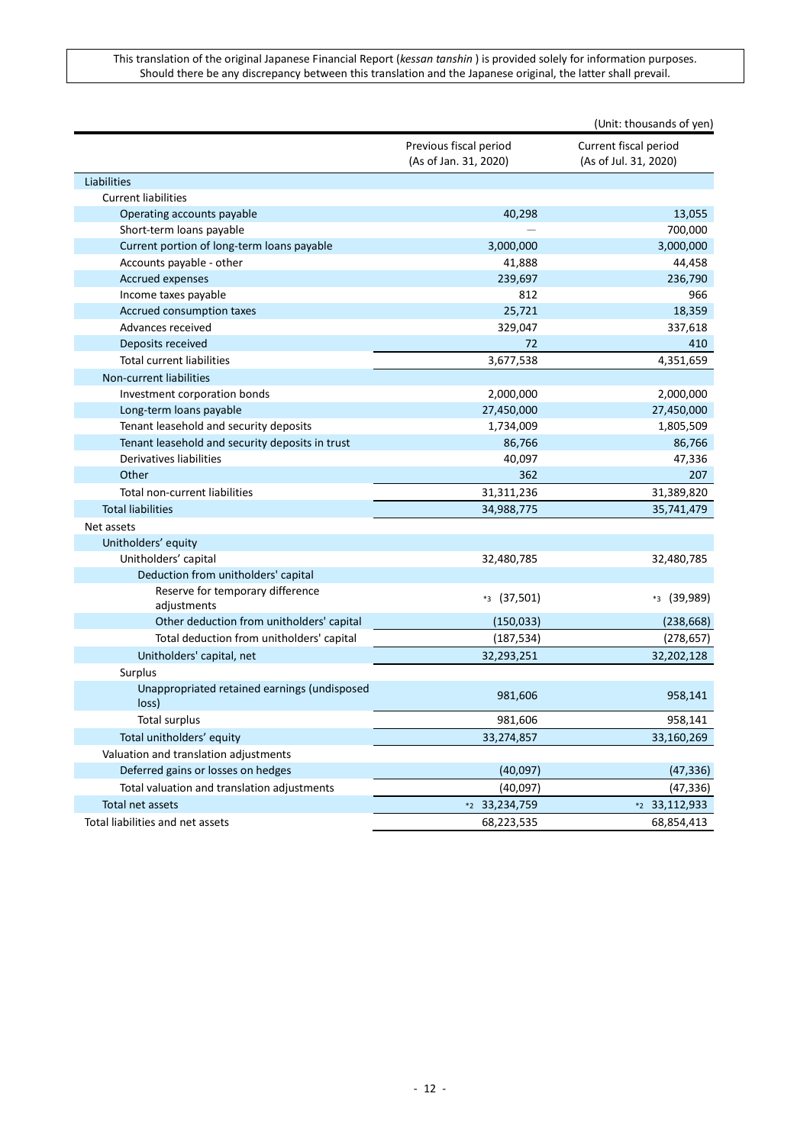|                                                       |                                                 | (Unit: thousands of yen)                       |
|-------------------------------------------------------|-------------------------------------------------|------------------------------------------------|
|                                                       | Previous fiscal period<br>(As of Jan. 31, 2020) | Current fiscal period<br>(As of Jul. 31, 2020) |
| Liabilities                                           |                                                 |                                                |
| <b>Current liabilities</b>                            |                                                 |                                                |
| Operating accounts payable                            | 40,298                                          | 13,055                                         |
| Short-term loans payable                              |                                                 | 700,000                                        |
| Current portion of long-term loans payable            | 3,000,000                                       | 3,000,000                                      |
| Accounts payable - other                              | 41,888                                          | 44,458                                         |
| <b>Accrued expenses</b>                               | 239,697                                         | 236,790                                        |
| Income taxes payable                                  | 812                                             | 966                                            |
| Accrued consumption taxes                             | 25,721                                          | 18,359                                         |
| Advances received                                     | 329,047                                         | 337,618                                        |
| Deposits received                                     | 72                                              | 410                                            |
| <b>Total current liabilities</b>                      | 3,677,538                                       | 4,351,659                                      |
| Non-current liabilities                               |                                                 |                                                |
| Investment corporation bonds                          | 2,000,000                                       | 2,000,000                                      |
| Long-term loans payable                               | 27,450,000                                      | 27,450,000                                     |
| Tenant leasehold and security deposits                | 1,734,009                                       | 1,805,509                                      |
| Tenant leasehold and security deposits in trust       | 86,766                                          | 86,766                                         |
| Derivatives liabilities                               | 40,097                                          | 47,336                                         |
| Other                                                 | 362                                             | 207                                            |
| Total non-current liabilities                         | 31,311,236                                      | 31,389,820                                     |
| <b>Total liabilities</b>                              | 34,988,775                                      | 35,741,479                                     |
| Net assets                                            |                                                 |                                                |
| Unitholders' equity                                   |                                                 |                                                |
| Unitholders' capital                                  | 32,480,785                                      | 32,480,785                                     |
| Deduction from unitholders' capital                   |                                                 |                                                |
| Reserve for temporary difference<br>adjustments       | $*3(37,501)$                                    | $*3(39,989)$                                   |
| Other deduction from unitholders' capital             | (150, 033)                                      | (238, 668)                                     |
| Total deduction from unitholders' capital             | (187, 534)                                      | (278, 657)                                     |
| Unitholders' capital, net                             | 32,293,251                                      | 32,202,128                                     |
| Surplus                                               |                                                 |                                                |
| Unappropriated retained earnings (undisposed<br>loss) | 981,606                                         | 958,141                                        |
| <b>Total surplus</b>                                  | 981,606                                         | 958,141                                        |
| Total unitholders' equity                             | 33,274,857                                      | 33,160,269                                     |
| Valuation and translation adjustments                 |                                                 |                                                |
| Deferred gains or losses on hedges                    | (40,097)                                        | (47, 336)                                      |
| Total valuation and translation adjustments           | (40,097)                                        | (47, 336)                                      |
| Total net assets                                      | *2 33,234,759                                   | *2 33,112,933                                  |
| Total liabilities and net assets                      | 68,223,535                                      | 68,854,413                                     |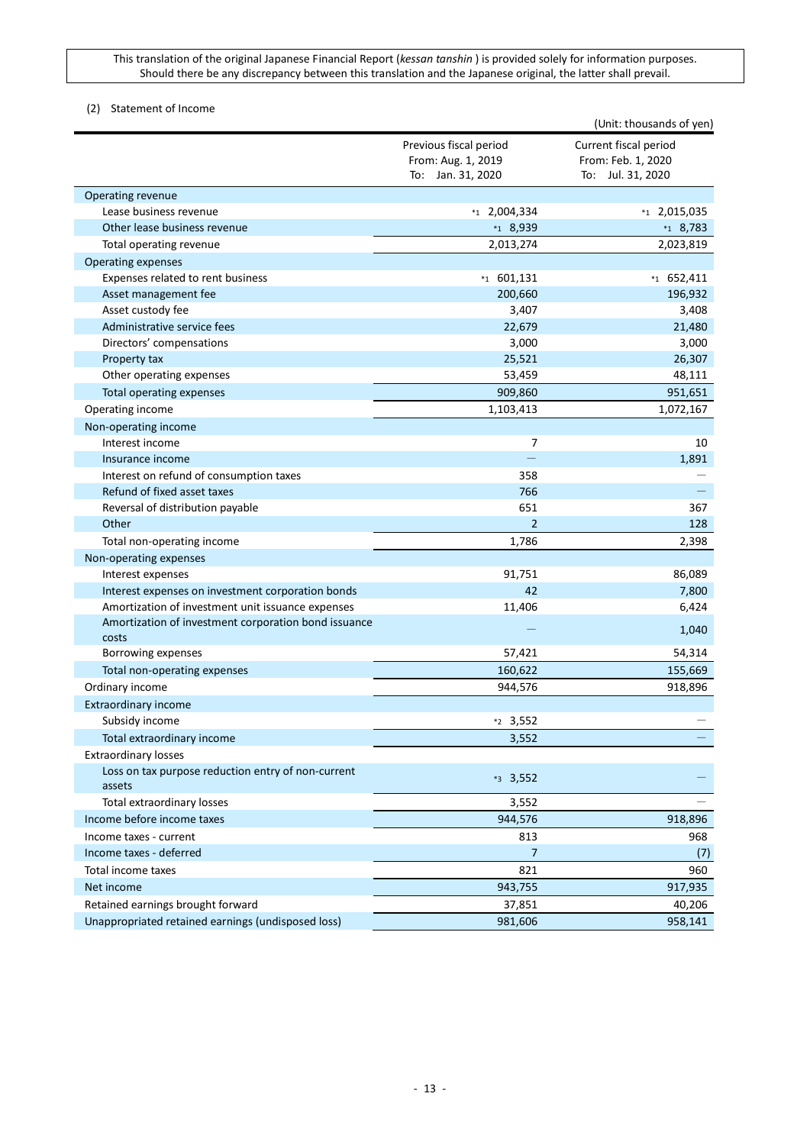## <span id="page-12-0"></span>(2) Statement of Income

|                                                               |                                                                   | (Unit: thousands of yen)                                         |
|---------------------------------------------------------------|-------------------------------------------------------------------|------------------------------------------------------------------|
|                                                               | Previous fiscal period<br>From: Aug. 1, 2019<br>To: Jan. 31, 2020 | Current fiscal period<br>From: Feb. 1, 2020<br>To: Jul. 31, 2020 |
| Operating revenue                                             |                                                                   |                                                                  |
| Lease business revenue                                        | $*_{1}$ 2,004,334                                                 | $*_{1}$ 2,015,035                                                |
| Other lease business revenue                                  | $*1$ 8,939                                                        | $*_{1}$ 8,783                                                    |
| Total operating revenue                                       | 2,013,274                                                         | 2,023,819                                                        |
| Operating expenses                                            |                                                                   |                                                                  |
| Expenses related to rent business                             | $*_{1}$ 601,131                                                   | $*1$ 652,411                                                     |
| Asset management fee                                          | 200,660                                                           | 196,932                                                          |
| Asset custody fee                                             | 3,407                                                             | 3,408                                                            |
| Administrative service fees                                   | 22,679                                                            | 21,480                                                           |
| Directors' compensations                                      | 3,000                                                             | 3,000                                                            |
| Property tax                                                  | 25,521                                                            | 26,307                                                           |
| Other operating expenses                                      | 53,459                                                            | 48,111                                                           |
| Total operating expenses                                      | 909,860                                                           | 951,651                                                          |
| Operating income                                              | 1,103,413                                                         | 1,072,167                                                        |
| Non-operating income                                          |                                                                   |                                                                  |
| Interest income                                               | 7                                                                 | 10                                                               |
| Insurance income                                              |                                                                   | 1,891                                                            |
| Interest on refund of consumption taxes                       | 358                                                               |                                                                  |
| Refund of fixed asset taxes                                   | 766                                                               |                                                                  |
| Reversal of distribution payable                              | 651                                                               | 367                                                              |
| Other                                                         | $\overline{2}$                                                    | 128                                                              |
| Total non-operating income                                    | 1,786                                                             | 2,398                                                            |
| Non-operating expenses                                        |                                                                   |                                                                  |
| Interest expenses                                             | 91,751                                                            | 86,089                                                           |
| Interest expenses on investment corporation bonds             | 42                                                                | 7,800                                                            |
| Amortization of investment unit issuance expenses             | 11,406                                                            | 6,424                                                            |
| Amortization of investment corporation bond issuance<br>costs |                                                                   | 1,040                                                            |
| Borrowing expenses                                            | 57,421                                                            | 54,314                                                           |
| Total non-operating expenses                                  | 160,622                                                           | 155,669                                                          |
| Ordinary income                                               | 944,576                                                           | 918,896                                                          |
| <b>Extraordinary income</b>                                   |                                                                   |                                                                  |
| Subsidy income                                                | $*2$ 3,552                                                        |                                                                  |
| Total extraordinary income                                    | 3,552                                                             |                                                                  |
| <b>Extraordinary losses</b>                                   |                                                                   |                                                                  |
| Loss on tax purpose reduction entry of non-current<br>assets  | $*3$ 3,552                                                        |                                                                  |
| <b>Total extraordinary losses</b>                             | 3,552                                                             |                                                                  |
| Income before income taxes                                    | 944,576                                                           | 918,896                                                          |
| Income taxes - current                                        | 813                                                               | 968                                                              |
| Income taxes - deferred                                       | 7                                                                 | (7)                                                              |
| Total income taxes                                            | 821                                                               | 960                                                              |
| Net income                                                    | 943,755                                                           | 917,935                                                          |
| Retained earnings brought forward                             | 37,851                                                            | 40,206                                                           |
| Unappropriated retained earnings (undisposed loss)            | 981,606                                                           | 958,141                                                          |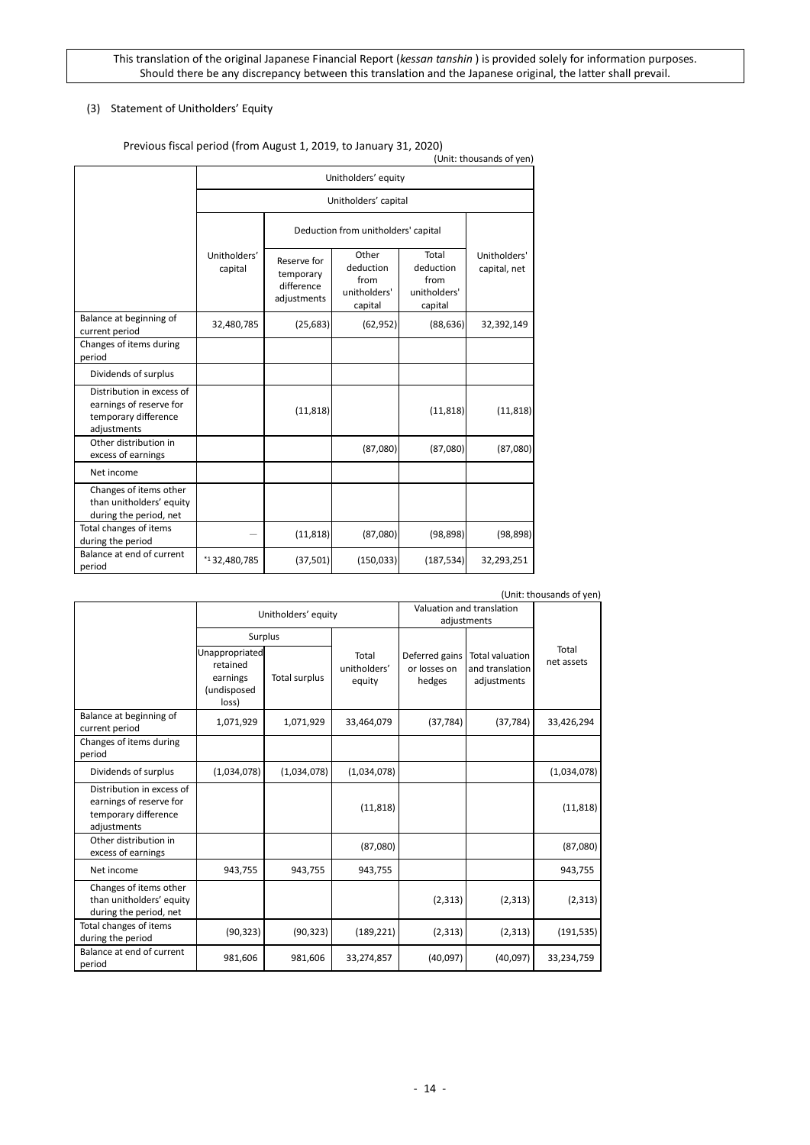## <span id="page-13-0"></span>(3) Statement of Unitholders' Equity

|                                                                                             | 3 $1.3$ car porto a firement where $\pm$ ; $\pm$ 0 $\pm$ 3; to samaar $\mu$ 3 $\pm$ ; $\pm$ 0 $\pm$ 0 $\pm$ |                                                       |                                                       |                                                       | (Unit: thousands of yen)     |
|---------------------------------------------------------------------------------------------|-------------------------------------------------------------------------------------------------------------|-------------------------------------------------------|-------------------------------------------------------|-------------------------------------------------------|------------------------------|
|                                                                                             | Unitholders' equity                                                                                         |                                                       |                                                       |                                                       |                              |
|                                                                                             | Unitholders' capital                                                                                        |                                                       |                                                       |                                                       |                              |
|                                                                                             | Deduction from unitholders' capital                                                                         |                                                       |                                                       |                                                       |                              |
|                                                                                             | Unitholders'<br>capital                                                                                     | Reserve for<br>temporary<br>difference<br>adjustments | Other<br>deduction<br>from<br>unitholders'<br>capital | Total<br>deduction<br>from<br>unitholders'<br>capital | Unitholders'<br>capital, net |
| Balance at beginning of<br>current period                                                   | 32,480,785                                                                                                  | (25, 683)                                             | (62, 952)                                             | (88, 636)                                             | 32,392,149                   |
| Changes of items during<br>period                                                           |                                                                                                             |                                                       |                                                       |                                                       |                              |
| Dividends of surplus                                                                        |                                                                                                             |                                                       |                                                       |                                                       |                              |
| Distribution in excess of<br>earnings of reserve for<br>temporary difference<br>adjustments |                                                                                                             | (11, 818)                                             |                                                       | (11, 818)                                             | (11, 818)                    |
| Other distribution in<br>excess of earnings                                                 |                                                                                                             |                                                       | (87,080)                                              | (87,080)                                              | (87,080)                     |
| Net income                                                                                  |                                                                                                             |                                                       |                                                       |                                                       |                              |
| Changes of items other<br>than unitholders' equity<br>during the period, net                |                                                                                                             |                                                       |                                                       |                                                       |                              |
| Total changes of items<br>during the period                                                 |                                                                                                             | (11, 818)                                             | (87,080)                                              | (98, 898)                                             | (98, 898)                    |
| Balance at end of current<br>period                                                         | *132,480,785                                                                                                | (37, 501)                                             | (150, 033)                                            | (187, 534)                                            | 32,293,251                   |

#### Previous fiscal period (from August 1, 2019, to January 31, 2020)

| (Unit: thousands of yen)                                                                    |                                                                |               |                                 |                                          |                                                          |                     |
|---------------------------------------------------------------------------------------------|----------------------------------------------------------------|---------------|---------------------------------|------------------------------------------|----------------------------------------------------------|---------------------|
|                                                                                             | Unitholders' equity                                            |               |                                 | Valuation and translation<br>adjustments |                                                          |                     |
|                                                                                             | Surplus                                                        |               |                                 |                                          |                                                          |                     |
|                                                                                             | Unappropriated<br>retained<br>earnings<br>(undisposed<br>loss) | Total surplus | Total<br>unitholders'<br>equity | Deferred gains<br>or losses on<br>hedges | <b>Total valuation</b><br>and translation<br>adjustments | Total<br>net assets |
| Balance at beginning of<br>current period                                                   | 1,071,929                                                      | 1,071,929     | 33,464,079                      | (37, 784)                                | (37, 784)                                                | 33,426,294          |
| Changes of items during<br>period                                                           |                                                                |               |                                 |                                          |                                                          |                     |
| Dividends of surplus                                                                        | (1,034,078)                                                    | (1,034,078)   | (1,034,078)                     |                                          |                                                          | (1,034,078)         |
| Distribution in excess of<br>earnings of reserve for<br>temporary difference<br>adjustments |                                                                |               | (11, 818)                       |                                          |                                                          | (11, 818)           |
| Other distribution in<br>excess of earnings                                                 |                                                                |               | (87,080)                        |                                          |                                                          | (87,080)            |
| Net income                                                                                  | 943,755                                                        | 943,755       | 943,755                         |                                          |                                                          | 943,755             |
| Changes of items other<br>than unitholders' equity<br>during the period, net                |                                                                |               |                                 | (2, 313)                                 | (2, 313)                                                 | (2, 313)            |
| Total changes of items<br>during the period                                                 | (90, 323)                                                      | (90, 323)     | (189, 221)                      | (2, 313)                                 | (2, 313)                                                 | (191, 535)          |
| Balance at end of current<br>period                                                         | 981,606                                                        | 981,606       | 33,274,857                      | (40,097)                                 | (40,097)                                                 | 33,234,759          |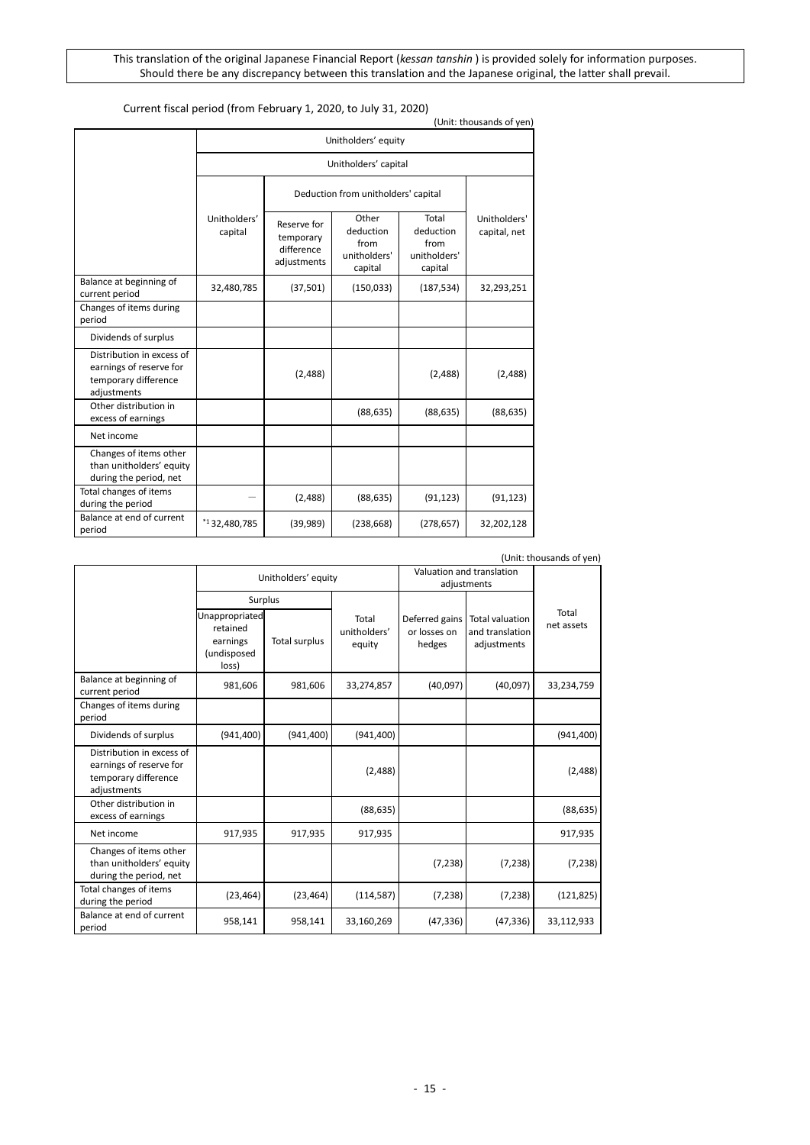| Current fiscal period (from February 1, 2020, to July 31, 2020)<br>(Unit: thousands of yen) |                                     |                                                       |                                                       |                                                       |                              |  |
|---------------------------------------------------------------------------------------------|-------------------------------------|-------------------------------------------------------|-------------------------------------------------------|-------------------------------------------------------|------------------------------|--|
|                                                                                             | Unitholders' equity                 |                                                       |                                                       |                                                       |                              |  |
|                                                                                             | Unitholders' capital                |                                                       |                                                       |                                                       |                              |  |
|                                                                                             | Deduction from unitholders' capital |                                                       |                                                       |                                                       |                              |  |
|                                                                                             | Unitholders'<br>capital             | Reserve for<br>temporary<br>difference<br>adjustments | Other<br>deduction<br>from<br>unitholders'<br>capital | Total<br>deduction<br>from<br>unitholders'<br>capital | Unitholders'<br>capital, net |  |
| Balance at beginning of<br>current period                                                   | 32,480,785                          | (37,501)                                              | (150, 033)                                            | (187, 534)                                            | 32,293,251                   |  |
| Changes of items during<br>period                                                           |                                     |                                                       |                                                       |                                                       |                              |  |
| Dividends of surplus                                                                        |                                     |                                                       |                                                       |                                                       |                              |  |
| Distribution in excess of<br>earnings of reserve for<br>temporary difference<br>adjustments |                                     | (2,488)                                               |                                                       | (2,488)                                               | (2,488)                      |  |
| Other distribution in<br>excess of earnings                                                 |                                     |                                                       | (88, 635)                                             | (88, 635)                                             | (88, 635)                    |  |
| Net income                                                                                  |                                     |                                                       |                                                       |                                                       |                              |  |
| Changes of items other<br>than unitholders' equity<br>during the period, net                |                                     |                                                       |                                                       |                                                       |                              |  |
| Total changes of items<br>during the period                                                 |                                     | (2,488)                                               | (88, 635)                                             | (91, 123)                                             | (91, 123)                    |  |
| Balance at end of current<br>period                                                         | $*132,480,785$                      | (39,989)                                              | (238, 668)                                            | (278, 657)                                            | 32,202,128                   |  |

| (Unit: thousands of yen)                                                                    |                                                                           |                      |                                 |                                          |                                                          |                     |
|---------------------------------------------------------------------------------------------|---------------------------------------------------------------------------|----------------------|---------------------------------|------------------------------------------|----------------------------------------------------------|---------------------|
|                                                                                             | Unitholders' equity                                                       |                      |                                 | Valuation and translation                |                                                          |                     |
|                                                                                             |                                                                           |                      |                                 | adjustments                              |                                                          |                     |
|                                                                                             | Surplus<br>Unappropriated<br>retained<br>earnings<br>(undisposed<br>loss) | <b>Total surplus</b> | Total<br>unitholders'<br>equity | Deferred gains<br>or losses on<br>hedges | <b>Total valuation</b><br>and translation<br>adjustments | Total<br>net assets |
| Balance at beginning of<br>current period                                                   | 981,606                                                                   | 981,606              | 33,274,857                      | (40,097)                                 | (40,097)                                                 | 33,234,759          |
| Changes of items during<br>period                                                           |                                                                           |                      |                                 |                                          |                                                          |                     |
| Dividends of surplus                                                                        | (941, 400)                                                                | (941, 400)           | (941, 400)                      |                                          |                                                          | (941, 400)          |
| Distribution in excess of<br>earnings of reserve for<br>temporary difference<br>adjustments |                                                                           |                      | (2,488)                         |                                          |                                                          | (2,488)             |
| Other distribution in<br>excess of earnings                                                 |                                                                           |                      | (88, 635)                       |                                          |                                                          | (88, 635)           |
| Net income                                                                                  | 917,935                                                                   | 917,935              | 917,935                         |                                          |                                                          | 917,935             |
| Changes of items other<br>than unitholders' equity<br>during the period, net                |                                                                           |                      |                                 | (7, 238)                                 | (7, 238)                                                 | (7, 238)            |
| Total changes of items<br>during the period                                                 | (23, 464)                                                                 | (23, 464)            | (114, 587)                      | (7, 238)                                 | (7, 238)                                                 | (121, 825)          |
| Balance at end of current<br>period                                                         | 958,141                                                                   | 958,141              | 33,160,269                      | (47, 336)                                | (47, 336)                                                | 33,112,933          |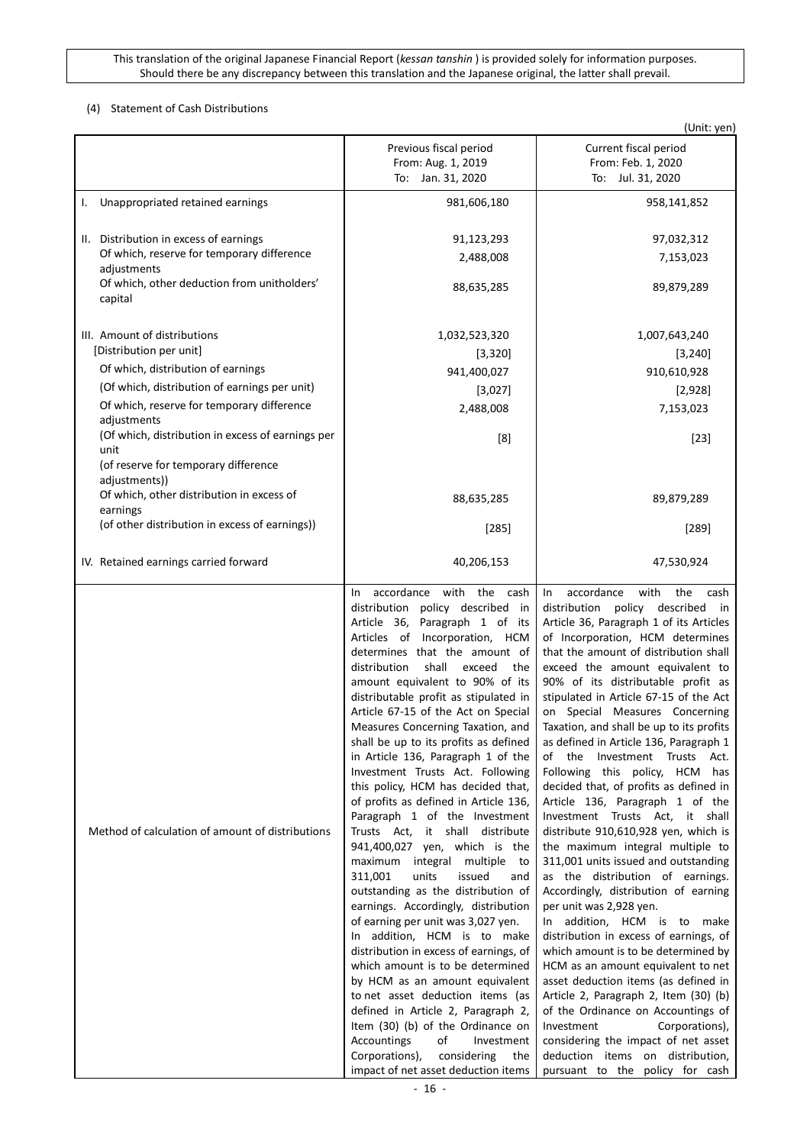## <span id="page-15-0"></span>(4) Statement of Cash Distributions

|                                                                                                                                                                                                                                                                                                                                                                                |                                                                                                                                                                                                                                                                                                                                                                                                                                                                                                                                                                                                                                                                                                                                                                                                                                                                                                                                                                                                                                                                                                                                                                                                                                                                 | (Unit: yen)                                                                                                                                                                                                                                                                                                                                                                                                                                                                                                                                                                                                                                                                                                                                                                                                                                                                                                                                                                                                                                                                                                                                                                                                                                                                                   |
|--------------------------------------------------------------------------------------------------------------------------------------------------------------------------------------------------------------------------------------------------------------------------------------------------------------------------------------------------------------------------------|-----------------------------------------------------------------------------------------------------------------------------------------------------------------------------------------------------------------------------------------------------------------------------------------------------------------------------------------------------------------------------------------------------------------------------------------------------------------------------------------------------------------------------------------------------------------------------------------------------------------------------------------------------------------------------------------------------------------------------------------------------------------------------------------------------------------------------------------------------------------------------------------------------------------------------------------------------------------------------------------------------------------------------------------------------------------------------------------------------------------------------------------------------------------------------------------------------------------------------------------------------------------|-----------------------------------------------------------------------------------------------------------------------------------------------------------------------------------------------------------------------------------------------------------------------------------------------------------------------------------------------------------------------------------------------------------------------------------------------------------------------------------------------------------------------------------------------------------------------------------------------------------------------------------------------------------------------------------------------------------------------------------------------------------------------------------------------------------------------------------------------------------------------------------------------------------------------------------------------------------------------------------------------------------------------------------------------------------------------------------------------------------------------------------------------------------------------------------------------------------------------------------------------------------------------------------------------|
|                                                                                                                                                                                                                                                                                                                                                                                | Previous fiscal period<br>From: Aug. 1, 2019<br>To: Jan. 31, 2020                                                                                                                                                                                                                                                                                                                                                                                                                                                                                                                                                                                                                                                                                                                                                                                                                                                                                                                                                                                                                                                                                                                                                                                               | Current fiscal period<br>From: Feb. 1, 2020<br>To: Jul. 31, 2020                                                                                                                                                                                                                                                                                                                                                                                                                                                                                                                                                                                                                                                                                                                                                                                                                                                                                                                                                                                                                                                                                                                                                                                                                              |
| Unappropriated retained earnings<br>I.                                                                                                                                                                                                                                                                                                                                         | 981,606,180                                                                                                                                                                                                                                                                                                                                                                                                                                                                                                                                                                                                                                                                                                                                                                                                                                                                                                                                                                                                                                                                                                                                                                                                                                                     | 958,141,852                                                                                                                                                                                                                                                                                                                                                                                                                                                                                                                                                                                                                                                                                                                                                                                                                                                                                                                                                                                                                                                                                                                                                                                                                                                                                   |
| II. Distribution in excess of earnings<br>Of which, reserve for temporary difference<br>adjustments<br>Of which, other deduction from unitholders'<br>capital                                                                                                                                                                                                                  | 91,123,293<br>2,488,008<br>88,635,285                                                                                                                                                                                                                                                                                                                                                                                                                                                                                                                                                                                                                                                                                                                                                                                                                                                                                                                                                                                                                                                                                                                                                                                                                           | 97,032,312<br>7,153,023<br>89,879,289                                                                                                                                                                                                                                                                                                                                                                                                                                                                                                                                                                                                                                                                                                                                                                                                                                                                                                                                                                                                                                                                                                                                                                                                                                                         |
| III. Amount of distributions<br>[Distribution per unit]<br>Of which, distribution of earnings<br>(Of which, distribution of earnings per unit)<br>Of which, reserve for temporary difference<br>adjustments<br>(Of which, distribution in excess of earnings per<br>unit<br>(of reserve for temporary difference<br>adjustments))<br>Of which, other distribution in excess of | 1,032,523,320<br>[3, 320]<br>941,400,027<br>[3,027]<br>2,488,008<br>[8]<br>88,635,285                                                                                                                                                                                                                                                                                                                                                                                                                                                                                                                                                                                                                                                                                                                                                                                                                                                                                                                                                                                                                                                                                                                                                                           | 1,007,643,240<br>[3, 240]<br>910,610,928<br>[2,928]<br>7,153,023<br>$[23]$<br>89,879,289                                                                                                                                                                                                                                                                                                                                                                                                                                                                                                                                                                                                                                                                                                                                                                                                                                                                                                                                                                                                                                                                                                                                                                                                      |
| earnings<br>(of other distribution in excess of earnings))                                                                                                                                                                                                                                                                                                                     | $[285]$                                                                                                                                                                                                                                                                                                                                                                                                                                                                                                                                                                                                                                                                                                                                                                                                                                                                                                                                                                                                                                                                                                                                                                                                                                                         | $[289]$                                                                                                                                                                                                                                                                                                                                                                                                                                                                                                                                                                                                                                                                                                                                                                                                                                                                                                                                                                                                                                                                                                                                                                                                                                                                                       |
| IV. Retained earnings carried forward                                                                                                                                                                                                                                                                                                                                          | 40,206,153                                                                                                                                                                                                                                                                                                                                                                                                                                                                                                                                                                                                                                                                                                                                                                                                                                                                                                                                                                                                                                                                                                                                                                                                                                                      | 47,530,924                                                                                                                                                                                                                                                                                                                                                                                                                                                                                                                                                                                                                                                                                                                                                                                                                                                                                                                                                                                                                                                                                                                                                                                                                                                                                    |
| Method of calculation of amount of distributions                                                                                                                                                                                                                                                                                                                               | accordance with the cash<br><b>In</b><br>distribution policy described in<br>Article 36, Paragraph 1 of its<br>Articles of Incorporation, HCM<br>determines that the amount of<br>shall<br>distribution<br>exceed<br>the<br>amount equivalent to 90% of its<br>distributable profit as stipulated in<br>Article 67-15 of the Act on Special<br>Measures Concerning Taxation, and<br>shall be up to its profits as defined<br>in Article 136, Paragraph 1 of the<br>Investment Trusts Act. Following<br>this policy, HCM has decided that,<br>of profits as defined in Article 136,<br>Paragraph 1 of the Investment<br>Trusts Act, it shall distribute<br>941,400,027 yen, which is the<br>maximum integral multiple to<br>311,001<br>units<br>issued<br>and<br>outstanding as the distribution of<br>earnings. Accordingly, distribution<br>of earning per unit was 3,027 yen.<br>In addition, HCM is to make<br>distribution in excess of earnings, of<br>which amount is to be determined<br>by HCM as an amount equivalent<br>to net asset deduction items (as<br>defined in Article 2, Paragraph 2,<br>Item (30) (b) of the Ordinance on<br>Accountings<br>οf<br>Investment<br>Corporations),<br>considering<br>the<br>impact of net asset deduction items | accordance<br>with<br>the<br>cash<br>In<br>distribution<br>policy described<br>in<br>Article 36, Paragraph 1 of its Articles<br>of Incorporation, HCM determines<br>that the amount of distribution shall<br>exceed the amount equivalent to<br>90% of its distributable profit as<br>stipulated in Article 67-15 of the Act<br>on Special Measures Concerning<br>Taxation, and shall be up to its profits<br>as defined in Article 136, Paragraph 1<br>of the Investment Trusts Act.<br>Following this policy, HCM has<br>decided that, of profits as defined in<br>Article 136, Paragraph 1 of the<br>Investment Trusts Act, it shall<br>distribute 910,610,928 yen, which is<br>the maximum integral multiple to<br>311,001 units issued and outstanding<br>as the distribution of earnings.<br>Accordingly, distribution of earning<br>per unit was 2,928 yen.<br>In addition, HCM is to make<br>distribution in excess of earnings, of<br>which amount is to be determined by<br>HCM as an amount equivalent to net<br>asset deduction items (as defined in<br>Article 2, Paragraph 2, Item (30) (b)<br>of the Ordinance on Accountings of<br>Investment<br>Corporations),<br>considering the impact of net asset<br>deduction items on distribution,<br>pursuant to the policy for cash |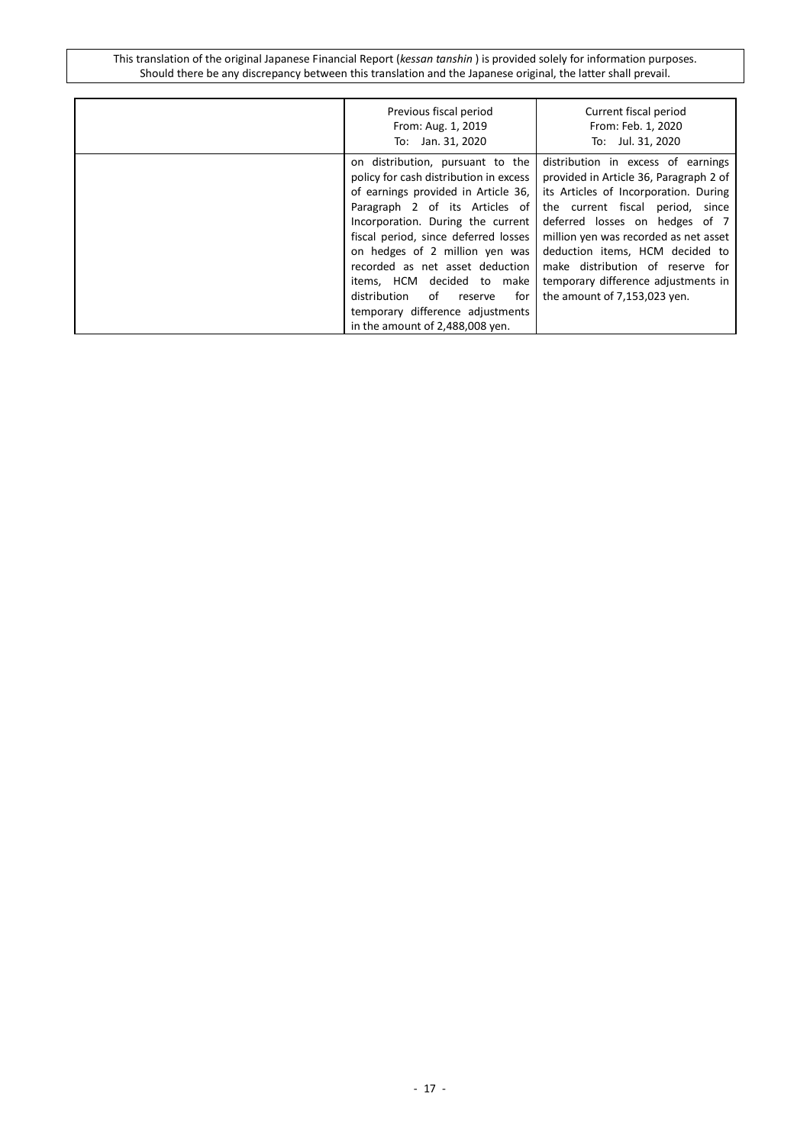| Previous fiscal period<br>From: Aug. 1, 2019<br>To: Jan. 31, 2020                                                                                                                                                                                                                                                                                                                                                                                  | Current fiscal period<br>From: Feb. 1, 2020<br>To: Jul. 31, 2020                                                                                                                                                                                                                                                                                                                   |
|----------------------------------------------------------------------------------------------------------------------------------------------------------------------------------------------------------------------------------------------------------------------------------------------------------------------------------------------------------------------------------------------------------------------------------------------------|------------------------------------------------------------------------------------------------------------------------------------------------------------------------------------------------------------------------------------------------------------------------------------------------------------------------------------------------------------------------------------|
| on distribution, pursuant to the<br>policy for cash distribution in excess<br>of earnings provided in Article 36,<br>Paragraph 2 of its Articles of<br>Incorporation. During the current<br>fiscal period, since deferred losses<br>on hedges of 2 million yen was<br>recorded as net asset deduction<br>items, HCM decided to make<br>distribution<br>of<br>for<br>reserve<br>temporary difference adjustments<br>in the amount of 2,488,008 yen. | distribution in excess of earnings<br>provided in Article 36, Paragraph 2 of<br>its Articles of Incorporation. During<br>the current fiscal period, since<br>deferred losses on hedges of 7<br>million yen was recorded as net asset<br>deduction items, HCM decided to<br>make distribution of reserve for<br>temporary difference adjustments in<br>the amount of 7,153,023 yen. |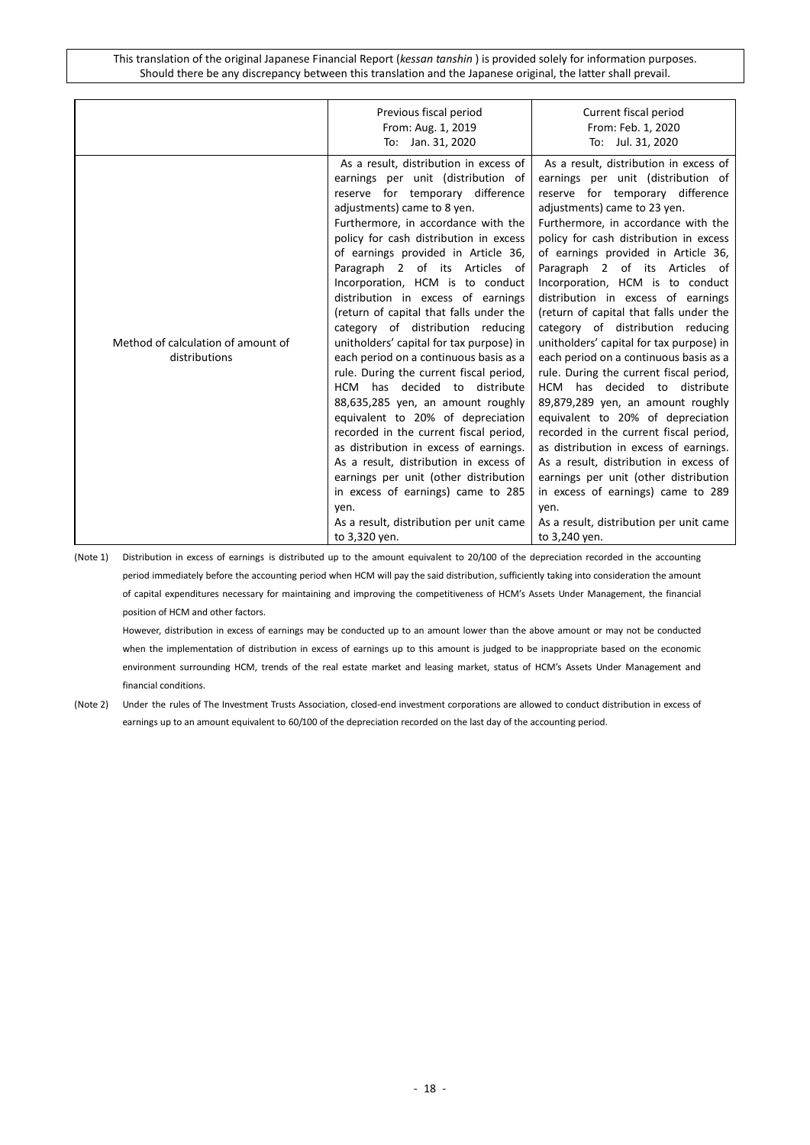|                                                     | Previous fiscal period<br>From: Aug. 1, 2019                                                                                                                                                                                                                                                                                                                                                                                                                                                                                                                                                                                                                                                                                                                                                                                                                                                                                                                                                                          | Current fiscal period<br>From: Feb. 1, 2020                                                                                                                                                                                                                                                                                                                                                                                                                                                                                                                                                                                                                                                                                                                                                                                                                                                                                                                                                                            |
|-----------------------------------------------------|-----------------------------------------------------------------------------------------------------------------------------------------------------------------------------------------------------------------------------------------------------------------------------------------------------------------------------------------------------------------------------------------------------------------------------------------------------------------------------------------------------------------------------------------------------------------------------------------------------------------------------------------------------------------------------------------------------------------------------------------------------------------------------------------------------------------------------------------------------------------------------------------------------------------------------------------------------------------------------------------------------------------------|------------------------------------------------------------------------------------------------------------------------------------------------------------------------------------------------------------------------------------------------------------------------------------------------------------------------------------------------------------------------------------------------------------------------------------------------------------------------------------------------------------------------------------------------------------------------------------------------------------------------------------------------------------------------------------------------------------------------------------------------------------------------------------------------------------------------------------------------------------------------------------------------------------------------------------------------------------------------------------------------------------------------|
| Method of calculation of amount of<br>distributions | To: Jan. 31, 2020<br>As a result, distribution in excess of<br>earnings per unit (distribution of<br>reserve for temporary difference<br>adjustments) came to 8 yen.<br>Furthermore, in accordance with the<br>policy for cash distribution in excess<br>of earnings provided in Article 36,<br>Paragraph 2 of its Articles of<br>Incorporation, HCM is to conduct<br>distribution in excess of earnings<br>(return of capital that falls under the<br>category of distribution reducing<br>unitholders' capital for tax purpose) in<br>each period on a continuous basis as a<br>rule. During the current fiscal period,<br>HCM has decided to distribute<br>88,635,285 yen, an amount roughly<br>equivalent to 20% of depreciation<br>recorded in the current fiscal period,<br>as distribution in excess of earnings.<br>As a result, distribution in excess of<br>earnings per unit (other distribution<br>in excess of earnings) came to 285<br>yen.<br>As a result, distribution per unit came<br>to 3,320 yen. | To: Jul. 31, 2020<br>As a result, distribution in excess of<br>earnings per unit (distribution of<br>reserve for temporary difference<br>adjustments) came to 23 yen.<br>Furthermore, in accordance with the<br>policy for cash distribution in excess<br>of earnings provided in Article 36,<br>Paragraph 2 of its Articles of<br>Incorporation, HCM is to conduct<br>distribution in excess of earnings<br>(return of capital that falls under the<br>category of distribution reducing<br>unitholders' capital for tax purpose) in<br>each period on a continuous basis as a<br>rule. During the current fiscal period,<br>HCM has decided to distribute<br>89,879,289 yen, an amount roughly<br>equivalent to 20% of depreciation<br>recorded in the current fiscal period,<br>as distribution in excess of earnings.<br>As a result, distribution in excess of<br>earnings per unit (other distribution<br>in excess of earnings) came to 289<br>ven.<br>As a result, distribution per unit came<br>to 3,240 yen. |

(Note 1) Distribution in excess of earnings is distributed up to the amount equivalent to 20/100 of the depreciation recorded in the accounting period immediately before the accounting period when HCM will pay the said distribution, sufficiently taking into consideration the amount of capital expenditures necessary for maintaining and improving the competitiveness of HCM's Assets Under Management, the financial position of HCM and other factors.

However, distribution in excess of earnings may be conducted up to an amount lower than the above amount or may not be conducted when the implementation of distribution in excess of earnings up to this amount is judged to be inappropriate based on the economic environment surrounding HCM, trends of the real estate market and leasing market, status of HCM's Assets Under Management and financial conditions.

(Note 2) Under the rules of The Investment Trusts Association, closed-end investment corporations are allowed to conduct distribution in excess of earnings up to an amount equivalent to 60/100 of the depreciation recorded on the last day of the accounting period.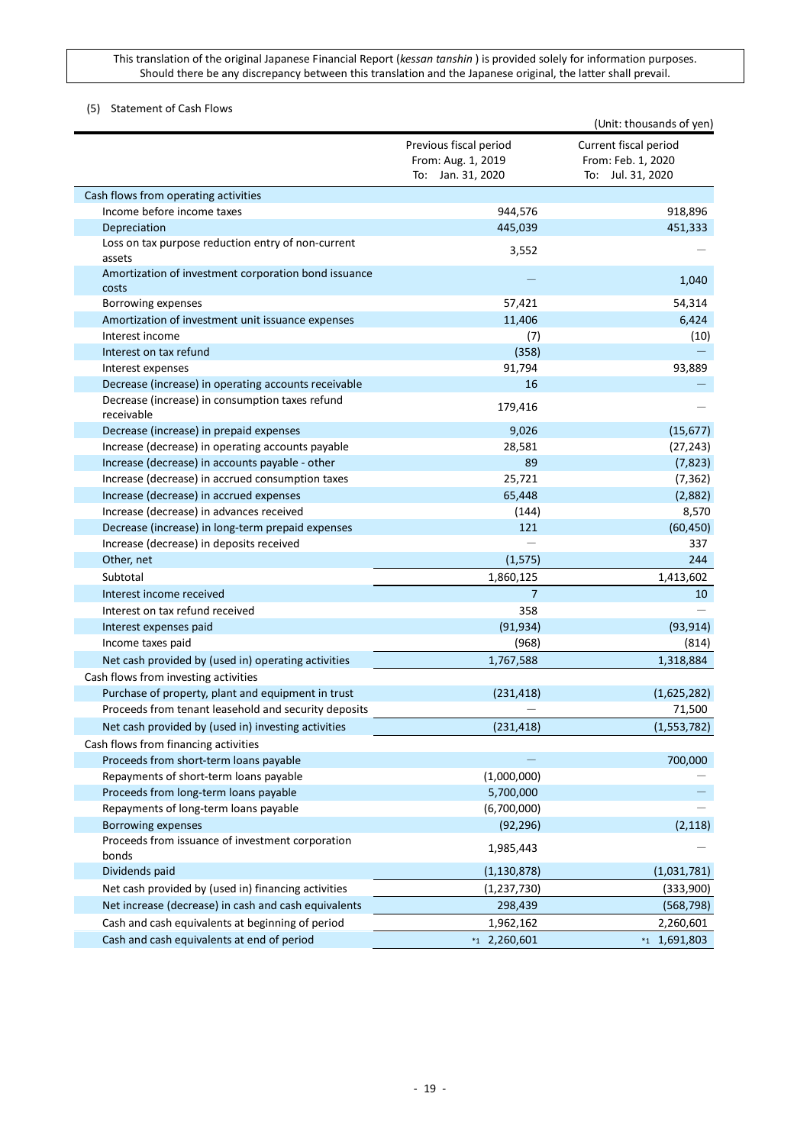## <span id="page-18-0"></span>(5) Statement of Cash Flows

|                                                               |                                                                   | (Unit: thousands of yen)                                         |
|---------------------------------------------------------------|-------------------------------------------------------------------|------------------------------------------------------------------|
|                                                               | Previous fiscal period<br>From: Aug. 1, 2019<br>To: Jan. 31, 2020 | Current fiscal period<br>From: Feb. 1, 2020<br>To: Jul. 31, 2020 |
| Cash flows from operating activities                          |                                                                   |                                                                  |
| Income before income taxes                                    | 944,576                                                           | 918,896                                                          |
| Depreciation                                                  | 445,039                                                           | 451,333                                                          |
| Loss on tax purpose reduction entry of non-current<br>assets  | 3,552                                                             |                                                                  |
| Amortization of investment corporation bond issuance<br>costs |                                                                   | 1,040                                                            |
| Borrowing expenses                                            | 57,421                                                            | 54,314                                                           |
| Amortization of investment unit issuance expenses             | 11,406                                                            | 6,424                                                            |
| Interest income                                               | (7)                                                               | (10)                                                             |
| Interest on tax refund                                        | (358)                                                             |                                                                  |
| Interest expenses                                             | 91,794                                                            | 93,889                                                           |
| Decrease (increase) in operating accounts receivable          | 16                                                                |                                                                  |
| Decrease (increase) in consumption taxes refund<br>receivable | 179,416                                                           |                                                                  |
| Decrease (increase) in prepaid expenses                       | 9,026                                                             | (15, 677)                                                        |
| Increase (decrease) in operating accounts payable             | 28,581                                                            | (27, 243)                                                        |
| Increase (decrease) in accounts payable - other               | 89                                                                | (7, 823)                                                         |
| Increase (decrease) in accrued consumption taxes              | 25,721                                                            | (7, 362)                                                         |
| Increase (decrease) in accrued expenses                       | 65,448                                                            | (2,882)                                                          |
| Increase (decrease) in advances received                      | (144)                                                             | 8,570                                                            |
| Decrease (increase) in long-term prepaid expenses             | 121                                                               | (60, 450)                                                        |
| Increase (decrease) in deposits received                      |                                                                   | 337                                                              |
| Other, net                                                    | (1, 575)                                                          | 244                                                              |
| Subtotal                                                      | 1,860,125                                                         | 1,413,602                                                        |
| Interest income received                                      | $\overline{7}$                                                    | 10                                                               |
| Interest on tax refund received                               | 358                                                               |                                                                  |
| Interest expenses paid                                        | (91, 934)                                                         | (93, 914)                                                        |
| Income taxes paid                                             | (968)                                                             | (814)                                                            |
| Net cash provided by (used in) operating activities           | 1,767,588                                                         | 1,318,884                                                        |
| Cash flows from investing activities                          |                                                                   |                                                                  |
| Purchase of property, plant and equipment in trust            | (231, 418)                                                        | (1,625,282)                                                      |
| Proceeds from tenant leasehold and security deposits          |                                                                   | 71,500                                                           |
| Net cash provided by (used in) investing activities           | (231, 418)                                                        | (1,553,782)                                                      |
| Cash flows from financing activities                          |                                                                   |                                                                  |
| Proceeds from short-term loans payable                        |                                                                   | 700,000                                                          |
| Repayments of short-term loans payable                        | (1,000,000)                                                       |                                                                  |
| Proceeds from long-term loans payable                         | 5,700,000                                                         |                                                                  |
| Repayments of long-term loans payable                         | (6,700,000)                                                       |                                                                  |
| Borrowing expenses                                            | (92, 296)                                                         | (2, 118)                                                         |
| Proceeds from issuance of investment corporation<br>bonds     | 1,985,443                                                         |                                                                  |
| Dividends paid                                                | (1, 130, 878)                                                     | (1,031,781)                                                      |
| Net cash provided by (used in) financing activities           | (1, 237, 730)                                                     | (333,900)                                                        |
| Net increase (decrease) in cash and cash equivalents          | 298,439                                                           | (568, 798)                                                       |
| Cash and cash equivalents at beginning of period              | 1,962,162                                                         | 2,260,601                                                        |
| Cash and cash equivalents at end of period                    | $*12,260,601$                                                     | $*1,691,803$                                                     |
|                                                               |                                                                   |                                                                  |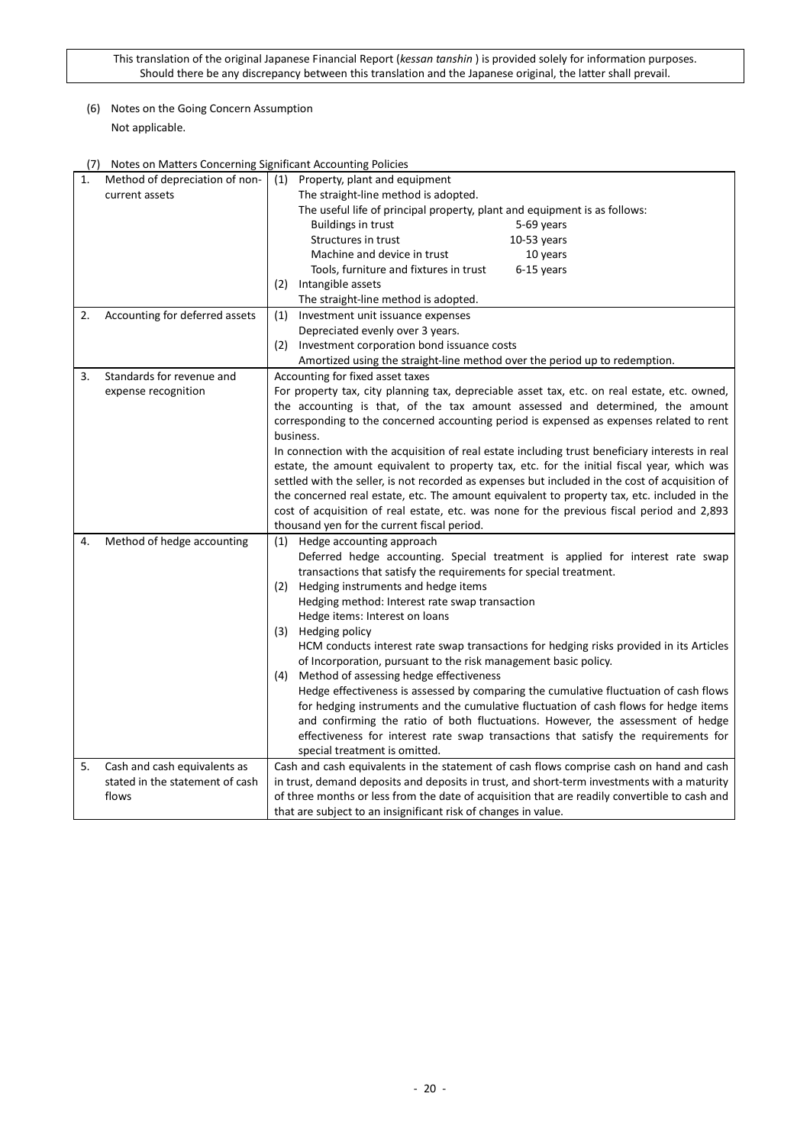## <span id="page-19-0"></span>(6) Notes on the Going Concern Assumption Not applicable.

## <span id="page-19-1"></span>(7) Notes on Matters Concerning Significant Accounting Policies

| 1. | Method of depreciation of non-  | (1)<br>Property, plant and equipment                                                            |  |  |
|----|---------------------------------|-------------------------------------------------------------------------------------------------|--|--|
|    | current assets                  | The straight-line method is adopted.                                                            |  |  |
|    |                                 | The useful life of principal property, plant and equipment is as follows:                       |  |  |
|    |                                 | <b>Buildings in trust</b><br>5-69 years                                                         |  |  |
|    |                                 | Structures in trust<br>$10-53$ years                                                            |  |  |
|    |                                 | Machine and device in trust<br>10 years                                                         |  |  |
|    |                                 | Tools, furniture and fixtures in trust<br>6-15 years                                            |  |  |
|    |                                 | Intangible assets<br>(2)                                                                        |  |  |
|    |                                 | The straight-line method is adopted.                                                            |  |  |
| 2. | Accounting for deferred assets  | Investment unit issuance expenses<br>(1)                                                        |  |  |
|    |                                 | Depreciated evenly over 3 years.                                                                |  |  |
|    |                                 | (2)<br>Investment corporation bond issuance costs                                               |  |  |
|    |                                 | Amortized using the straight-line method over the period up to redemption.                      |  |  |
| 3. | Standards for revenue and       | Accounting for fixed asset taxes                                                                |  |  |
|    | expense recognition             | For property tax, city planning tax, depreciable asset tax, etc. on real estate, etc. owned,    |  |  |
|    |                                 | the accounting is that, of the tax amount assessed and determined, the amount                   |  |  |
|    |                                 | corresponding to the concerned accounting period is expensed as expenses related to rent        |  |  |
|    |                                 | business.                                                                                       |  |  |
|    |                                 | In connection with the acquisition of real estate including trust beneficiary interests in real |  |  |
|    |                                 | estate, the amount equivalent to property tax, etc. for the initial fiscal year, which was      |  |  |
|    |                                 | settled with the seller, is not recorded as expenses but included in the cost of acquisition of |  |  |
|    |                                 | the concerned real estate, etc. The amount equivalent to property tax, etc. included in the     |  |  |
|    |                                 | cost of acquisition of real estate, etc. was none for the previous fiscal period and 2,893      |  |  |
|    |                                 | thousand yen for the current fiscal period.                                                     |  |  |
| 4. | Method of hedge accounting      | (1) Hedge accounting approach                                                                   |  |  |
|    |                                 | Deferred hedge accounting. Special treatment is applied for interest rate swap                  |  |  |
|    |                                 | transactions that satisfy the requirements for special treatment.                               |  |  |
|    |                                 | (2) Hedging instruments and hedge items                                                         |  |  |
|    |                                 | Hedging method: Interest rate swap transaction                                                  |  |  |
|    |                                 | Hedge items: Interest on loans                                                                  |  |  |
|    |                                 | (3)<br>Hedging policy                                                                           |  |  |
|    |                                 | HCM conducts interest rate swap transactions for hedging risks provided in its Articles         |  |  |
|    |                                 | of Incorporation, pursuant to the risk management basic policy.                                 |  |  |
|    |                                 | (4) Method of assessing hedge effectiveness                                                     |  |  |
|    |                                 | Hedge effectiveness is assessed by comparing the cumulative fluctuation of cash flows           |  |  |
|    |                                 | for hedging instruments and the cumulative fluctuation of cash flows for hedge items            |  |  |
|    |                                 | and confirming the ratio of both fluctuations. However, the assessment of hedge                 |  |  |
|    |                                 | effectiveness for interest rate swap transactions that satisfy the requirements for             |  |  |
|    |                                 | special treatment is omitted.                                                                   |  |  |
| 5. | Cash and cash equivalents as    | Cash and cash equivalents in the statement of cash flows comprise cash on hand and cash         |  |  |
|    | stated in the statement of cash | in trust, demand deposits and deposits in trust, and short-term investments with a maturity     |  |  |
|    | flows                           | of three months or less from the date of acquisition that are readily convertible to cash and   |  |  |
|    |                                 | that are subject to an insignificant risk of changes in value.                                  |  |  |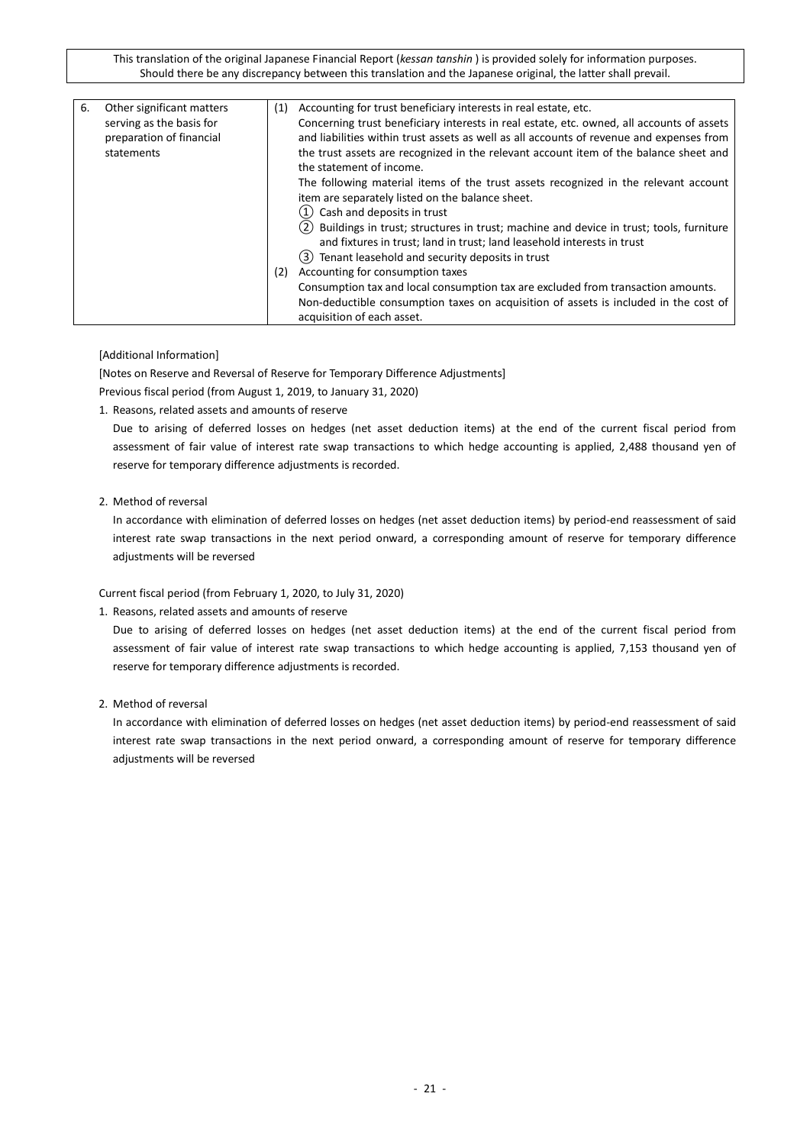| 6. | Other significant matters<br>serving as the basis for<br>preparation of financial<br>statements | (1)<br>(2) | Accounting for trust beneficiary interests in real estate, etc.<br>Concerning trust beneficiary interests in real estate, etc. owned, all accounts of assets<br>and liabilities within trust assets as well as all accounts of revenue and expenses from<br>the trust assets are recognized in the relevant account item of the balance sheet and<br>the statement of income.<br>The following material items of the trust assets recognized in the relevant account<br>item are separately listed on the balance sheet.<br>Cash and deposits in trust<br>(1)<br>(2) Buildings in trust; structures in trust; machine and device in trust; tools, furniture<br>and fixtures in trust; land in trust; land leasehold interests in trust<br>(3) Tenant leasehold and security deposits in trust<br>Accounting for consumption taxes<br>Consumption tax and local consumption tax are excluded from transaction amounts.<br>Non-deductible consumption taxes on acquisition of assets is included in the cost of |
|----|-------------------------------------------------------------------------------------------------|------------|---------------------------------------------------------------------------------------------------------------------------------------------------------------------------------------------------------------------------------------------------------------------------------------------------------------------------------------------------------------------------------------------------------------------------------------------------------------------------------------------------------------------------------------------------------------------------------------------------------------------------------------------------------------------------------------------------------------------------------------------------------------------------------------------------------------------------------------------------------------------------------------------------------------------------------------------------------------------------------------------------------------|
|    |                                                                                                 |            |                                                                                                                                                                                                                                                                                                                                                                                                                                                                                                                                                                                                                                                                                                                                                                                                                                                                                                                                                                                                               |
|    |                                                                                                 |            | acquisition of each asset.                                                                                                                                                                                                                                                                                                                                                                                                                                                                                                                                                                                                                                                                                                                                                                                                                                                                                                                                                                                    |

[Additional Information]

[Notes on Reserve and Reversal of Reserve for Temporary Difference Adjustments] Previous fiscal period (from August 1, 2019, to January 31, 2020)

1. Reasons, related assets and amounts of reserve

Due to arising of deferred losses on hedges (net asset deduction items) at the end of the current fiscal period from assessment of fair value of interest rate swap transactions to which hedge accounting is applied, 2,488 thousand yen of reserve for temporary difference adjustments is recorded.

## 2. Method of reversal

In accordance with elimination of deferred losses on hedges (net asset deduction items) by period-end reassessment of said interest rate swap transactions in the next period onward, a corresponding amount of reserve for temporary difference adjustments will be reversed

Current fiscal period (from February 1, 2020, to July 31, 2020)

### 1. Reasons, related assets and amounts of reserve

Due to arising of deferred losses on hedges (net asset deduction items) at the end of the current fiscal period from assessment of fair value of interest rate swap transactions to which hedge accounting is applied, 7,153 thousand yen of reserve for temporary difference adjustments is recorded.

2. Method of reversal

In accordance with elimination of deferred losses on hedges (net asset deduction items) by period-end reassessment of said interest rate swap transactions in the next period onward, a corresponding amount of reserve for temporary difference adjustments will be reversed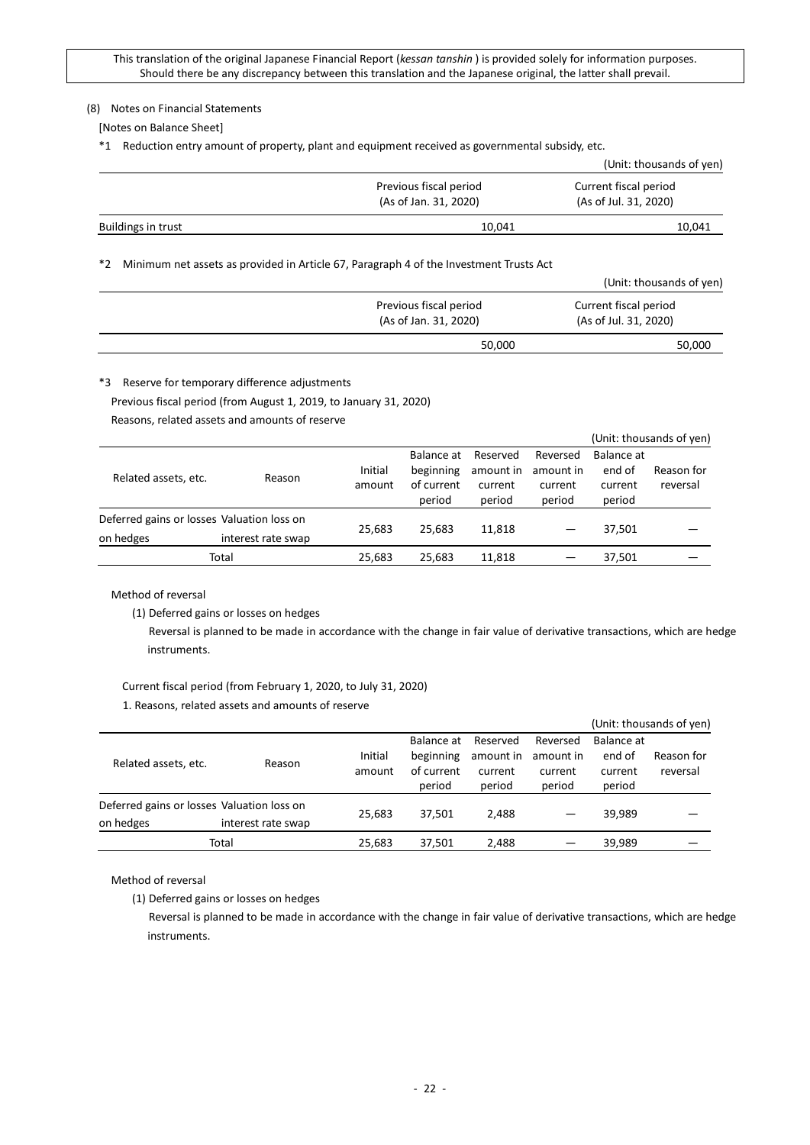### <span id="page-21-0"></span>(8) Notes on Financial Statements

[Notes on Balance Sheet]

\*1 Reduction entry amount of property, plant and equipment received as governmental subsidy, etc.

|                    |                                                 | (Unit: thousands of yen)                       |
|--------------------|-------------------------------------------------|------------------------------------------------|
|                    | Previous fiscal period<br>(As of Jan. 31, 2020) | Current fiscal period<br>(As of Jul. 31, 2020) |
| Buildings in trust | 10,041                                          | 10,041                                         |

\*2 Minimum net assets as provided in Article 67, Paragraph 4 of the Investment Trusts Act

|                                                 | (Unit: thousands of yen)                       |
|-------------------------------------------------|------------------------------------------------|
| Previous fiscal period<br>(As of Jan. 31, 2020) | Current fiscal period<br>(As of Jul. 31, 2020) |
| 50,000                                          | 50,000                                         |

\*3 Reserve for temporary difference adjustments

Previous fiscal period (from August 1, 2019, to January 31, 2020)

Reasons, related assets and amounts of reserve

|                                            |                    |         |            |           |           |            | (Unit: thousands of yen) |
|--------------------------------------------|--------------------|---------|------------|-----------|-----------|------------|--------------------------|
|                                            |                    |         | Balance at | Reserved  | Reversed  | Balance at |                          |
| Related assets, etc.                       | Reason             | Initial | beginning  | amount in | amount in | end of     | Reason for               |
|                                            |                    | amount  | of current | current   | current   | current    | reversal                 |
|                                            |                    |         | period     | period    | period    | period     |                          |
| Deferred gains or losses Valuation loss on |                    |         | 25.683     |           |           |            |                          |
| on hedges                                  | interest rate swap | 25.683  |            | 11,818    |           | 37,501     |                          |
|                                            | Total              | 25,683  | 25,683     | 11,818    |           | 37,501     |                          |
|                                            |                    |         |            |           |           |            |                          |

Method of reversal

(1) Deferred gains or losses on hedges

Reversal is planned to be made in accordance with the change in fair value of derivative transactions, which are hedge instruments.

# Current fiscal period (from February 1, 2020, to July 31, 2020)

1. Reasons, related assets and amounts of reserve

|                                            |                    |                   |                                                 |                                            |                                            |                                           | (Unit: thousands of yen) |
|--------------------------------------------|--------------------|-------------------|-------------------------------------------------|--------------------------------------------|--------------------------------------------|-------------------------------------------|--------------------------|
| Related assets, etc.                       | Reason             | Initial<br>amount | Balance at<br>beginning<br>of current<br>period | Reserved<br>amount in<br>current<br>period | Reversed<br>amount in<br>current<br>period | Balance at<br>end of<br>current<br>period | Reason for<br>reversal   |
| Deferred gains or losses Valuation loss on |                    | 25,683            | 37.501                                          | 2.488                                      |                                            | 39.989                                    |                          |
| on hedges                                  | interest rate swap |                   |                                                 |                                            |                                            |                                           |                          |
|                                            | Total              | 25,683            | 37.501                                          | 2,488                                      |                                            | 39,989                                    |                          |

Method of reversal

(1) Deferred gains or losses on hedges

Reversal is planned to be made in accordance with the change in fair value of derivative transactions, which are hedge instruments.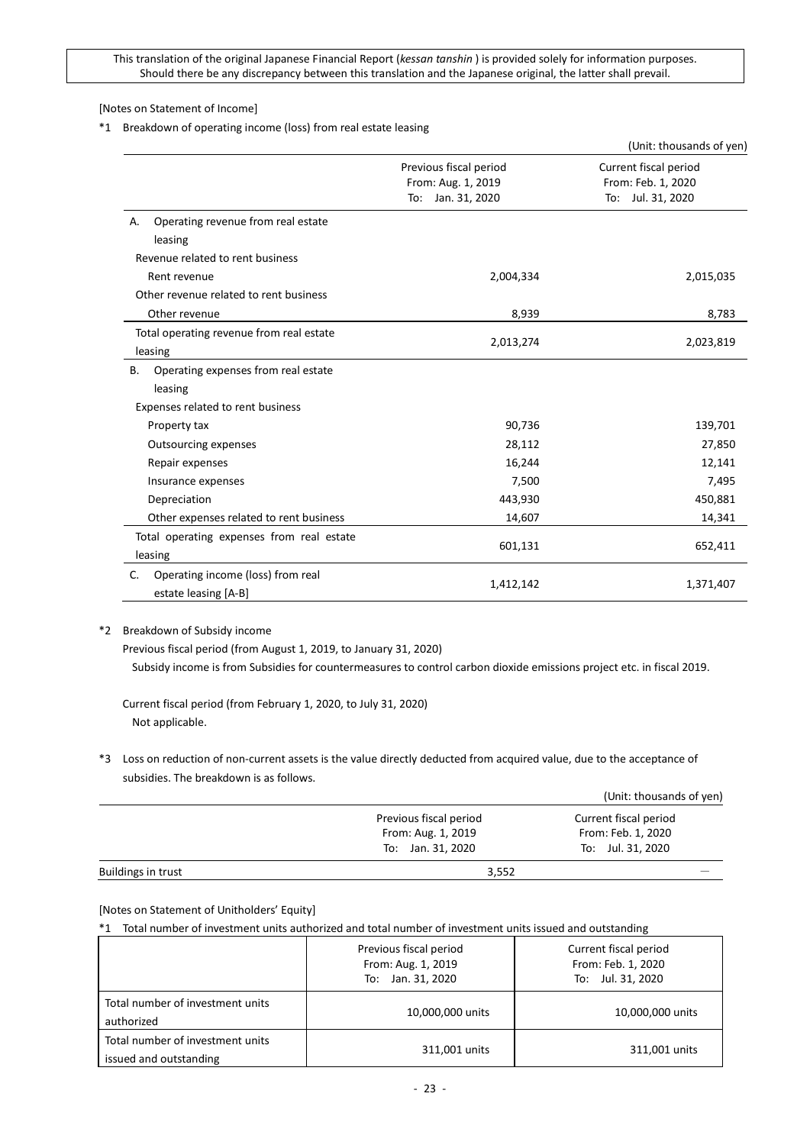[Notes on Statement of Income]

#### \*1 Breakdown of operating income (loss) from real estate leasing

|                                                                                           |                                                                      | (Unit: thousands of yen)                                         |
|-------------------------------------------------------------------------------------------|----------------------------------------------------------------------|------------------------------------------------------------------|
|                                                                                           | Previous fiscal period<br>From: Aug. 1, 2019<br>Jan. 31, 2020<br>To: | Current fiscal period<br>From: Feb. 1, 2020<br>To: Jul. 31, 2020 |
| Operating revenue from real estate<br>А.<br>leasing<br>Revenue related to rent business   |                                                                      |                                                                  |
| Rent revenue<br>Other revenue related to rent business                                    | 2,004,334                                                            | 2,015,035                                                        |
| Other revenue                                                                             | 8,939                                                                | 8,783                                                            |
| Total operating revenue from real estate<br>leasing                                       | 2,013,274                                                            | 2,023,819                                                        |
| Operating expenses from real estate<br>В.<br>leasing<br>Expenses related to rent business |                                                                      |                                                                  |
| Property tax                                                                              | 90,736                                                               | 139,701                                                          |
| <b>Outsourcing expenses</b>                                                               | 28,112                                                               | 27,850                                                           |
| Repair expenses                                                                           | 16,244                                                               | 12,141                                                           |
| Insurance expenses                                                                        | 7,500                                                                | 7,495                                                            |
| Depreciation                                                                              | 443,930                                                              | 450,881                                                          |
| Other expenses related to rent business                                                   | 14,607                                                               | 14,341                                                           |
| Total operating expenses from real estate<br>leasing                                      | 601,131                                                              | 652,411                                                          |
| Operating income (loss) from real<br>C.<br>estate leasing [A-B]                           | 1,412,142                                                            | 1,371,407                                                        |

## \*2 Breakdown of Subsidy income

Previous fiscal period (from August 1, 2019, to January 31, 2020)

Subsidy income is from Subsidies for countermeasures to control carbon dioxide emissions project etc. in fiscal 2019.

Current fiscal period (from February 1, 2020, to July 31, 2020) Not applicable.

\*3 Loss on reduction of non-current assets is the value directly deducted from acquired value, due to the acceptance of subsidies. The breakdown is as follows.

|                    |                        | (Unit: thousands of yen) |
|--------------------|------------------------|--------------------------|
|                    | Previous fiscal period | Current fiscal period    |
|                    | From: Aug. 1, 2019     | From: Feb. 1, 2020       |
|                    | To: Jan. 31, 2020      | To: Jul. 31, 2020        |
| Buildings in trust | 3,552                  |                          |

#### [Notes on Statement of Unitholders' Equity]

\*1 Total number of investment units authorized and total number of investment units issued and outstanding

|                                                            | Previous fiscal period<br>From: Aug. 1, 2019<br>To: Jan. 31, 2020 | Current fiscal period<br>From: Feb. 1, 2020<br>To: Jul. 31, 2020 |
|------------------------------------------------------------|-------------------------------------------------------------------|------------------------------------------------------------------|
| Total number of investment units<br>authorized             | 10,000,000 units                                                  | 10,000,000 units                                                 |
| Total number of investment units<br>issued and outstanding | 311,001 units                                                     | 311,001 units                                                    |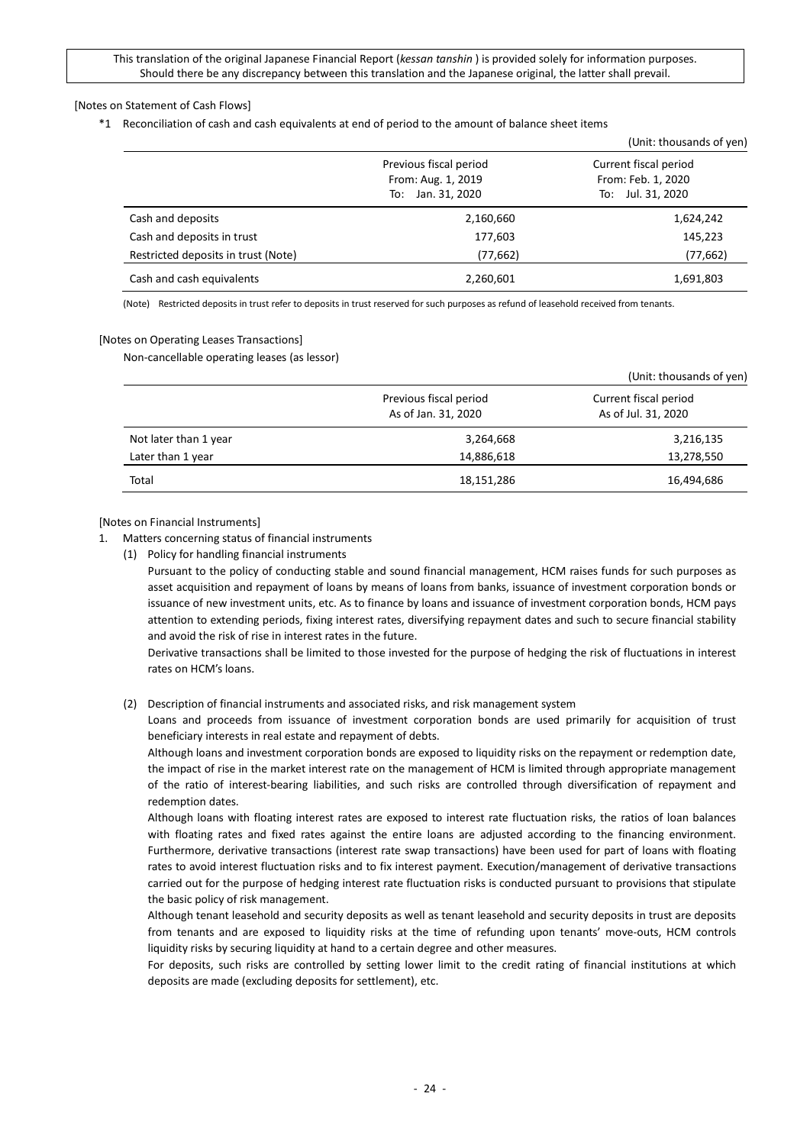#### [Notes on Statement of Cash Flows]

\*1 Reconciliation of cash and cash equivalents at end of period to the amount of balance sheet items

|                                     |                                                                      | (Unit: thousands of yen)                                            |
|-------------------------------------|----------------------------------------------------------------------|---------------------------------------------------------------------|
|                                     | Previous fiscal period<br>From: Aug. 1, 2019<br>Jan. 31, 2020<br>To: | Current fiscal period<br>From: Feb. 1, 2020<br>Jul. 31, 2020<br>To: |
| Cash and deposits                   | 2,160,660                                                            | 1,624,242                                                           |
| Cash and deposits in trust          | 177,603                                                              | 145,223                                                             |
| Restricted deposits in trust (Note) | (77,662)                                                             | (77, 662)                                                           |
| Cash and cash equivalents           | 2,260,601                                                            | 1,691,803                                                           |

(Note) Restricted deposits in trust refer to deposits in trust reserved for such purposes as refund of leasehold received from tenants.

#### [Notes on Operating Leases Transactions]

Non-cancellable operating leases (as lessor)

|                       |                                               | (Unit: thousands of yen)                     |  |
|-----------------------|-----------------------------------------------|----------------------------------------------|--|
|                       | Previous fiscal period<br>As of Jan. 31, 2020 | Current fiscal period<br>As of Jul. 31, 2020 |  |
| Not later than 1 year | 3,264,668                                     | 3,216,135                                    |  |
| Later than 1 year     | 14,886,618                                    | 13,278,550                                   |  |
| Total                 | 18,151,286                                    | 16,494,686                                   |  |

#### [Notes on Financial Instruments]

- 1. Matters concerning status of financial instruments
	- (1) Policy for handling financial instruments

Pursuant to the policy of conducting stable and sound financial management, HCM raises funds for such purposes as asset acquisition and repayment of loans by means of loans from banks, issuance of investment corporation bonds or issuance of new investment units, etc. As to finance by loans and issuance of investment corporation bonds, HCM pays attention to extending periods, fixing interest rates, diversifying repayment dates and such to secure financial stability and avoid the risk of rise in interest rates in the future.

Derivative transactions shall be limited to those invested for the purpose of hedging the risk of fluctuations in interest rates on HCM's loans.

(2) Description of financial instruments and associated risks, and risk management system

Loans and proceeds from issuance of investment corporation bonds are used primarily for acquisition of trust beneficiary interests in real estate and repayment of debts.

Although loans and investment corporation bonds are exposed to liquidity risks on the repayment or redemption date, the impact of rise in the market interest rate on the management of HCM is limited through appropriate management of the ratio of interest-bearing liabilities, and such risks are controlled through diversification of repayment and redemption dates.

Although loans with floating interest rates are exposed to interest rate fluctuation risks, the ratios of loan balances with floating rates and fixed rates against the entire loans are adjusted according to the financing environment. Furthermore, derivative transactions (interest rate swap transactions) have been used for part of loans with floating rates to avoid interest fluctuation risks and to fix interest payment. Execution/management of derivative transactions carried out for the purpose of hedging interest rate fluctuation risks is conducted pursuant to provisions that stipulate the basic policy of risk management.

Although tenant leasehold and security deposits as well as tenant leasehold and security deposits in trust are deposits from tenants and are exposed to liquidity risks at the time of refunding upon tenants' move-outs, HCM controls liquidity risks by securing liquidity at hand to a certain degree and other measures.

For deposits, such risks are controlled by setting lower limit to the credit rating of financial institutions at which deposits are made (excluding deposits for settlement), etc.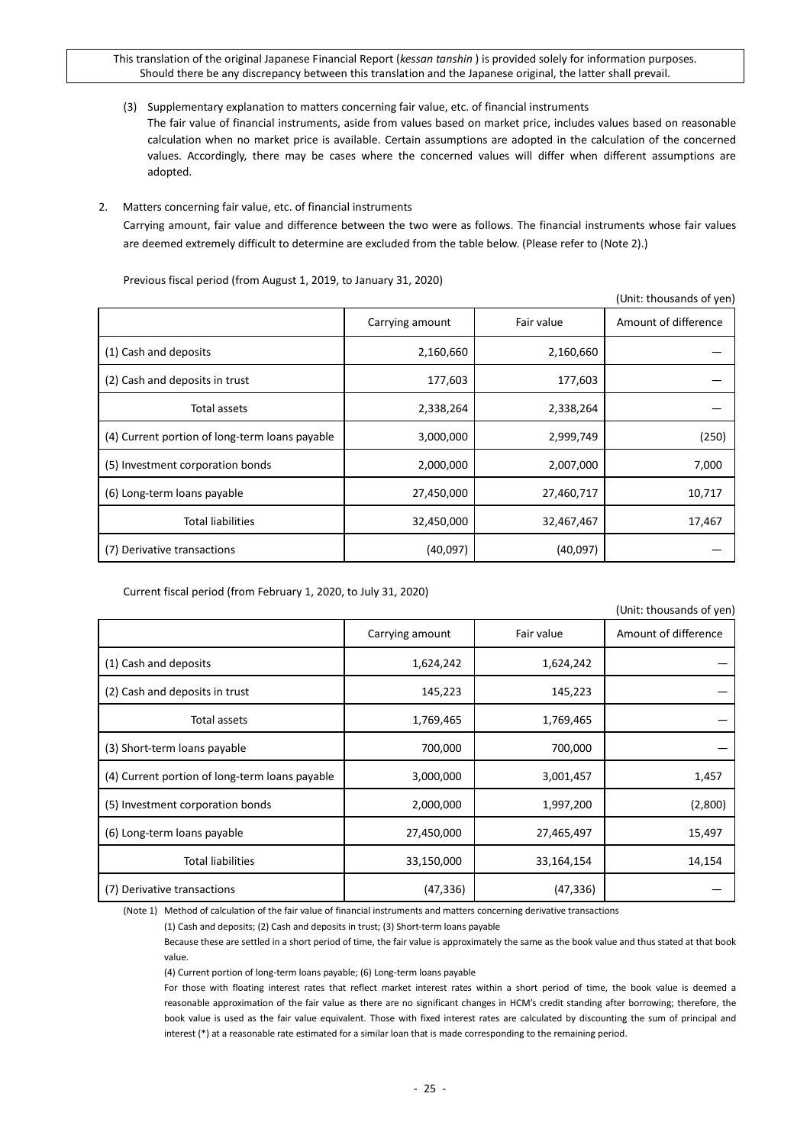(3) Supplementary explanation to matters concerning fair value, etc. of financial instruments

The fair value of financial instruments, aside from values based on market price, includes values based on reasonable calculation when no market price is available. Certain assumptions are adopted in the calculation of the concerned values. Accordingly, there may be cases where the concerned values will differ when different assumptions are adopted.

## 2. Matters concerning fair value, etc. of financial instruments

Carrying amount, fair value and difference between the two were as follows. The financial instruments whose fair values are deemed extremely difficult to determine are excluded from the table below. (Please refer to (Note 2).)

 $(0, 1)$  the thousands of  $(0, 0)$ 

|                                                |                 |            | (UNIIL. LHUUSHIIUS UI YEN) |
|------------------------------------------------|-----------------|------------|----------------------------|
|                                                | Carrying amount | Fair value | Amount of difference       |
| (1) Cash and deposits                          | 2,160,660       | 2,160,660  |                            |
| (2) Cash and deposits in trust                 | 177,603         | 177,603    |                            |
| Total assets                                   | 2,338,264       | 2,338,264  |                            |
| (4) Current portion of long-term loans payable | 3,000,000       | 2,999,749  | (250)                      |
| (5) Investment corporation bonds               | 2,000,000       | 2,007,000  | 7,000                      |
| (6) Long-term loans payable                    | 27,450,000      | 27,460,717 | 10,717                     |
| <b>Total liabilities</b>                       | 32,450,000      | 32,467,467 | 17,467                     |
| (7) Derivative transactions                    | (40,097)        | (40,097)   |                            |

Previous fiscal period (from August 1, 2019, to January 31, 2020)

Current fiscal period (from February 1, 2020, to July 31, 2020)

|                                                |                 |            | (Unit: thousands of yen) |
|------------------------------------------------|-----------------|------------|--------------------------|
|                                                | Carrying amount | Fair value | Amount of difference     |
| (1) Cash and deposits                          | 1,624,242       | 1,624,242  |                          |
| (2) Cash and deposits in trust                 | 145,223         | 145,223    |                          |
| Total assets                                   | 1,769,465       | 1,769,465  |                          |
| (3) Short-term loans payable                   | 700,000         | 700,000    |                          |
| (4) Current portion of long-term loans payable | 3,000,000       | 3,001,457  | 1,457                    |
| (5) Investment corporation bonds               | 2,000,000       | 1,997,200  | (2,800)                  |
| (6) Long-term loans payable                    | 27,450,000      | 27,465,497 | 15,497                   |
| <b>Total liabilities</b>                       | 33,150,000      | 33,164,154 | 14,154                   |
| (7) Derivative transactions                    | (47, 336)       | (47,336)   |                          |

(Note 1) Method of calculation of the fair value of financial instruments and matters concerning derivative transactions

(1) Cash and deposits; (2) Cash and deposits in trust; (3) Short-term loans payable

Because these are settled in a short period of time, the fair value is approximately the same as the book value and thus stated at that book value.

(4) Current portion of long-term loans payable; (6) Long-term loans payable

For those with floating interest rates that reflect market interest rates within a short period of time, the book value is deemed a reasonable approximation of the fair value as there are no significant changes in HCM's credit standing after borrowing; therefore, the book value is used as the fair value equivalent. Those with fixed interest rates are calculated by discounting the sum of principal and interest (\*) at a reasonable rate estimated for a similar loan that is made corresponding to the remaining period.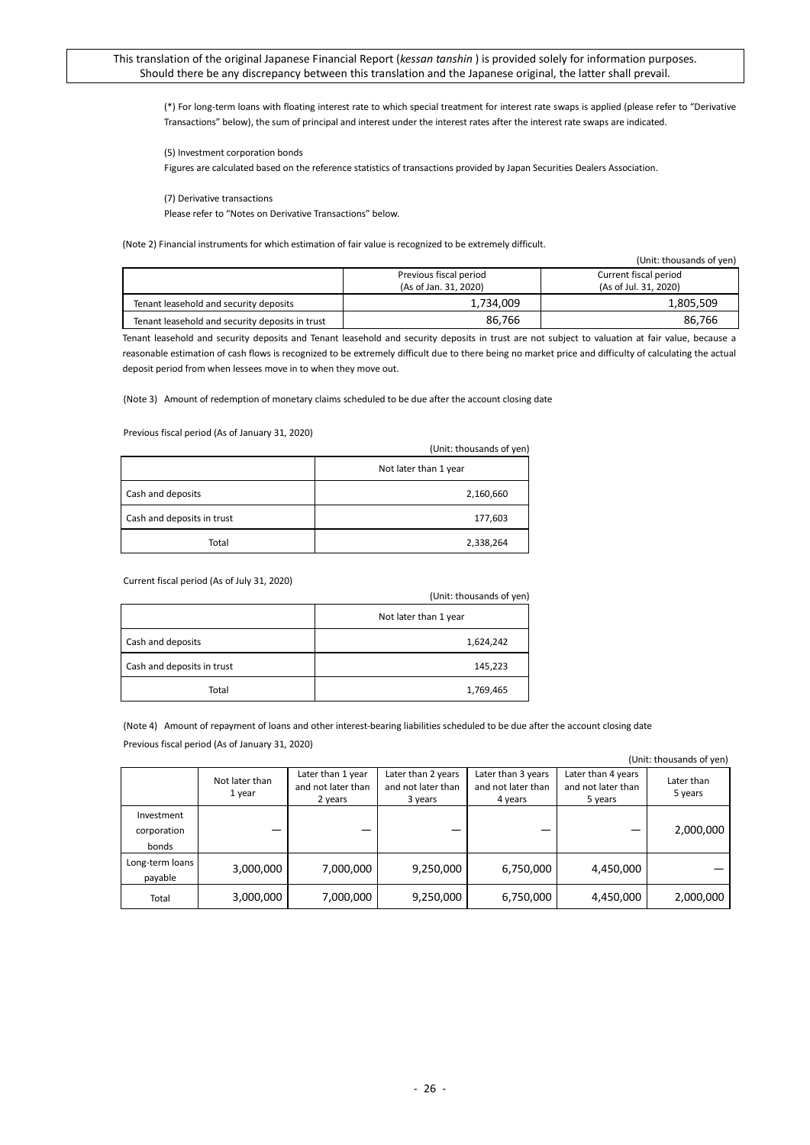(\*) For long-term loans with floating interest rate to which special treatment for interest rate swaps is applied (please refer to "Derivative Transactions" below), the sum of principal and interest under the interest rates after the interest rate swaps are indicated.

(5) Investment corporation bonds

Figures are calculated based on the reference statistics of transactions provided by Japan Securities Dealers Association.

(7) Derivative transactions

Please refer to "Notes on Derivative Transactions" below.

(Note 2) Financial instruments for which estimation of fair value is recognized to be extremely difficult.

|  |                                                 |                        | (Unit: thousands of yen) |
|--|-------------------------------------------------|------------------------|--------------------------|
|  |                                                 | Previous fiscal period | Current fiscal period    |
|  |                                                 | (As of Jan. 31, 2020)  | (As of Jul. 31, 2020)    |
|  | Tenant leasehold and security deposits          | 1,734,009              | 1,805,509                |
|  | Tenant leasehold and security deposits in trust | 86.766                 | 86.766                   |

Tenant leasehold and security deposits and Tenant leasehold and security deposits in trust are not subject to valuation at fair value, because a reasonable estimation of cash flows is recognized to be extremely difficult due to there being no market price and difficulty of calculating the actual deposit period from when lessees move in to when they move out.

(Note 3) Amount of redemption of monetary claims scheduled to be due after the account closing date

Previous fiscal period (As of January 31, 2020)

|                            | (Unit: thousands of yen) |
|----------------------------|--------------------------|
|                            | Not later than 1 year    |
| Cash and deposits          | 2,160,660                |
| Cash and deposits in trust | 177,603                  |
| Total                      | 2,338,264                |

Current fiscal period (As of July 31, 2020)

|                            | (Unit: thousands of yen) |
|----------------------------|--------------------------|
|                            | Not later than 1 year    |
| Cash and deposits          | 1,624,242                |
| Cash and deposits in trust | 145,223                  |
| Total                      | 1,769,465                |

(Note 4) Amount of repayment of loans and other interest-bearing liabilities scheduled to be due after the account closing date Previous fiscal period (As of January 31, 2020)

|                                    |                          |                                                    |                                                     |                                                     |                                                     | UIII. LIIUUSAIIUS UI VEII <i>I</i> |
|------------------------------------|--------------------------|----------------------------------------------------|-----------------------------------------------------|-----------------------------------------------------|-----------------------------------------------------|------------------------------------|
|                                    | Not later than<br>1 year | Later than 1 year<br>and not later than<br>2 years | Later than 2 years<br>and not later than<br>3 years | Later than 3 years<br>and not later than<br>4 years | Later than 4 years<br>and not later than<br>5 years | Later than<br>5 years              |
| Investment<br>corporation<br>bonds |                          |                                                    |                                                     |                                                     |                                                     | 2,000,000                          |
| Long-term loans<br>payable         | 3,000,000                | 7,000,000                                          | 9,250,000                                           | 6,750,000                                           | 4,450,000                                           |                                    |
| Total                              | 3,000,000                | 7,000,000                                          | 9,250,000                                           | 6,750,000                                           | 4,450,000                                           | 2,000,000                          |

(Unit: thousands of yen)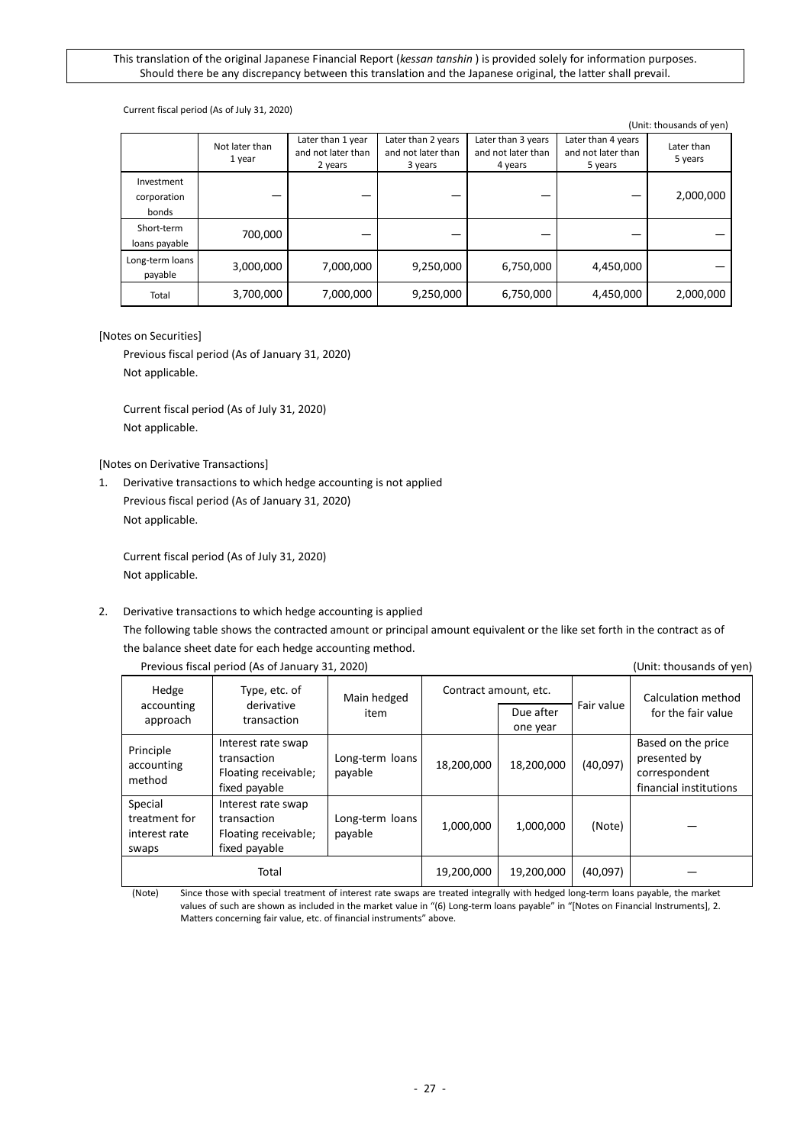#### Current fiscal period (As of July 31, 2020)

|                                    |                          |                                                    |                                                     |                                                     |                                                     | (Unit: thousands of yen) |
|------------------------------------|--------------------------|----------------------------------------------------|-----------------------------------------------------|-----------------------------------------------------|-----------------------------------------------------|--------------------------|
|                                    | Not later than<br>1 year | Later than 1 year<br>and not later than<br>2 years | Later than 2 years<br>and not later than<br>3 years | Later than 3 years<br>and not later than<br>4 years | Later than 4 years<br>and not later than<br>5 years | Later than<br>5 years    |
| Investment<br>corporation<br>bonds |                          |                                                    |                                                     |                                                     |                                                     | 2,000,000                |
| Short-term<br>loans payable        | 700,000                  |                                                    |                                                     |                                                     |                                                     |                          |
| Long-term loans<br>payable         | 3,000,000                | 7,000,000                                          | 9,250,000                                           | 6,750,000                                           | 4,450,000                                           |                          |
| Total                              | 3,700,000                | 7,000,000                                          | 9,250,000                                           | 6,750,000                                           | 4,450,000                                           | 2,000,000                |

## [Notes on Securities]

Previous fiscal period (As of January 31, 2020) Not applicable.

Current fiscal period (As of July 31, 2020) Not applicable.

[Notes on Derivative Transactions]

1. Derivative transactions to which hedge accounting is not applied Previous fiscal period (As of January 31, 2020) Not applicable.

Current fiscal period (As of July 31, 2020) Not applicable.

### 2. Derivative transactions to which hedge accounting is applied

The following table shows the contracted amount or principal amount equivalent or the like set forth in the contract as of the balance sheet date for each hedge accounting method.

| Hedge<br>accounting<br>approach                    | Type, etc. of<br>derivative<br>transaction                                 | Main hedged<br>item        | Contract amount, etc. | Due after<br>one year | Fair value | Calculation method<br>for the fair value                                      |
|----------------------------------------------------|----------------------------------------------------------------------------|----------------------------|-----------------------|-----------------------|------------|-------------------------------------------------------------------------------|
| Principle<br>accounting<br>method                  | Interest rate swap<br>transaction<br>Floating receivable;<br>fixed payable | Long-term loans<br>payable | 18,200,000            | 18,200,000            | (40,097)   | Based on the price<br>presented by<br>correspondent<br>financial institutions |
| Special<br>treatment for<br>interest rate<br>swaps | Interest rate swap<br>transaction<br>Floating receivable;<br>fixed payable | Long-term loans<br>payable | 1,000,000             | 1,000,000             | (Note)     |                                                                               |
|                                                    | Total                                                                      |                            | 19,200,000            | 19,200,000            | (40,097)   |                                                                               |

Previous fiscal period (As of January 31, 2020) (Unit: thousands of yen)

(Note) Since those with special treatment of interest rate swaps are treated integrally with hedged long-term loans payable, the market values of such are shown as included in the market value in "(6) Long-term loans payable" in "[Notes on Financial Instruments], 2. Matters concerning fair value, etc. of financial instruments" above.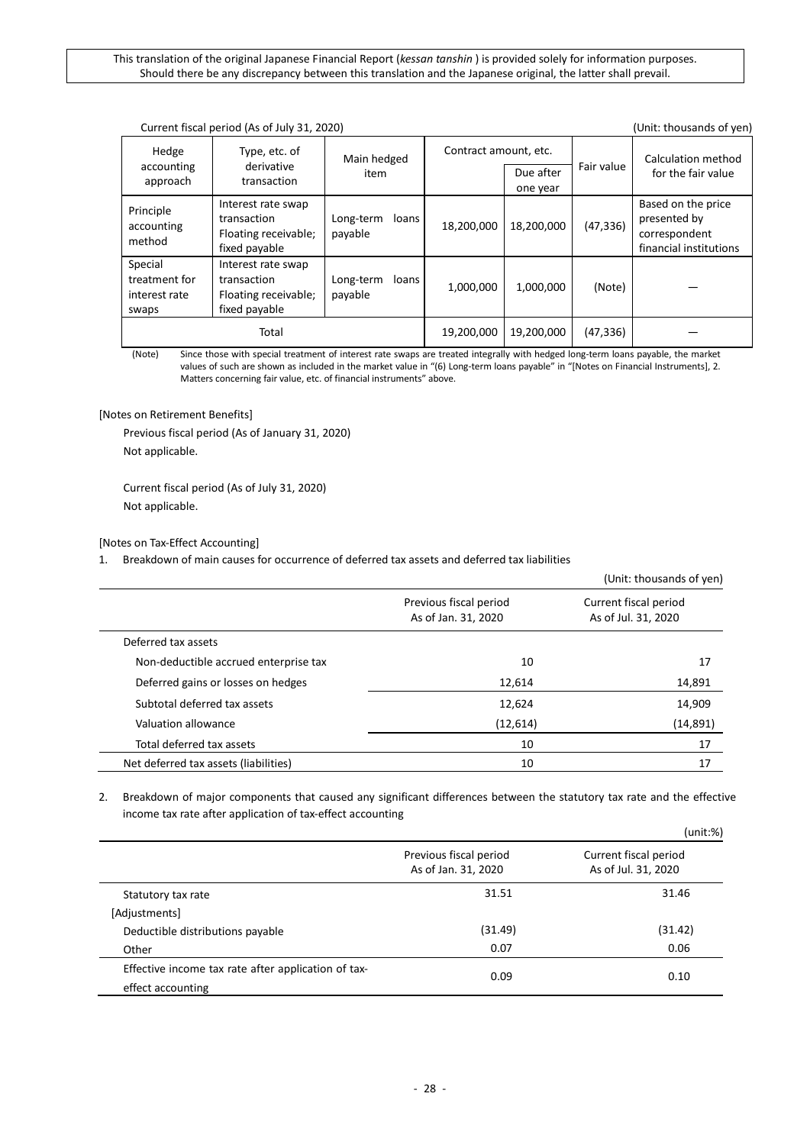|                                                    | Current fiscal period (As of July 31, 2020)<br>(Unit: thousands of yen)    |                                              |            |                       |            |                                                                               |  |
|----------------------------------------------------|----------------------------------------------------------------------------|----------------------------------------------|------------|-----------------------|------------|-------------------------------------------------------------------------------|--|
| Hedge<br>accounting<br>approach                    | Type, etc. of<br>derivative<br>transaction                                 | Contract amount, etc.<br>Main hedged<br>item |            | Due after<br>one year | Fair value | Calculation method<br>for the fair value                                      |  |
| Principle<br>accounting<br>method                  | Interest rate swap<br>transaction<br>Floating receivable;<br>fixed payable | Long-term<br>loans<br>payable                | 18,200,000 | 18,200,000            | (47, 336)  | Based on the price<br>presented by<br>correspondent<br>financial institutions |  |
| Special<br>treatment for<br>interest rate<br>swaps | Interest rate swap<br>transaction<br>Floating receivable;<br>fixed payable | Long-term<br>loans<br>payable                | 1,000,000  | 1,000,000             | (Note)     |                                                                               |  |
|                                                    | Total                                                                      |                                              | 19,200,000 | 19,200,000            | (47, 336)  |                                                                               |  |

(Note) Since those with special treatment of interest rate swaps are treated integrally with hedged long-term loans payable, the market values of such are shown as included in the market value in "(6) Long-term loans payable" in "[Notes on Financial Instruments], 2. Matters concerning fair value, etc. of financial instruments" above.

[Notes on Retirement Benefits]

Previous fiscal period (As of January 31, 2020) Not applicable.

Current fiscal period (As of July 31, 2020) Not applicable.

[Notes on Tax-Effect Accounting]

1. Breakdown of main causes for occurrence of deferred tax assets and deferred tax liabilities

|                                       |                                               | (Unit: thousands of yen)                     |
|---------------------------------------|-----------------------------------------------|----------------------------------------------|
|                                       | Previous fiscal period<br>As of Jan. 31, 2020 | Current fiscal period<br>As of Jul. 31, 2020 |
| Deferred tax assets                   |                                               |                                              |
| Non-deductible accrued enterprise tax | 10                                            | 17                                           |
| Deferred gains or losses on hedges    | 12,614                                        | 14,891                                       |
| Subtotal deferred tax assets          | 12,624                                        | 14,909                                       |
| Valuation allowance                   | (12,614)                                      | (14, 891)                                    |
| Total deferred tax assets             | 10                                            | 17                                           |
| Net deferred tax assets (liabilities) | 10                                            | 17                                           |

## 2. Breakdown of major components that caused any significant differences between the statutory tax rate and the effective income tax rate after application of tax-effect accounting

|                                                                          |                                               | (unit:%)                                     |
|--------------------------------------------------------------------------|-----------------------------------------------|----------------------------------------------|
|                                                                          | Previous fiscal period<br>As of Jan. 31, 2020 | Current fiscal period<br>As of Jul. 31, 2020 |
| Statutory tax rate                                                       | 31.51                                         | 31.46                                        |
| [Adjustments]                                                            |                                               |                                              |
| Deductible distributions payable                                         | (31.49)                                       | (31.42)                                      |
| Other                                                                    | 0.07                                          | 0.06                                         |
| Effective income tax rate after application of tax-<br>effect accounting | 0.09                                          | 0.10                                         |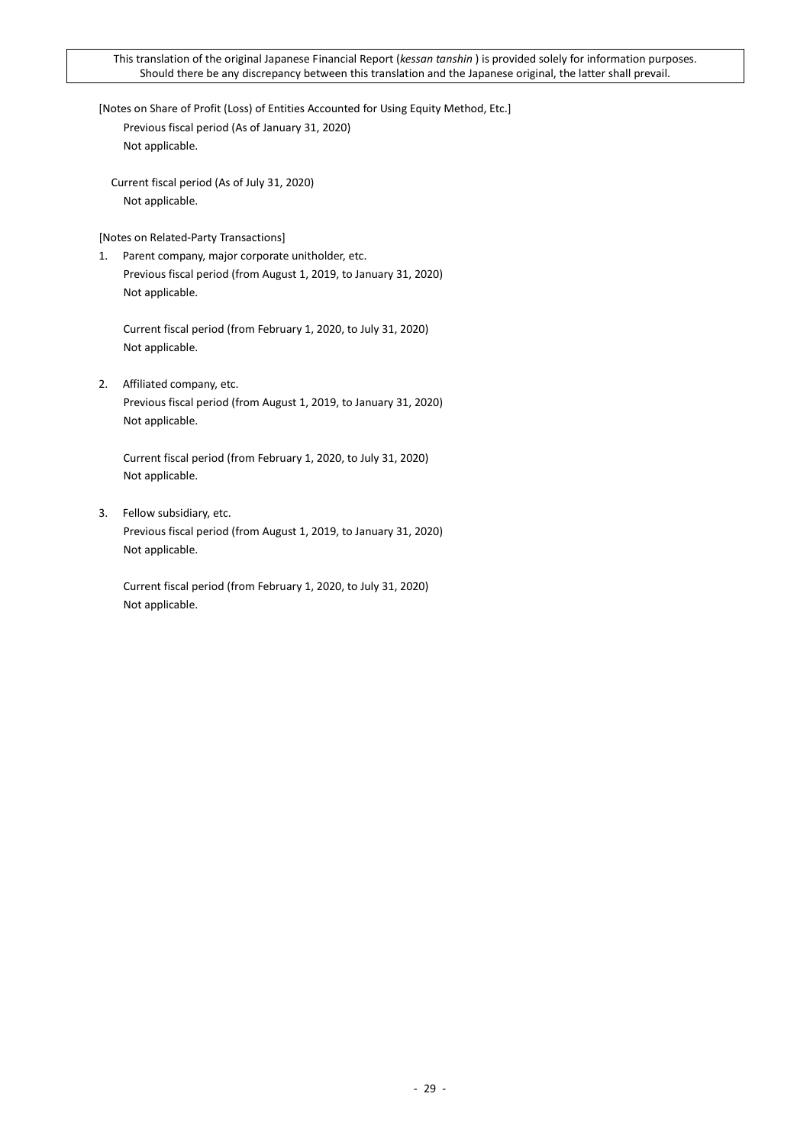[Notes on Share of Profit (Loss) of Entities Accounted for Using Equity Method, Etc.] Previous fiscal period (As of January 31, 2020) Not applicable.

Current fiscal period (As of July 31, 2020) Not applicable.

[Notes on Related-Party Transactions]

1. Parent company, major corporate unitholder, etc. Previous fiscal period (from August 1, 2019, to January 31, 2020) Not applicable.

Current fiscal period (from February 1, 2020, to July 31, 2020) Not applicable.

2. Affiliated company, etc. Previous fiscal period (from August 1, 2019, to January 31, 2020) Not applicable.

Current fiscal period (from February 1, 2020, to July 31, 2020) Not applicable.

3. Fellow subsidiary, etc. Previous fiscal period (from August 1, 2019, to January 31, 2020) Not applicable.

Current fiscal period (from February 1, 2020, to July 31, 2020) Not applicable.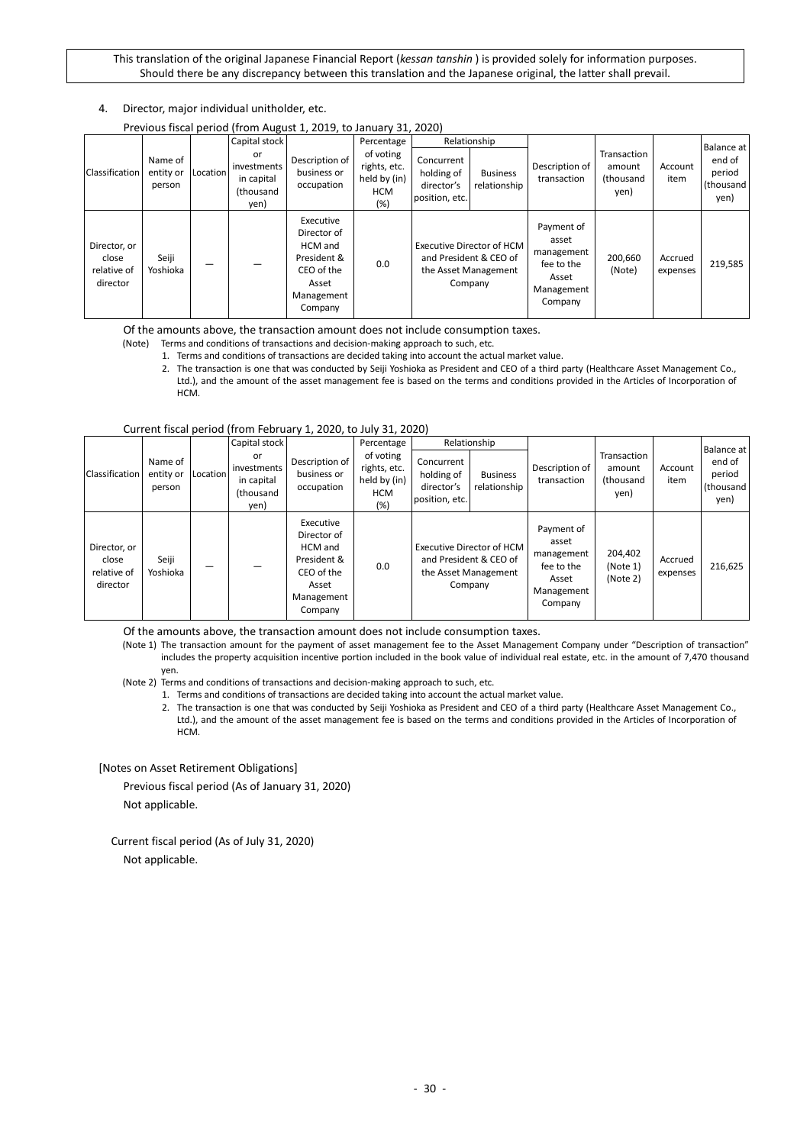4. Director, major individual unitholder, etc.

Previous fiscal period (from August 1, 2019, to January 31, 2020)

|                                                  |                                |          | Capital stock                                        |                                                                                                    | Percentage                                                      |                                                          | Relationship                                                                           |                                                                                   |                                            |                     | <b>Balance at</b>                     |
|--------------------------------------------------|--------------------------------|----------|------------------------------------------------------|----------------------------------------------------------------------------------------------------|-----------------------------------------------------------------|----------------------------------------------------------|----------------------------------------------------------------------------------------|-----------------------------------------------------------------------------------|--------------------------------------------|---------------------|---------------------------------------|
| Classification                                   | Name of<br>entity or<br>person | Location | or<br>investments<br>in capital<br>(thousand<br>yen) | Description of<br>business or<br>occupation                                                        | of voting<br>rights, etc.<br>held by (in)<br><b>HCM</b><br>(% ) | Concurrent<br>holding of<br>director's<br>position, etc. | <b>Business</b><br>relationship                                                        | Description of<br>transaction                                                     | Transaction<br>amount<br>(thousand<br>yen) | Account<br>item     | end of<br>period<br>(thousand<br>yen) |
| Director, or<br>close<br>relative of<br>director | Seiji<br>Yoshioka              |          |                                                      | Executive<br>Director of<br>HCM and<br>President &<br>CEO of the<br>Asset<br>Management<br>Company | 0.0                                                             |                                                          | Executive Director of HCM<br>and President & CEO of<br>the Asset Management<br>Company | Payment of<br>asset<br>management<br>fee to the<br>Asset<br>Management<br>Company | 200,660<br>(Note)                          | Accrued<br>expenses | 219,585                               |

Of the amounts above, the transaction amount does not include consumption taxes.

(Note) Terms and conditions of transactions and decision-making approach to such, etc.

1. Terms and conditions of transactions are decided taking into account the actual market value.

2. The transaction is one that was conducted by Seiji Yoshioka as President and CEO of a third party (Healthcare Asset Management Co., Ltd.), and the amount of the asset management fee is based on the terms and conditions provided in the Articles of Incorporation of HCM.

| Classification                                   | Name of<br>entity or<br>person | Location | Capital stock<br>or<br>investments<br>in capital<br>(thousand | Description of<br>business or<br>occupation                                                        | Percentage<br>of voting<br>rights, etc.<br>held by (in)<br><b>HCM</b> | Concurrent<br>holding of<br>director's<br>position, etc. | Relationship<br><b>Business</b><br>relationship                                               | Description of<br>transaction                                                     | Transaction<br>amount<br>(thousand<br>yen) | Account<br>item     | Balance at<br>end of<br>period<br>(thousand<br>yen) |
|--------------------------------------------------|--------------------------------|----------|---------------------------------------------------------------|----------------------------------------------------------------------------------------------------|-----------------------------------------------------------------------|----------------------------------------------------------|-----------------------------------------------------------------------------------------------|-----------------------------------------------------------------------------------|--------------------------------------------|---------------------|-----------------------------------------------------|
| Director, or<br>close<br>relative of<br>director | Seiji<br>Yoshioka              |          | yen)                                                          | Executive<br>Director of<br>HCM and<br>President &<br>CEO of the<br>Asset<br>Management<br>Company | (%)<br>0.0                                                            |                                                          | <b>Executive Director of HCM</b><br>and President & CEO of<br>the Asset Management<br>Company | Payment of<br>asset<br>management<br>fee to the<br>Asset<br>Management<br>Company | 204,402<br>(Note 1)<br>(Note 2)            | Accrued<br>expenses | 216,625                                             |

Of the amounts above, the transaction amount does not include consumption taxes.

(Note 1) The transaction amount for the payment of asset management fee to the Asset Management Company under "Description of transaction" includes the property acquisition incentive portion included in the book value of individual real estate, etc. in the amount of 7,470 thousand yen.

(Note 2) Terms and conditions of transactions and decision-making approach to such, etc.

- 1. Terms and conditions of transactions are decided taking into account the actual market value.
- 2. The transaction is one that was conducted by Seiji Yoshioka as President and CEO of a third party (Healthcare Asset Management Co., Ltd.), and the amount of the asset management fee is based on the terms and conditions provided in the Articles of Incorporation of HCM.

[Notes on Asset Retirement Obligations]

Previous fiscal period (As of January 31, 2020) Not applicable.

Current fiscal period (As of July 31, 2020) Not applicable.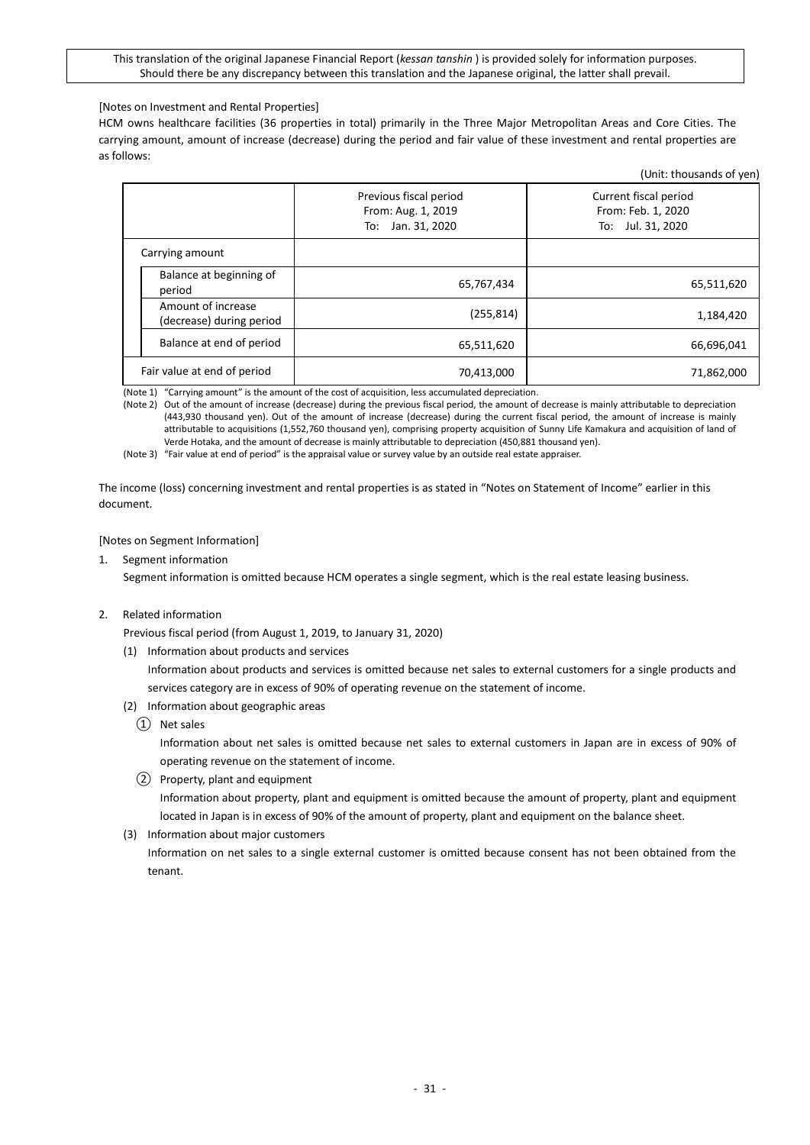[Notes on Investment and Rental Properties]

HCM owns healthcare facilities (36 properties in total) primarily in the Three Major Metropolitan Areas and Core Cities. The carrying amount, amount of increase (decrease) during the period and fair value of these investment and rental properties are as follows:

|                                                |                                                                      | (Unit: thousands of yen                                          |
|------------------------------------------------|----------------------------------------------------------------------|------------------------------------------------------------------|
|                                                | Previous fiscal period<br>From: Aug. 1, 2019<br>Jan. 31, 2020<br>To: | Current fiscal period<br>From: Feb. 1, 2020<br>To: Jul. 31, 2020 |
| Carrying amount                                |                                                                      |                                                                  |
| Balance at beginning of<br>period              | 65,767,434                                                           | 65,511,620                                                       |
| Amount of increase<br>(decrease) during period | (255, 814)                                                           | 1,184,420                                                        |
| Balance at end of period                       | 65,511,620                                                           | 66,696,041                                                       |
| Fair value at end of period                    | 70,413,000                                                           | 71,862,000                                                       |

(Note 1) "Carrying amount" is the amount of the cost of acquisition, less accumulated depreciation.

(Note 2) Out of the amount of increase (decrease) during the previous fiscal period, the amount of decrease is mainly attributable to depreciation (443,930 thousand yen). Out of the amount of increase (decrease) during the current fiscal period, the amount of increase is mainly attributable to acquisitions (1,552,760 thousand yen), comprising property acquisition of Sunny Life Kamakura and acquisition of land of Verde Hotaka, and the amount of decrease is mainly attributable to depreciation (450,881 thousand yen).

(Note 3) "Fair value at end of period" is the appraisal value or survey value by an outside real estate appraiser.

The income (loss) concerning investment and rental properties is as stated in "Notes on Statement of Income" earlier in this document.

#### [Notes on Segment Information]

1. Segment information

Segment information is omitted because HCM operates a single segment, which is the real estate leasing business.

#### 2. Related information

Previous fiscal period (from August 1, 2019, to January 31, 2020)

(1) Information about products and services

Information about products and services is omitted because net sales to external customers for a single products and services category are in excess of 90% of operating revenue on the statement of income.

- (2) Information about geographic areas
	- ① Net sales

Information about net sales is omitted because net sales to external customers in Japan are in excess of 90% of operating revenue on the statement of income.

- ② Property, plant and equipment Information about property, plant and equipment is omitted because the amount of property, plant and equipment located in Japan is in excess of 90% of the amount of property, plant and equipment on the balance sheet.
- (3) Information about major customers

Information on net sales to a single external customer is omitted because consent has not been obtained from the tenant.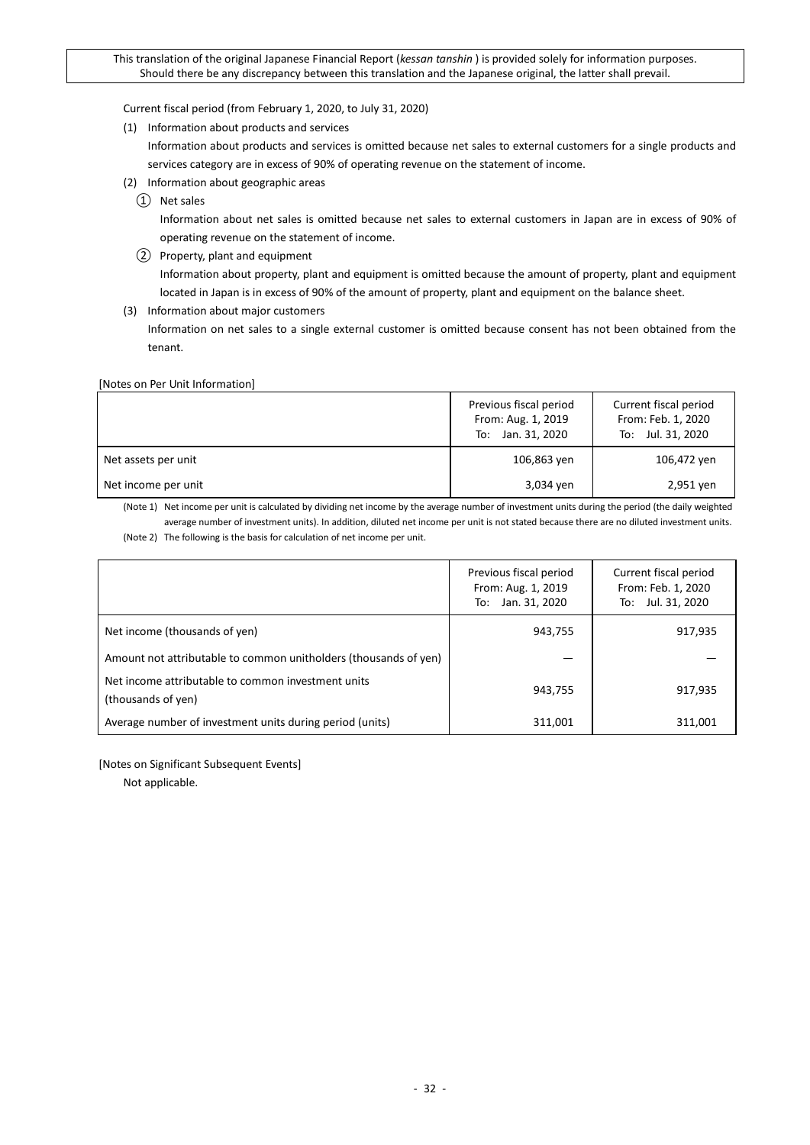Current fiscal period (from February 1, 2020, to July 31, 2020)

(1) Information about products and services

Information about products and services is omitted because net sales to external customers for a single products and services category are in excess of 90% of operating revenue on the statement of income.

- (2) Information about geographic areas
	- ① Net sales

Information about net sales is omitted because net sales to external customers in Japan are in excess of 90% of operating revenue on the statement of income.

- ② Property, plant and equipment Information about property, plant and equipment is omitted because the amount of property, plant and equipment located in Japan is in excess of 90% of the amount of property, plant and equipment on the balance sheet.
- (3) Information about major customers

Information on net sales to a single external customer is omitted because consent has not been obtained from the tenant.

#### [Notes on Per Unit Information]

|                     | Previous fiscal period<br>From: Aug. 1, 2019<br>To: Jan. 31, 2020 | Current fiscal period<br>From: Feb. 1, 2020<br>To: Jul. 31, 2020 |
|---------------------|-------------------------------------------------------------------|------------------------------------------------------------------|
| Net assets per unit | 106,863 yen                                                       | 106,472 yen                                                      |
| Net income per unit | 3,034 yen                                                         | 2,951 yen                                                        |

(Note 1) Net income per unit is calculated by dividing net income by the average number of investment units during the period (the daily weighted average number of investment units). In addition, diluted net income per unit is not stated because there are no diluted investment units. (Note 2) The following is the basis for calculation of net income per unit.

|                                                                          | Previous fiscal period<br>From: Aug. 1, 2019<br>Jan. 31, 2020<br>To: | Current fiscal period<br>From: Feb. 1, 2020<br>To: Jul. 31, 2020 |
|--------------------------------------------------------------------------|----------------------------------------------------------------------|------------------------------------------------------------------|
| Net income (thousands of yen)                                            | 943,755                                                              | 917,935                                                          |
| Amount not attributable to common unitholders (thousands of yen)         |                                                                      |                                                                  |
| Net income attributable to common investment units<br>(thousands of yen) | 943,755                                                              | 917,935                                                          |
| Average number of investment units during period (units)                 | 311,001                                                              | 311.001                                                          |

[Notes on Significant Subsequent Events]

Not applicable.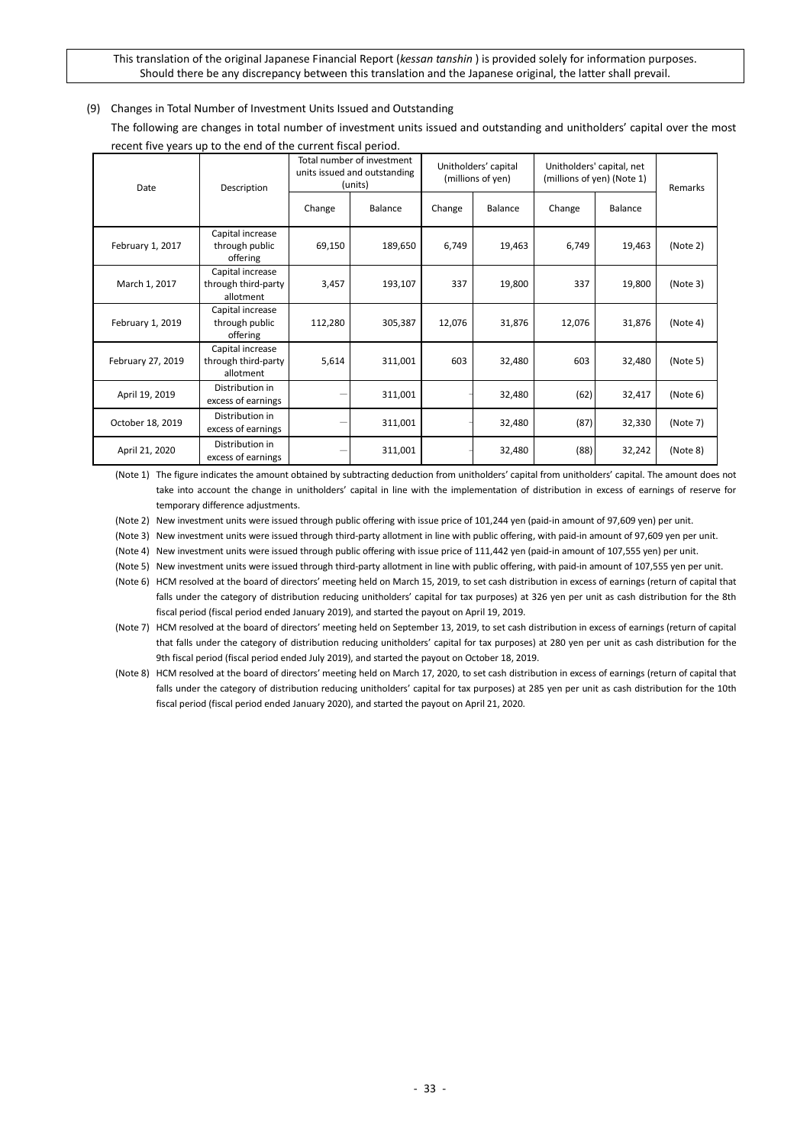#### <span id="page-32-0"></span>(9) Changes in Total Number of Investment Units Issued and Outstanding

The following are changes in total number of investment units issued and outstanding and unitholders' capital over the most recent five years up to the end of the current fiscal period.

| Date              | Description                                          | Total number of investment<br>units issued and outstanding<br>(units) |         | Unitholders' capital<br>(millions of yen) |         | Unitholders' capital, net<br>(millions of yen) (Note 1) |         | Remarks  |
|-------------------|------------------------------------------------------|-----------------------------------------------------------------------|---------|-------------------------------------------|---------|---------------------------------------------------------|---------|----------|
|                   |                                                      | Change                                                                | Balance | Change                                    | Balance | Change                                                  | Balance |          |
| February 1, 2017  | Capital increase<br>through public<br>offering       | 69,150                                                                | 189,650 | 6,749                                     | 19,463  | 6,749                                                   | 19,463  | (Note 2) |
| March 1, 2017     | Capital increase<br>through third-party<br>allotment | 3,457                                                                 | 193,107 | 337                                       | 19,800  | 337                                                     | 19,800  | (Note 3) |
| February 1, 2019  | Capital increase<br>through public<br>offering       | 112,280                                                               | 305,387 | 12,076                                    | 31,876  | 12,076                                                  | 31,876  | (Note 4) |
| February 27, 2019 | Capital increase<br>through third-party<br>allotment | 5,614                                                                 | 311,001 | 603                                       | 32,480  | 603                                                     | 32,480  | (Note 5) |
| April 19, 2019    | Distribution in<br>excess of earnings                |                                                                       | 311,001 |                                           | 32,480  | (62)                                                    | 32,417  | (Note 6) |
| October 18, 2019  | Distribution in<br>excess of earnings                |                                                                       | 311,001 |                                           | 32,480  | (87)                                                    | 32,330  | (Note 7) |
| April 21, 2020    | Distribution in<br>excess of earnings                |                                                                       | 311,001 |                                           | 32,480  | (88)                                                    | 32,242  | (Note 8) |

(Note 1) The figure indicates the amount obtained by subtracting deduction from unitholders' capital from unitholders' capital. The amount does not take into account the change in unitholders' capital in line with the implementation of distribution in excess of earnings of reserve for temporary difference adjustments.

(Note 2) New investment units were issued through public offering with issue price of 101,244 yen (paid-in amount of 97,609 yen) per unit.

(Note 3) New investment units were issued through third-party allotment in line with public offering, with paid-in amount of 97,609 yen per unit.

(Note 4) New investment units were issued through public offering with issue price of 111,442 yen (paid-in amount of 107,555 yen) per unit.

(Note 5) New investment units were issued through third-party allotment in line with public offering, with paid-in amount of 107,555 yen per unit.

(Note 6) HCM resolved at the board of directors' meeting held on March 15, 2019, to set cash distribution in excess of earnings (return of capital that falls under the category of distribution reducing unitholders' capital for tax purposes) at 326 yen per unit as cash distribution for the 8th fiscal period (fiscal period ended January 2019), and started the payout on April 19, 2019.

(Note 7) HCM resolved at the board of directors' meeting held on September 13, 2019, to set cash distribution in excess of earnings (return of capital that falls under the category of distribution reducing unitholders' capital for tax purposes) at 280 yen per unit as cash distribution for the 9th fiscal period (fiscal period ended July 2019), and started the payout on October 18, 2019.

(Note 8) HCM resolved at the board of directors' meeting held on March 17, 2020, to set cash distribution in excess of earnings (return of capital that falls under the category of distribution reducing unitholders' capital for tax purposes) at 285 yen per unit as cash distribution for the 10th fiscal period (fiscal period ended January 2020), and started the payout on April 21, 2020.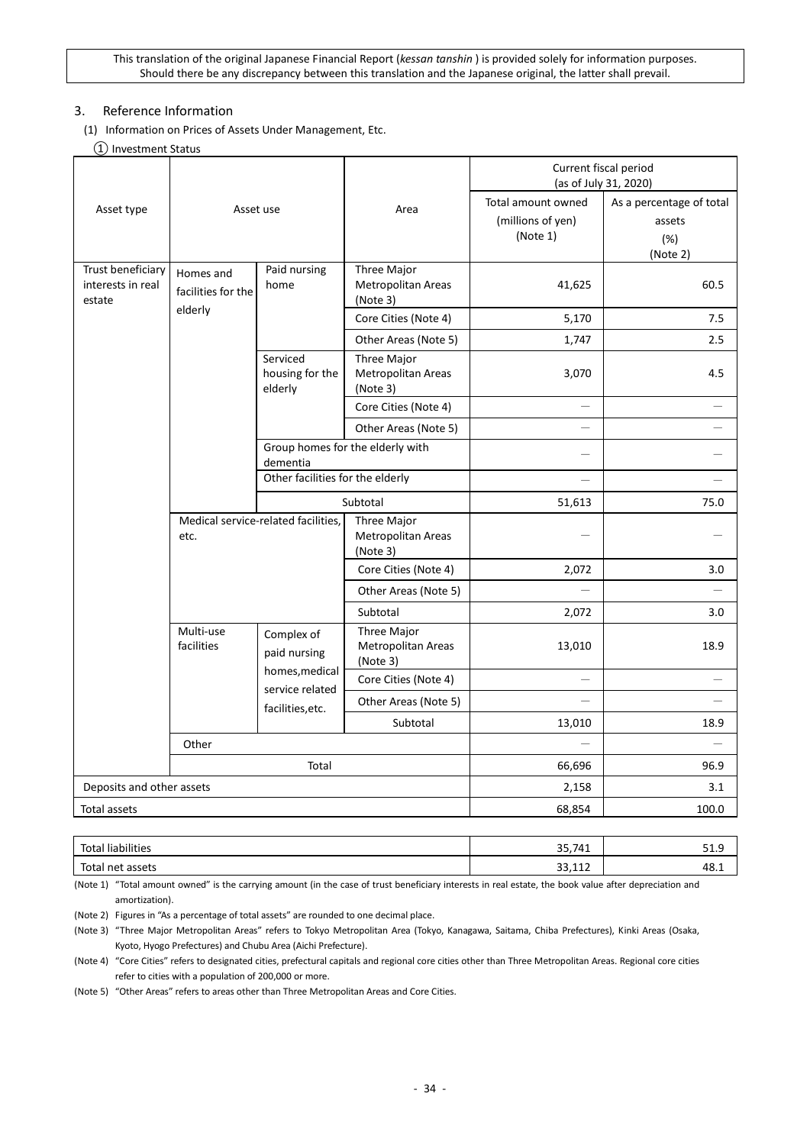## <span id="page-33-0"></span>3. Reference Information

- <span id="page-33-1"></span>(1) Information on Prices of Assets Under Management, Etc.
	- ① Investment Status

|                                                  |                                            |                                              |                                               | Current fiscal period<br>(as of July 31, 2020)      |                                                       |  |  |
|--------------------------------------------------|--------------------------------------------|----------------------------------------------|-----------------------------------------------|-----------------------------------------------------|-------------------------------------------------------|--|--|
| Asset type<br>Asset use                          |                                            |                                              | Area                                          | Total amount owned<br>(millions of yen)<br>(Note 1) | As a percentage of total<br>assets<br>(%)<br>(Note 2) |  |  |
| Trust beneficiary<br>interests in real<br>estate | Homes and<br>facilities for the<br>elderly | Paid nursing<br>home                         | Three Major<br>Metropolitan Areas<br>(Note 3) | 41,625                                              | 60.5                                                  |  |  |
|                                                  |                                            |                                              | Core Cities (Note 4)                          | 5,170                                               | 7.5                                                   |  |  |
|                                                  |                                            |                                              | Other Areas (Note 5)                          | 1,747                                               | 2.5                                                   |  |  |
|                                                  |                                            | Serviced<br>housing for the<br>elderly       | Three Major<br>Metropolitan Areas<br>(Note 3) | 3,070                                               | 4.5                                                   |  |  |
|                                                  |                                            |                                              | Core Cities (Note 4)                          |                                                     |                                                       |  |  |
|                                                  |                                            |                                              | Other Areas (Note 5)                          |                                                     |                                                       |  |  |
|                                                  |                                            | Group homes for the elderly with<br>dementia |                                               |                                                     |                                                       |  |  |
|                                                  |                                            | Other facilities for the elderly             |                                               |                                                     |                                                       |  |  |
| Medical service-related facilities,<br>etc.      |                                            |                                              | Subtotal                                      | 51,613                                              | 75.0                                                  |  |  |
|                                                  |                                            |                                              | Three Major<br>Metropolitan Areas<br>(Note 3) |                                                     |                                                       |  |  |
|                                                  |                                            |                                              | Core Cities (Note 4)                          | 2,072                                               | 3.0                                                   |  |  |
|                                                  |                                            |                                              | Other Areas (Note 5)                          |                                                     |                                                       |  |  |
|                                                  |                                            |                                              | Subtotal                                      | 2,072                                               | 3.0                                                   |  |  |
|                                                  | Multi-use<br>facilities                    | Complex of<br>paid nursing                   | Three Major<br>Metropolitan Areas<br>(Note 3) | 13,010                                              | 18.9                                                  |  |  |
|                                                  |                                            | homes, medical<br>service related            | Core Cities (Note 4)                          | $\overline{\phantom{0}}$                            |                                                       |  |  |
|                                                  |                                            | facilities, etc.                             | Other Areas (Note 5)                          |                                                     |                                                       |  |  |
|                                                  |                                            |                                              | Subtotal                                      | 13,010                                              | 18.9                                                  |  |  |
|                                                  | Other                                      |                                              |                                               |                                                     |                                                       |  |  |
|                                                  |                                            | Total                                        |                                               | 66,696                                              | 96.9                                                  |  |  |
| Deposits and other assets                        |                                            |                                              |                                               | 2,158                                               | 3.1                                                   |  |  |
| Total assets                                     |                                            |                                              |                                               | 68,854                                              | 100.0                                                 |  |  |

| Total liabilities | <b>DE</b><br>35,741                                 | 51.9 |
|-------------------|-----------------------------------------------------|------|
| Total net assets  | $\overline{A}$<br>$\mathbf{\sim}$<br><b>JJ, 112</b> | 48.⊥ |

(Note 1) "Total amount owned" is the carrying amount (in the case of trust beneficiary interests in real estate, the book value after depreciation and amortization).

(Note 2) Figures in "As a percentage of total assets" are rounded to one decimal place.

(Note 3) "Three Major Metropolitan Areas" refers to Tokyo Metropolitan Area (Tokyo, Kanagawa, Saitama, Chiba Prefectures), Kinki Areas (Osaka, Kyoto, Hyogo Prefectures) and Chubu Area (Aichi Prefecture).

(Note 4) "Core Cities" refers to designated cities, prefectural capitals and regional core cities other than Three Metropolitan Areas. Regional core cities refer to cities with a population of 200,000 or more.

(Note 5) "Other Areas" refers to areas other than Three Metropolitan Areas and Core Cities.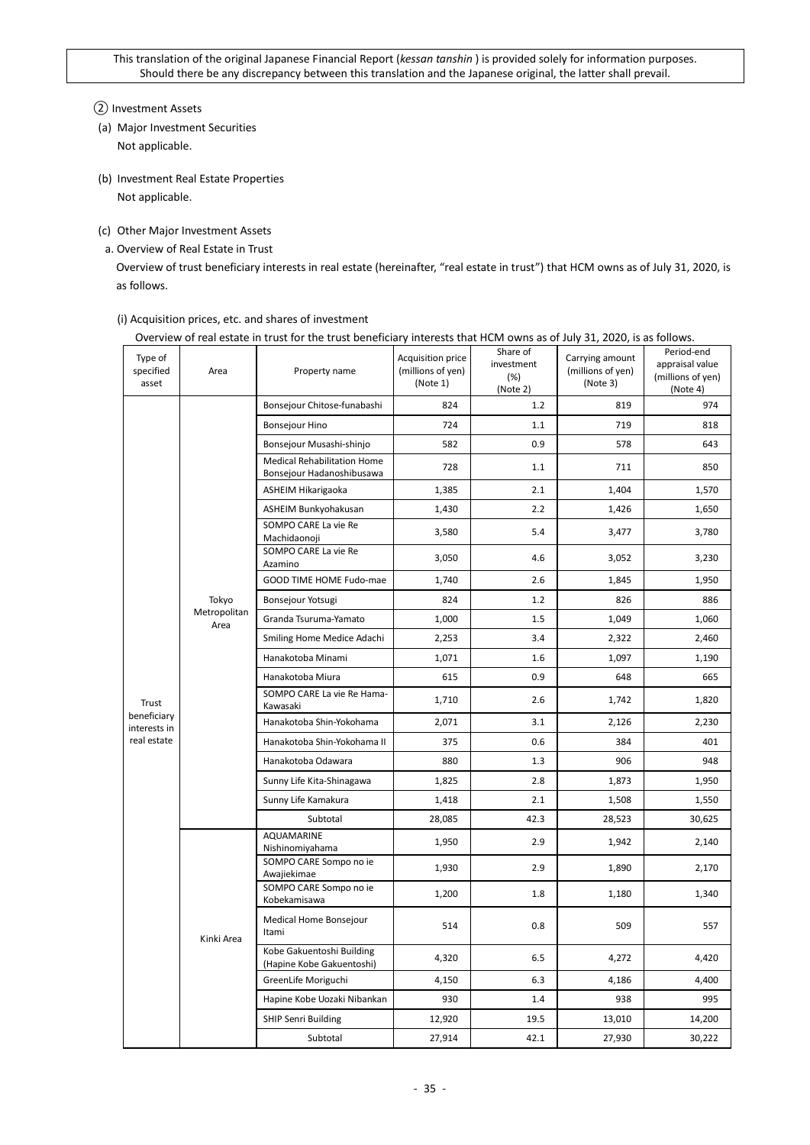## ② Investment Assets

- (a) Major Investment Securities Not applicable.
- (b) Investment Real Estate Properties Not applicable.
- (c) Other Major Investment Assets
- a. Overview of Real Estate in Trust

Overview of trust beneficiary interests in real estate (hereinafter, "real estate in trust") that HCM owns as of July 31, 2020, is as follows.

| Type of<br>specified<br>asset | Area                 | OVERVIEW OFFERE ESTATE IN LINGUIDI THE LINGUIDE INCHENSIVE INTERESTS THAT HER FIGHT OWNS AS OFFICITY 31, 2020, IS AS IONOWS.<br>Property name | Acquisition price<br>(millions of yen)<br>(Note 1) | Share of<br>investment<br>(%)<br>(Note 2) | Carrying amount<br>(millions of yen)<br>(Note 3) | Period-end<br>appraisal value<br>(millions of yen)<br>(Note 4) |
|-------------------------------|----------------------|-----------------------------------------------------------------------------------------------------------------------------------------------|----------------------------------------------------|-------------------------------------------|--------------------------------------------------|----------------------------------------------------------------|
|                               |                      | Bonsejour Chitose-funabashi                                                                                                                   | 824                                                | 1.2                                       | 819                                              | 974                                                            |
|                               |                      | <b>Bonsejour Hino</b>                                                                                                                         | 724                                                | 1.1                                       | 719                                              | 818                                                            |
|                               |                      | Bonsejour Musashi-shinjo                                                                                                                      | 582                                                | 0.9                                       | 578                                              | 643                                                            |
|                               |                      | <b>Medical Rehabilitation Home</b><br>Bonsejour Hadanoshibusawa                                                                               | 728                                                | $1.1\,$                                   | 711                                              | 850                                                            |
|                               |                      | ASHEIM Hikarigaoka                                                                                                                            | 1,385                                              | 2.1                                       |                                                  | 1,570                                                          |
|                               |                      | ASHEIM Bunkyohakusan                                                                                                                          | 1,430                                              | 2.2                                       | 1,426                                            | 1,650                                                          |
|                               |                      | SOMPO CARE La vie Re<br>Machidaonoji                                                                                                          | 3,580                                              | 5.4                                       | 3,477                                            | 3,780                                                          |
|                               |                      | SOMPO CARE La vie Re<br>Azamino                                                                                                               | 3,050                                              | 4.6                                       | 3,052                                            | 3,230                                                          |
|                               |                      | GOOD TIME HOME Fudo-mae                                                                                                                       | 1,740                                              | 2.6                                       | 1,845                                            | 1,950                                                          |
|                               | Tokyo                | Bonsejour Yotsugi                                                                                                                             | 824                                                | 1.2                                       | 826                                              | 886                                                            |
|                               | Metropolitan<br>Area | Granda Tsuruma-Yamato                                                                                                                         | 1,000                                              | 1.5                                       | 1,049                                            | 1,060                                                          |
|                               |                      | Smiling Home Medice Adachi                                                                                                                    | 2,253                                              | 3.4                                       | 2,322                                            | 2,460                                                          |
|                               |                      | Hanakotoba Minami                                                                                                                             | 1,071                                              | 1.6                                       | 1,097                                            | 1,190                                                          |
|                               |                      | Hanakotoba Miura                                                                                                                              | 615                                                | 0.9                                       | 648                                              | 665                                                            |
| Trust                         |                      | SOMPO CARE La vie Re Hama-<br>Kawasaki                                                                                                        | 1,710                                              | 2.6                                       | 1,742                                            | 1,820                                                          |
| beneficiary<br>interests in   |                      | Hanakotoba Shin-Yokohama                                                                                                                      | 2,071                                              | 3.1                                       | 2,126                                            | 2,230                                                          |
| real estate                   |                      | Hanakotoba Shin-Yokohama II                                                                                                                   | 375                                                | 0.6                                       | 384                                              | 401                                                            |
|                               |                      | Hanakotoba Odawara                                                                                                                            | 880                                                | 1.3                                       | 906                                              | 948                                                            |
|                               |                      | Sunny Life Kita-Shinagawa                                                                                                                     | 1,825                                              | 2.8                                       | 1,873                                            | 1,950                                                          |
|                               |                      | Sunny Life Kamakura                                                                                                                           | 1,418                                              | 2.1                                       | 1,508                                            | 1,550                                                          |
|                               |                      | Subtotal                                                                                                                                      | 28,085                                             | 42.3                                      | 28,523                                           | 30,625                                                         |
|                               |                      | AQUAMARINE<br>Nishinomiyahama                                                                                                                 | 1,950                                              | 2.9                                       | 1,942                                            | 2,140                                                          |
|                               |                      | SOMPO CARE Sompo no ie<br>Awajiekimae                                                                                                         | 1,930                                              | 2.9                                       | 1,890                                            | 2,170                                                          |
|                               |                      | SOMPO CARE Sompo no ie<br>Kobekamisawa                                                                                                        | 1,200                                              | 1.8                                       | 1,180                                            | 1,340                                                          |
|                               | Kinki Area           | Medical Home Bonsejour<br>Itami                                                                                                               | 514                                                | 0.8                                       | 509                                              | 557                                                            |
|                               |                      | Kobe Gakuentoshi Building<br>(Hapine Kobe Gakuentoshi)                                                                                        | 4,320                                              | 6.5                                       | 4,272                                            | 4,420                                                          |
|                               |                      | GreenLife Moriguchi                                                                                                                           | 4,150                                              | 6.3                                       | 4,186                                            | 4,400                                                          |
|                               |                      | Hapine Kobe Uozaki Nibankan                                                                                                                   | 930                                                | 1.4                                       | 938                                              | 995                                                            |
|                               |                      | <b>SHIP Senri Building</b>                                                                                                                    | 12,920                                             | 19.5                                      | 13,010                                           | 14,200                                                         |
|                               |                      | Subtotal                                                                                                                                      | 27,914                                             | 42.1                                      | 27,930                                           | 30,222                                                         |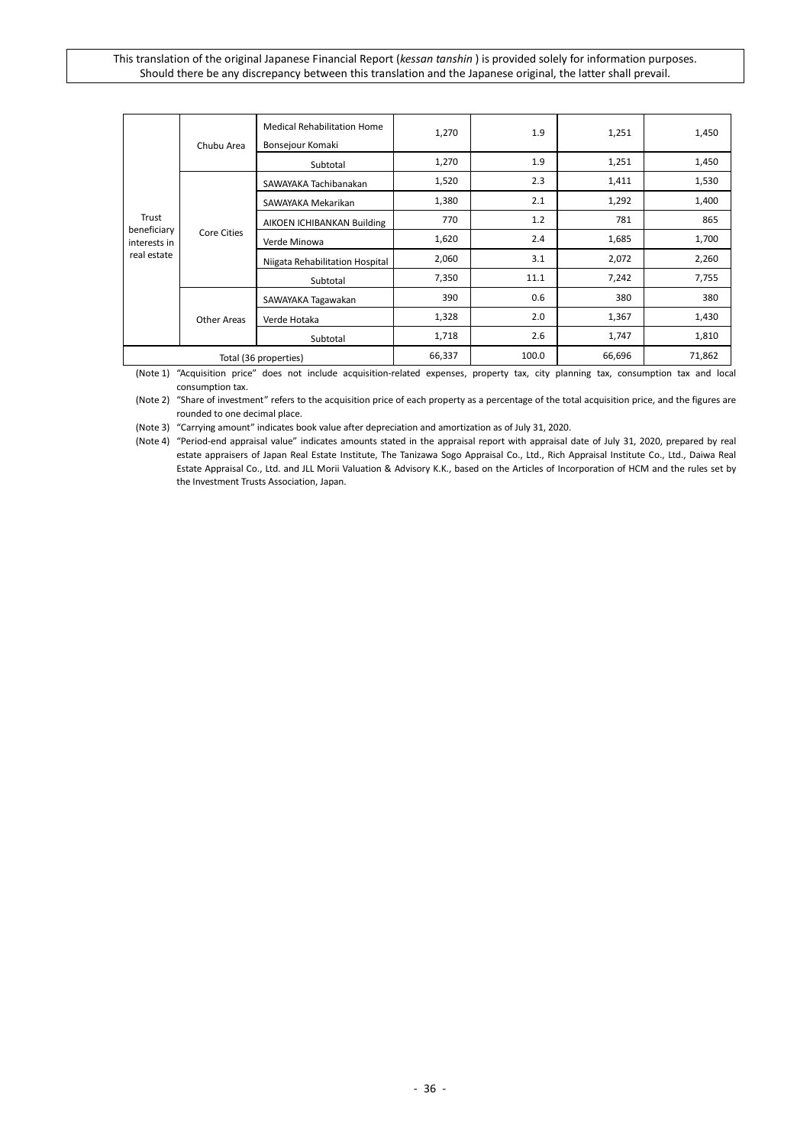|                             | Chubu Area  | <b>Medical Rehabilitation Home</b><br>Bonsejour Komaki | 1,270 | 1.9    | 1,251  | 1,450 |
|-----------------------------|-------------|--------------------------------------------------------|-------|--------|--------|-------|
|                             |             | Subtotal                                               | 1,270 | 1.9    | 1,251  | 1,450 |
|                             |             | SAWAYAKA Tachibanakan                                  | 1,520 | 2.3    | 1,411  | 1,530 |
|                             |             | SAWAYAKA Mekarikan                                     | 1,380 | 2.1    | 1,292  | 1,400 |
| Trust                       |             | AIKOEN ICHIBANKAN Building                             | 770   | 1.2    | 781    | 865   |
| beneficiary<br>interests in | Core Cities | Verde Minowa                                           | 1,620 | 2.4    | 1,685  | 1,700 |
| real estate                 |             | Niigata Rehabilitation Hospital                        | 2,060 | 3.1    | 2,072  | 2,260 |
|                             |             | Subtotal                                               | 7,350 | 11.1   | 7,242  | 7,755 |
|                             |             | SAWAYAKA Tagawakan                                     | 390   | 0.6    | 380    | 380   |
|                             | Other Areas | Verde Hotaka                                           | 1,328 | 2.0    | 1,367  | 1,430 |
|                             |             | Subtotal                                               | 1,718 | 2.6    | 1,747  | 1,810 |
| Total (36 properties)       |             | 66,337                                                 | 100.0 | 66,696 | 71,862 |       |

(Note 1) "Acquisition price" does not include acquisition-related expenses, property tax, city planning tax, consumption tax and local consumption tax.

(Note 2) "Share of investment" refers to the acquisition price of each property as a percentage of the total acquisition price, and the figures are rounded to one decimal place.

(Note 3) "Carrying amount" indicates book value after depreciation and amortization as of July 31, 2020.

(Note 4) "Period-end appraisal value" indicates amounts stated in the appraisal report with appraisal date of July 31, 2020, prepared by real estate appraisers of Japan Real Estate Institute, The Tanizawa Sogo Appraisal Co., Ltd., Rich Appraisal Institute Co., Ltd., Daiwa Real Estate Appraisal Co., Ltd. and JLL Morii Valuation & Advisory K.K., based on the Articles of Incorporation of HCM and the rules set by the Investment Trusts Association, Japan.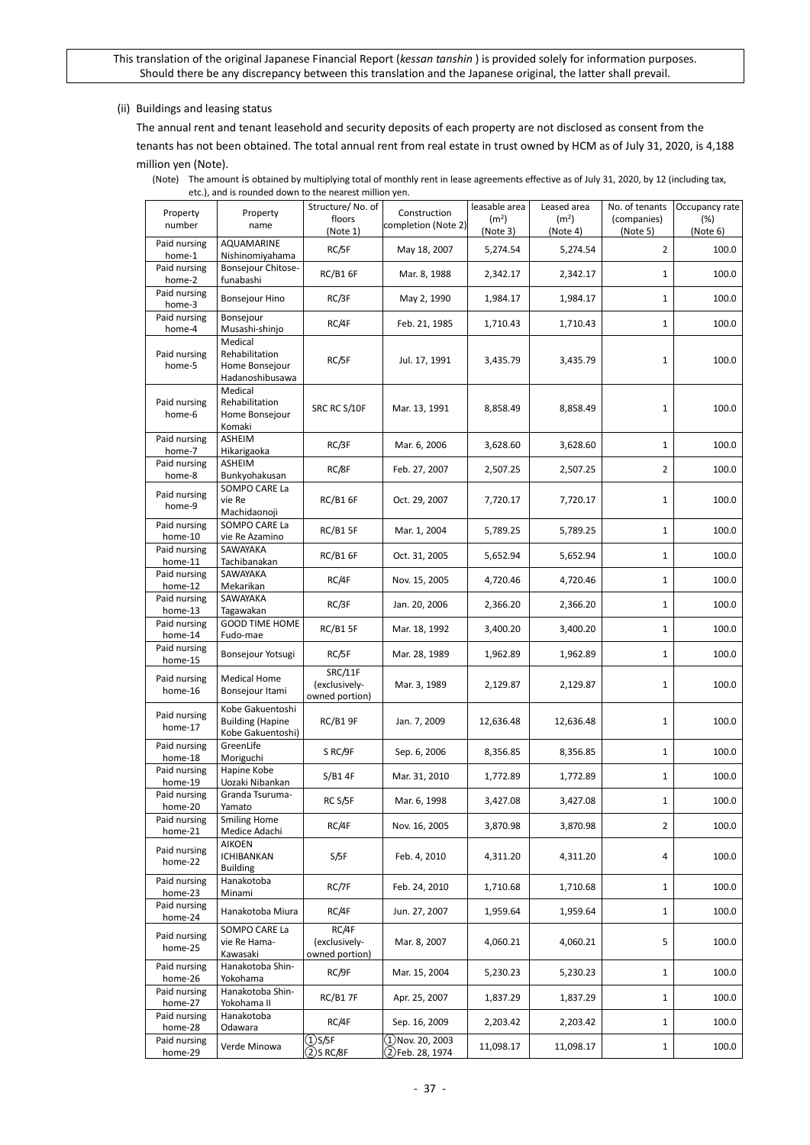#### (ii) Buildings and leasing status

The annual rent and tenant leasehold and security deposits of each property are not disclosed as consent from the tenants has not been obtained. The total annual rent from real estate in trust owned by HCM as of July 31, 2020, is 4,188 million yen (Note).

(Note) The amount is obtained by multiplying total of monthly rent in lease agreements effective as of July 31, 2020, by 12 (including tax, etc.), and is rounded down to the nearest million yen.

| Property<br>number                 | Property<br>name                                                 | Structure/No. of<br>floors<br>(Note 1)     | Construction<br>completion (Note 2)    | leasable area<br>(m <sup>2</sup> )<br>(Note 3) | Leased area<br>(m <sup>2</sup> )<br>(Note 4) | No. of tenants<br>(companies)<br>(Note 5) | Occupancy rate<br>(%)<br>(Note 6) |
|------------------------------------|------------------------------------------------------------------|--------------------------------------------|----------------------------------------|------------------------------------------------|----------------------------------------------|-------------------------------------------|-----------------------------------|
| Paid nursing<br>home-1             | AQUAMARINE<br>Nishinomiyahama                                    | RC/5F                                      | May 18, 2007                           | 5,274.54                                       | 5,274.54                                     | $\overline{2}$                            | 100.0                             |
| Paid nursing<br>home-2             | Bonsejour Chitose-<br>funabashi                                  | <b>RC/B1 6F</b>                            | Mar. 8, 1988                           | 2,342.17                                       | 2,342.17                                     | 1                                         | 100.0                             |
| Paid nursing<br>home-3             | <b>Bonsejour Hino</b>                                            | RC/3F                                      | May 2, 1990                            | 1,984.17                                       | 1,984.17                                     | 1                                         | 100.0                             |
| Paid nursing<br>home-4             | Bonsejour<br>Musashi-shinjo                                      | RC/4F                                      | Feb. 21, 1985                          | 1,710.43                                       | 1,710.43                                     | 1                                         | 100.0                             |
| Paid nursing<br>home-5             | Medical<br>Rehabilitation<br>Home Bonsejour<br>Hadanoshibusawa   | RC/5F                                      | Jul. 17, 1991                          | 3,435.79                                       | 3,435.79                                     | 1                                         | 100.0                             |
| Paid nursing<br>home-6             | Medical<br>Rehabilitation<br>Home Bonsejour<br>Komaki            | SRC RC S/10F                               | Mar. 13, 1991                          | 8,858.49                                       | 8,858.49                                     | 1                                         | 100.0                             |
| Paid nursing<br>home-7             | ASHEIM<br>Hikarigaoka                                            | RC/3F                                      | Mar. 6, 2006                           | 3,628.60                                       | 3,628.60                                     | $\mathbf{1}$                              | 100.0                             |
| Paid nursing<br>home-8             | ASHEIM<br>Bunkyohakusan                                          | RC/8F                                      | Feb. 27, 2007                          | 2,507.25                                       | 2,507.25                                     | $\overline{2}$                            | 100.0                             |
| Paid nursing<br>home-9             | SOMPO CARE La<br>vie Re<br>Machidaonoji                          | <b>RC/B1 6F</b>                            | Oct. 29, 2007                          | 7,720.17                                       | 7,720.17                                     | 1                                         | 100.0                             |
| Paid nursing<br>home-10            | SOMPO CARE La<br>vie Re Azamino                                  | <b>RC/B1 5F</b>                            | Mar. 1, 2004                           | 5,789.25                                       | 5,789.25                                     | $\mathbf{1}$                              | 100.0                             |
| Paid nursing<br>home-11            | SAWAYAKA<br>Tachibanakan                                         | RC/B1 6F                                   | Oct. 31, 2005                          | 5,652.94                                       | 5,652.94                                     | $\mathbf{1}$                              | 100.0                             |
| Paid nursing<br>home-12            | SAWAYAKA<br>Mekarikan                                            | RC/4F                                      | Nov. 15, 2005                          | 4,720.46                                       | 4,720.46                                     | $\mathbf{1}$                              | 100.0                             |
| Paid nursing                       | SAWAYAKA<br>Tagawakan                                            | RC/3F                                      | Jan. 20, 2006                          | 2,366.20                                       | 2,366.20                                     | $\mathbf{1}$                              | 100.0                             |
| home-13<br>Paid nursing            | <b>GOOD TIME HOME</b><br>Fudo-mae                                | RC/B1 5F                                   | Mar. 18, 1992                          | 3,400.20                                       | 3,400.20                                     | $\mathbf{1}$                              | 100.0                             |
| home-14<br>Paid nursing<br>home-15 | Bonsejour Yotsugi                                                | RC/5F                                      | Mar. 28, 1989                          | 1,962.89                                       | 1,962.89                                     | $\mathbf{1}$                              | 100.0                             |
| Paid nursing<br>home-16            | Medical Home<br>Bonsejour Itami                                  | SRC/11F<br>(exclusively-<br>owned portion) | Mar. 3, 1989                           | 2,129.87                                       | 2,129.87                                     | $\mathbf{1}$                              | 100.0                             |
| Paid nursing<br>home-17            | Kobe Gakuentoshi<br><b>Building (Hapine</b><br>Kobe Gakuentoshi) | RC/B1 9F                                   | Jan. 7, 2009                           | 12,636.48                                      | 12,636.48                                    | $\mathbf{1}$                              | 100.0                             |
| Paid nursing<br>home-18            | GreenLife<br>Moriguchi                                           | S RC/9F                                    | Sep. 6, 2006                           | 8,356.85                                       | 8,356.85                                     | $\mathbf{1}$                              | 100.0                             |
| Paid nursing<br>home-19            | Hapine Kobe<br>Uozaki Nibankan                                   | S/B14F                                     | Mar. 31, 2010                          | 1,772.89                                       | 1,772.89                                     | $\mathbf{1}$                              | 100.0                             |
| Paid nursing<br>home-20            | Granda Tsuruma-<br>Yamato                                        | RC S/5F                                    | Mar. 6, 1998                           | 3,427.08                                       | 3,427.08                                     | $\mathbf{1}$                              | 100.0                             |
| Paid nursing<br>home-21            | <b>Smiling Home</b><br>Medice Adachi                             | RC/4F                                      | Nov. 16, 2005                          | 3,870.98                                       | 3,870.98                                     | $\overline{2}$                            | 100.0                             |
| Paid nursing<br>home-22            | AIKOEN<br><b>ICHIBANKAN</b><br><b>Building</b>                   | S/5F                                       | Feb. 4, 2010                           | 4,311.20                                       | 4,311.20                                     | 4                                         | 100.0                             |
| Paid nursing<br>home-23            | Hanakotoba<br>Minami                                             | RC/7F                                      | Feb. 24, 2010                          | 1,710.68                                       | 1,710.68                                     | $\mathbf{1}$                              | 100.0                             |
| Paid nursing<br>home-24            | Hanakotoba Miura                                                 | RC/4F                                      | Jun. 27, 2007                          | 1,959.64                                       | 1,959.64                                     | $\mathbf{1}$                              | 100.0                             |
| Paid nursing<br>home-25            | SOMPO CARE La<br>vie Re Hama-<br>Kawasaki                        | RC/4F<br>(exclusively-<br>owned portion)   | Mar. 8, 2007                           | 4,060.21                                       | 4,060.21                                     | 5                                         | 100.0                             |
| Paid nursing<br>home-26            | Hanakotoba Shin-<br>Yokohama                                     | RC/9F                                      | Mar. 15, 2004                          | 5,230.23                                       | 5,230.23                                     | $\mathbf{1}$                              | 100.0                             |
| Paid nursing<br>home-27            | Hanakotoba Shin-<br>Yokohama II                                  | <b>RC/B17F</b>                             | Apr. 25, 2007                          | 1,837.29                                       | 1,837.29                                     | $\mathbf{1}$                              | 100.0                             |
| Paid nursing<br>home-28            | Hanakotoba<br>Odawara                                            | RC/4F                                      | Sep. 16, 2009                          | 2,203.42                                       | 2,203.42                                     | $\mathbf{1}$                              | 100.0                             |
| Paid nursing<br>home-29            | Verde Minowa                                                     | $\sqrt{2}$ S/5F<br>$(2)$ s rc/8f           | $(1)$ Nov. 20, 2003<br>2)Feb. 28, 1974 | 11,098.17                                      | 11,098.17                                    | $\mathbf{1}$                              | 100.0                             |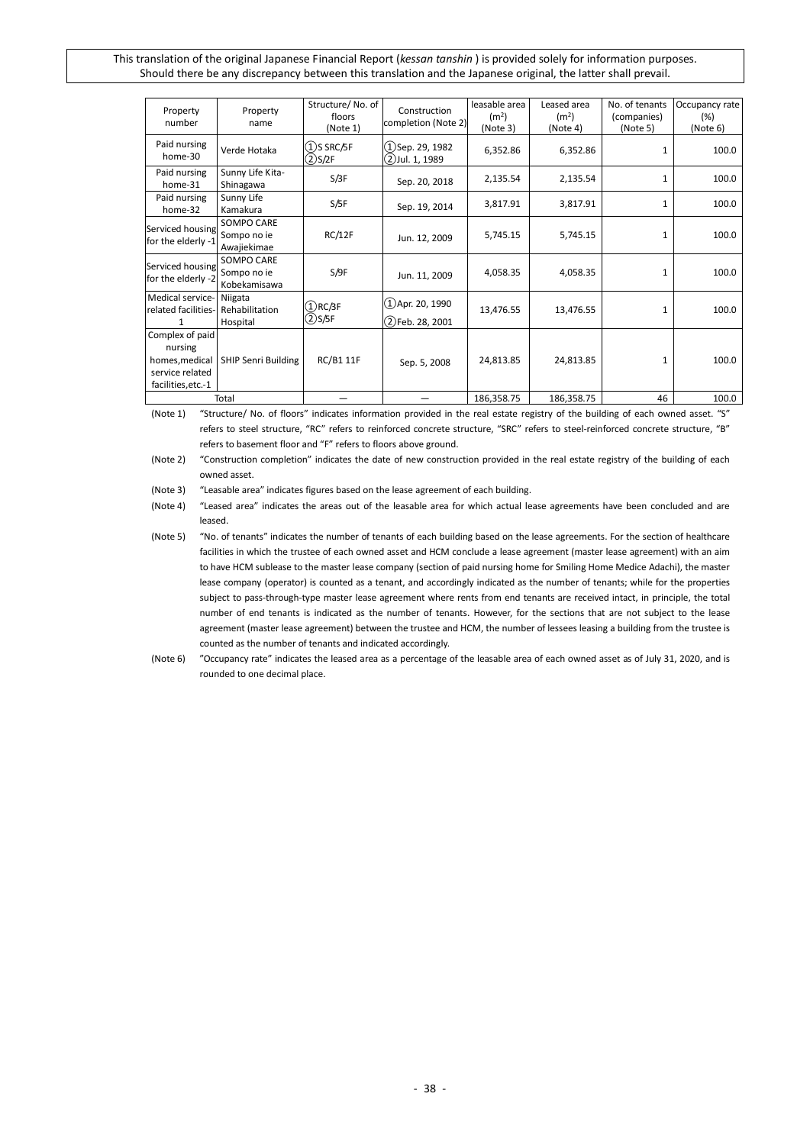| Property<br>number                                                                    | Property<br>name                          | Structure/No. of<br>floors<br>(Note 1) | Construction<br>completion (Note 2)        | leasable area<br>(m <sup>2</sup> )<br>(Note 3) | Leased area<br>(m <sup>2</sup> )<br>(Note 4) | No. of tenants<br>(companies)<br>(Note 5) | Occupancy rate<br>(%)<br>(Note 6) |
|---------------------------------------------------------------------------------------|-------------------------------------------|----------------------------------------|--------------------------------------------|------------------------------------------------|----------------------------------------------|-------------------------------------------|-----------------------------------|
| Paid nursing<br>home-30                                                               | Verde Hotaka                              | $(1)$ S SRC/5F<br>$\bigcirc$ S/2F      | (1)Sep. 29, 1982<br>(2)Jul. 1, 1989        | 6,352.86                                       | 6,352.86                                     | $\mathbf{1}$                              | 100.0                             |
| Paid nursing<br>home-31                                                               | Sunny Life Kita-<br>Shinagawa             | S/3F                                   | Sep. 20, 2018                              | 2,135.54                                       | 2,135.54                                     | $\mathbf{1}$                              | 100.0                             |
| Paid nursing<br>home-32                                                               | Sunny Life<br>Kamakura                    | S/5F                                   | Sep. 19, 2014                              | 3,817.91                                       | 3,817.91                                     | 1                                         | 100.0                             |
| Serviced housing<br>for the elderly -1                                                | SOMPO CARE<br>Sompo no ie<br>Awajiekimae  | RC/12F                                 | Jun. 12, 2009                              | 5,745.15                                       | 5,745.15                                     | 1                                         | 100.0                             |
| Serviced housing<br>for the elderly -2                                                | SOMPO CARE<br>Sompo no ie<br>Kobekamisawa | S/9F                                   | Jun. 11, 2009                              | 4,058.35                                       | 4,058.35                                     | $\mathbf{1}$                              | 100.0                             |
| Medical service-<br>related facilities-                                               | Niigata<br>Rehabilitation<br>Hospital     | $(1)$ RC/3F<br>(2)S/5F                 | $(1)$ Apr. 20, 1990<br>$(2)$ Feb. 28, 2001 | 13,476.55                                      | 13,476.55                                    | 1                                         | 100.0                             |
| Complex of paid<br>nursing<br>homes, medical<br>service related<br>facilities, etc.-1 | <b>SHIP Senri Building</b>                | <b>RC/B1 11F</b>                       | Sep. 5, 2008                               | 24,813.85                                      | 24,813.85                                    | $\mathbf{1}$                              | 100.0                             |
|                                                                                       | Total                                     |                                        |                                            | 186,358.75                                     | 186,358.75                                   | 46                                        | 100.0                             |

(Note 1) "Structure/ No. of floors" indicates information provided in the real estate registry of the building of each owned asset. "S" refers to steel structure, "RC" refers to reinforced concrete structure, "SRC" refers to steel-reinforced concrete structure, "B" refers to basement floor and "F" refers to floors above ground.

(Note 3) "Leasable area" indicates figures based on the lease agreement of each building.

(Note 4) "Leased area" indicates the areas out of the leasable area for which actual lease agreements have been concluded and are leased.

(Note 6) "Occupancy rate" indicates the leased area as a percentage of the leasable area of each owned asset as of July 31, 2020, and is rounded to one decimal place.

<sup>(</sup>Note 2) "Construction completion" indicates the date of new construction provided in the real estate registry of the building of each owned asset.

<sup>(</sup>Note 5) "No. of tenants" indicates the number of tenants of each building based on the lease agreements. For the section of healthcare facilities in which the trustee of each owned asset and HCM conclude a lease agreement (master lease agreement) with an aim to have HCM sublease to the master lease company (section of paid nursing home for Smiling Home Medice Adachi), the master lease company (operator) is counted as a tenant, and accordingly indicated as the number of tenants; while for the properties subject to pass-through-type master lease agreement where rents from end tenants are received intact, in principle, the total number of end tenants is indicated as the number of tenants. However, for the sections that are not subject to the lease agreement (master lease agreement) between the trustee and HCM, the number of lessees leasing a building from the trustee is counted as the number of tenants and indicated accordingly.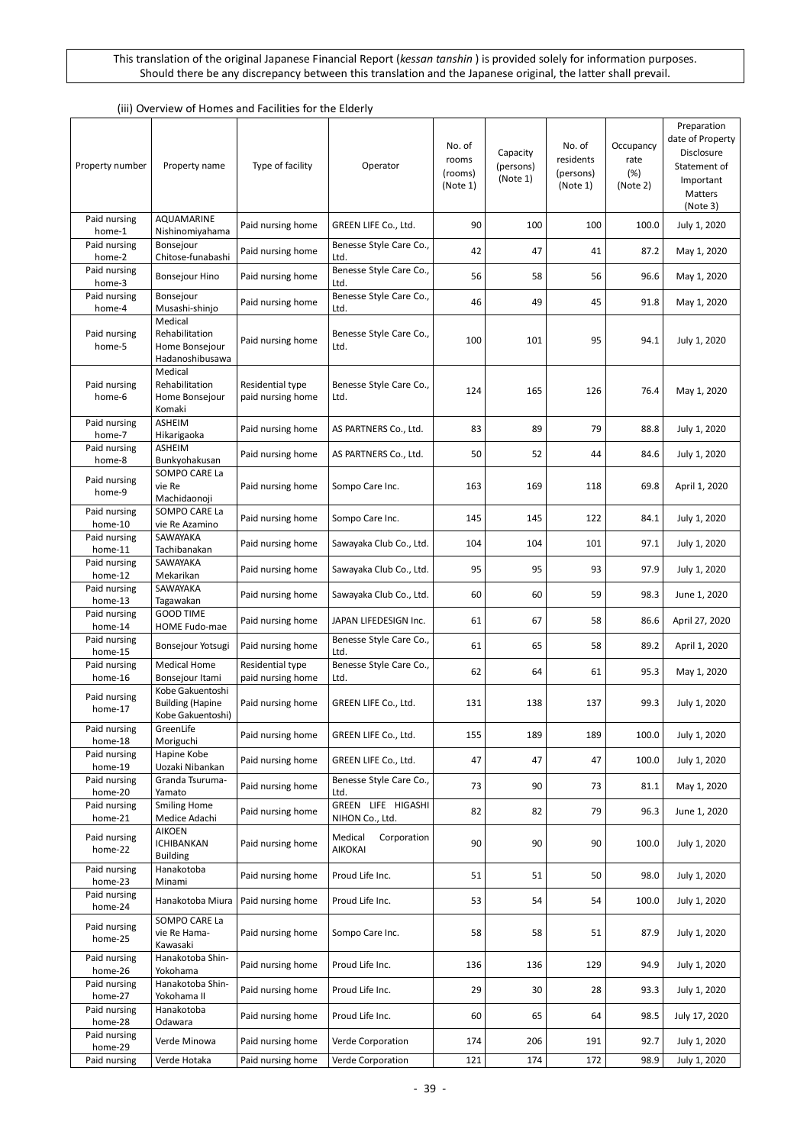| (iii) Overview of Homes and Facilities for the Elderly |  |
|--------------------------------------------------------|--|
|                                                        |  |

| Property number         | Property name                                                    | Type of facility                      | Operator                              | No. of<br>rooms<br>(rooms)<br>(Note 1) | Capacity<br>(persons)<br>(Note 1) | No. of<br>residents<br>(persons)<br>(Note 1) | Occupancy<br>rate<br>(%)<br>(Note 2) | Preparation<br>date of Property<br>Disclosure<br>Statement of<br>Important<br><b>Matters</b><br>(Note 3) |
|-------------------------|------------------------------------------------------------------|---------------------------------------|---------------------------------------|----------------------------------------|-----------------------------------|----------------------------------------------|--------------------------------------|----------------------------------------------------------------------------------------------------------|
| Paid nursing<br>home-1  | <b>AQUAMARINE</b><br>Nishinomiyahama                             | Paid nursing home                     | GREEN LIFE Co., Ltd.                  | 90                                     | 100                               | 100                                          | 100.0                                | July 1, 2020                                                                                             |
| Paid nursing<br>home-2  | Bonsejour<br>Chitose-funabashi                                   | Paid nursing home                     | Benesse Style Care Co.,<br>Ltd.       | 42                                     | 47                                | 41                                           | 87.2                                 | May 1, 2020                                                                                              |
| Paid nursing<br>home-3  | Bonsejour Hino                                                   | Paid nursing home                     | Benesse Style Care Co.,<br>Ltd.       | 56                                     | 58                                | 56                                           | 96.6                                 | May 1, 2020                                                                                              |
| Paid nursing<br>home-4  | Bonsejour<br>Musashi-shinjo                                      | Paid nursing home                     | Benesse Style Care Co.,<br>Ltd.       | 46                                     | 49                                | 45                                           | 91.8                                 | May 1, 2020                                                                                              |
| Paid nursing<br>home-5  | Medical<br>Rehabilitation<br>Home Bonsejour<br>Hadanoshibusawa   | Paid nursing home                     | Benesse Style Care Co.,<br>Ltd.       | 100                                    | 101                               | 95                                           | 94.1                                 | July 1, 2020                                                                                             |
| Paid nursing<br>home-6  | Medical<br>Rehabilitation<br>Home Bonsejour<br>Komaki            | Residential type<br>paid nursing home | Benesse Style Care Co.,<br>Ltd.       | 124                                    | 165                               | 126                                          | 76.4                                 | May 1, 2020                                                                                              |
| Paid nursing<br>home-7  | <b>ASHEIM</b><br>Hikarigaoka                                     | Paid nursing home                     | AS PARTNERS Co., Ltd.                 | 83                                     | 89                                | 79                                           | 88.8                                 | July 1, 2020                                                                                             |
| Paid nursing<br>home-8  | ASHEIM<br>Bunkyohakusan                                          | Paid nursing home                     | AS PARTNERS Co., Ltd.                 | 50                                     | 52                                | 44                                           | 84.6                                 | July 1, 2020                                                                                             |
| Paid nursing<br>home-9  | SOMPO CARE La<br>vie Re<br>Machidaonoji                          | Paid nursing home                     | Sompo Care Inc.                       | 163                                    | 169                               | 118                                          | 69.8                                 | April 1, 2020                                                                                            |
| Paid nursing<br>home-10 | SOMPO CARE La<br>vie Re Azamino                                  | Paid nursing home                     | Sompo Care Inc.                       | 145                                    | 145                               | 122                                          | 84.1                                 | July 1, 2020                                                                                             |
| Paid nursing<br>home-11 | SAWAYAKA<br>Tachibanakan                                         | Paid nursing home                     | Sawayaka Club Co., Ltd.               | 104                                    | 104                               | 101                                          | 97.1                                 | July 1, 2020                                                                                             |
| Paid nursing<br>home-12 | SAWAYAKA<br>Mekarikan                                            | Paid nursing home                     | Sawayaka Club Co., Ltd.               | 95                                     | 95                                | 93                                           | 97.9                                 | July 1, 2020                                                                                             |
| Paid nursing<br>home-13 | SAWAYAKA<br>Tagawakan                                            | Paid nursing home                     | Sawayaka Club Co., Ltd.               | 60                                     | 60                                | 59                                           | 98.3                                 | June 1, 2020                                                                                             |
| Paid nursing<br>home-14 | <b>GOOD TIME</b><br>HOME Fudo-mae                                | Paid nursing home                     | JAPAN LIFEDESIGN Inc.                 | 61                                     | 67                                | 58                                           | 86.6                                 | April 27, 2020                                                                                           |
| Paid nursing<br>home-15 | Bonsejour Yotsugi                                                | Paid nursing home                     | Benesse Style Care Co.,<br>Ltd.       | 61                                     | 65                                | 58                                           | 89.2                                 | April 1, 2020                                                                                            |
| Paid nursing<br>home-16 | <b>Medical Home</b><br>Bonsejour Itami                           | Residential type<br>paid nursing home | Benesse Style Care Co.,<br>Ltd.       | 62                                     | 64                                | 61                                           | 95.3                                 | May 1, 2020                                                                                              |
| Paid nursing<br>home-17 | Kobe Gakuentoshi<br><b>Building (Hapine</b><br>Kobe Gakuentoshi) | Paid nursing home                     | GREEN LIFE Co., Ltd.                  | 131                                    | 138                               | 137                                          | 99.3                                 | July 1, 2020                                                                                             |
| Paid nursing<br>home-18 | GreenLite<br>Moriguchi                                           | Paid nursing home                     | GREEN LIFE Co., Ltd.                  | 155                                    | 189                               | 189                                          | 100.0                                | July 1, 2020                                                                                             |
| Paid nursing<br>home-19 | Hapine Kobe<br>Uozaki Nibankan                                   | Paid nursing home                     | GREEN LIFE Co., Ltd.                  | 47                                     | 47                                | 47                                           | 100.0                                | July 1, 2020                                                                                             |
| Paid nursing<br>home-20 | Granda Tsuruma-<br>Yamato                                        | Paid nursing home                     | Benesse Style Care Co.,<br>Ltd.       | 73                                     | 90                                | 73                                           | 81.1                                 | May 1, 2020                                                                                              |
| Paid nursing<br>home-21 | <b>Smiling Home</b><br>Medice Adachi                             | Paid nursing home                     | GREEN LIFE HIGASHI<br>NIHON Co., Ltd. | 82                                     | 82                                | 79                                           | 96.3                                 | June 1, 2020                                                                                             |
| Paid nursing<br>home-22 | AIKOEN<br><b>ICHIBANKAN</b><br><b>Building</b>                   | Paid nursing home                     | Medical<br>Corporation<br>AIKOKAI     | 90                                     | 90                                | 90                                           | 100.0                                | July 1, 2020                                                                                             |
| Paid nursing<br>home-23 | Hanakotoba<br>Minami                                             | Paid nursing home                     | Proud Life Inc.                       | 51                                     | 51                                | 50                                           | 98.0                                 | July 1, 2020                                                                                             |
| Paid nursing<br>home-24 | Hanakotoba Miura                                                 | Paid nursing home                     | Proud Life Inc.                       | 53                                     | 54                                | 54                                           | 100.0                                | July 1, 2020                                                                                             |
| Paid nursing<br>home-25 | SOMPO CARE La<br>vie Re Hama-<br>Kawasaki                        | Paid nursing home                     | Sompo Care Inc.                       | 58                                     | 58                                | 51                                           | 87.9                                 | July 1, 2020                                                                                             |
| Paid nursing<br>home-26 | Hanakotoba Shin-<br>Yokohama                                     | Paid nursing home                     | Proud Life Inc.                       | 136                                    | 136                               | 129                                          | 94.9                                 | July 1, 2020                                                                                             |
| Paid nursing<br>home-27 | Hanakotoba Shin-<br>Yokohama II                                  | Paid nursing home                     | Proud Life Inc.                       | 29                                     | 30                                | 28                                           | 93.3                                 | July 1, 2020                                                                                             |
| Paid nursing<br>home-28 | Hanakotoba<br>Odawara                                            | Paid nursing home                     | Proud Life Inc.                       | 60                                     | 65                                | 64                                           | 98.5                                 | July 17, 2020                                                                                            |
| Paid nursing<br>home-29 | Verde Minowa                                                     | Paid nursing home                     | Verde Corporation                     | 174                                    | 206                               | 191                                          | 92.7                                 | July 1, 2020                                                                                             |
| Paid nursing            | Verde Hotaka                                                     | Paid nursing home                     | Verde Corporation                     | 121                                    | 174                               | 172                                          | 98.9                                 | July 1, 2020                                                                                             |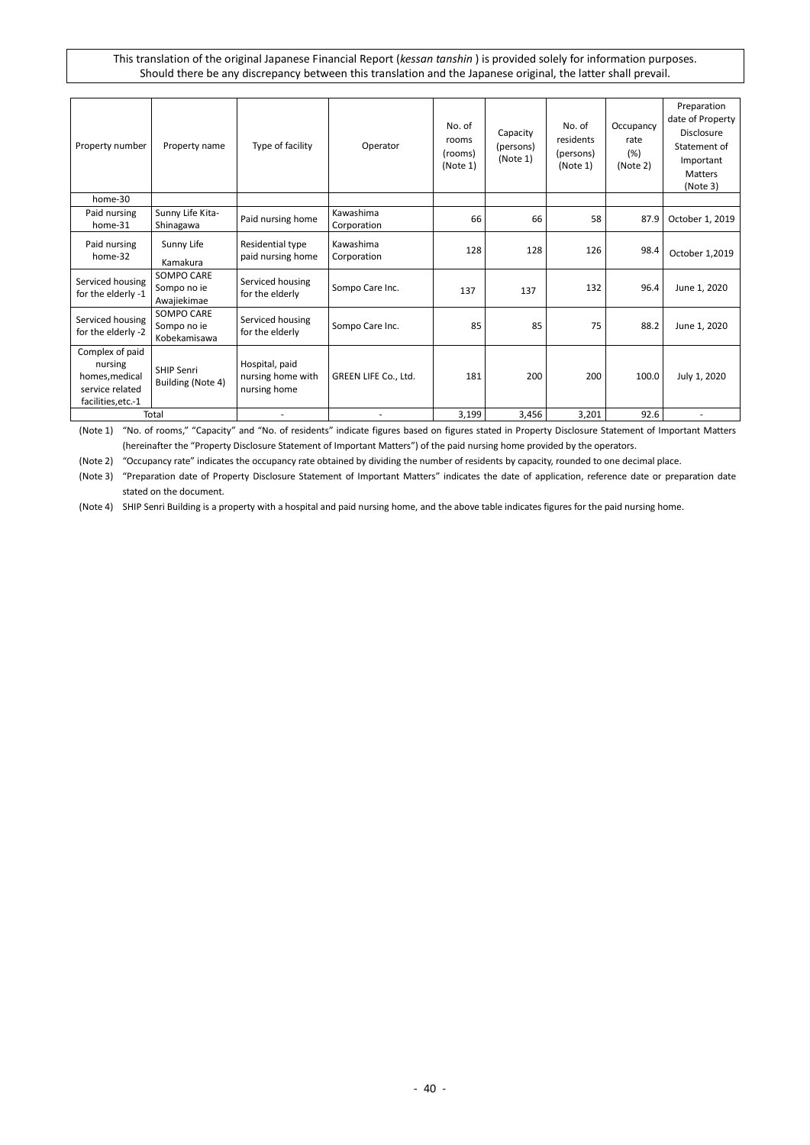| Property number                                                                       | Property name                             | Type of facility                                    | Operator                 | No. of<br>rooms<br>(rooms)<br>(Note 1) | Capacity<br>(persons)<br>(Note 1) | No. of<br>residents<br>(persons)<br>(Note 1) | Occupancy<br>rate<br>(%)<br>(Note 2) | Preparation<br>date of Property<br>Disclosure<br>Statement of<br>Important<br><b>Matters</b><br>(Note 3) |
|---------------------------------------------------------------------------------------|-------------------------------------------|-----------------------------------------------------|--------------------------|----------------------------------------|-----------------------------------|----------------------------------------------|--------------------------------------|----------------------------------------------------------------------------------------------------------|
| home-30                                                                               |                                           |                                                     |                          |                                        |                                   |                                              |                                      |                                                                                                          |
| Paid nursing<br>home-31                                                               | Sunny Life Kita-<br>Shinagawa             | Paid nursing home                                   | Kawashima<br>Corporation | 66                                     | 66                                | 58                                           | 87.9                                 | October 1, 2019                                                                                          |
| Paid nursing<br>home-32                                                               | Sunny Life<br>Kamakura                    | Residential type<br>paid nursing home               | Kawashima<br>Corporation | 128                                    | 128                               | 126                                          | 98.4                                 | October 1,2019                                                                                           |
| Serviced housing<br>for the elderly -1                                                | SOMPO CARE<br>Sompo no ie<br>Awajiekimae  | Serviced housing<br>for the elderly                 | Sompo Care Inc.          | 137                                    | 137                               | 132                                          | 96.4                                 | June 1, 2020                                                                                             |
| Serviced housing<br>for the elderly -2                                                | SOMPO CARE<br>Sompo no ie<br>Kobekamisawa | Serviced housing<br>for the elderly                 | Sompo Care Inc.          | 85                                     | 85                                | 75                                           | 88.2                                 | June 1, 2020                                                                                             |
| Complex of paid<br>nursing<br>homes, medical<br>service related<br>facilities, etc.-1 | <b>SHIP Senri</b><br>Building (Note 4)    | Hospital, paid<br>nursing home with<br>nursing home | GREEN LIFE Co., Ltd.     | 181                                    | 200                               | 200                                          | 100.0                                | July 1, 2020                                                                                             |
|                                                                                       | Total                                     |                                                     |                          | 3,199                                  | 3,456                             | 3,201                                        | 92.6                                 |                                                                                                          |

(Note 1) "No. of rooms," "Capacity" and "No. of residents" indicate figures based on figures stated in Property Disclosure Statement of Important Matters (hereinafter the "Property Disclosure Statement of Important Matters") of the paid nursing home provided by the operators.

(Note 2) "Occupancy rate" indicates the occupancy rate obtained by dividing the number of residents by capacity, rounded to one decimal place.

(Note 3) "Preparation date of Property Disclosure Statement of Important Matters" indicates the date of application, reference date or preparation date stated on the document.

(Note 4) SHIP Senri Building is a property with a hospital and paid nursing home, and the above table indicates figures for the paid nursing home.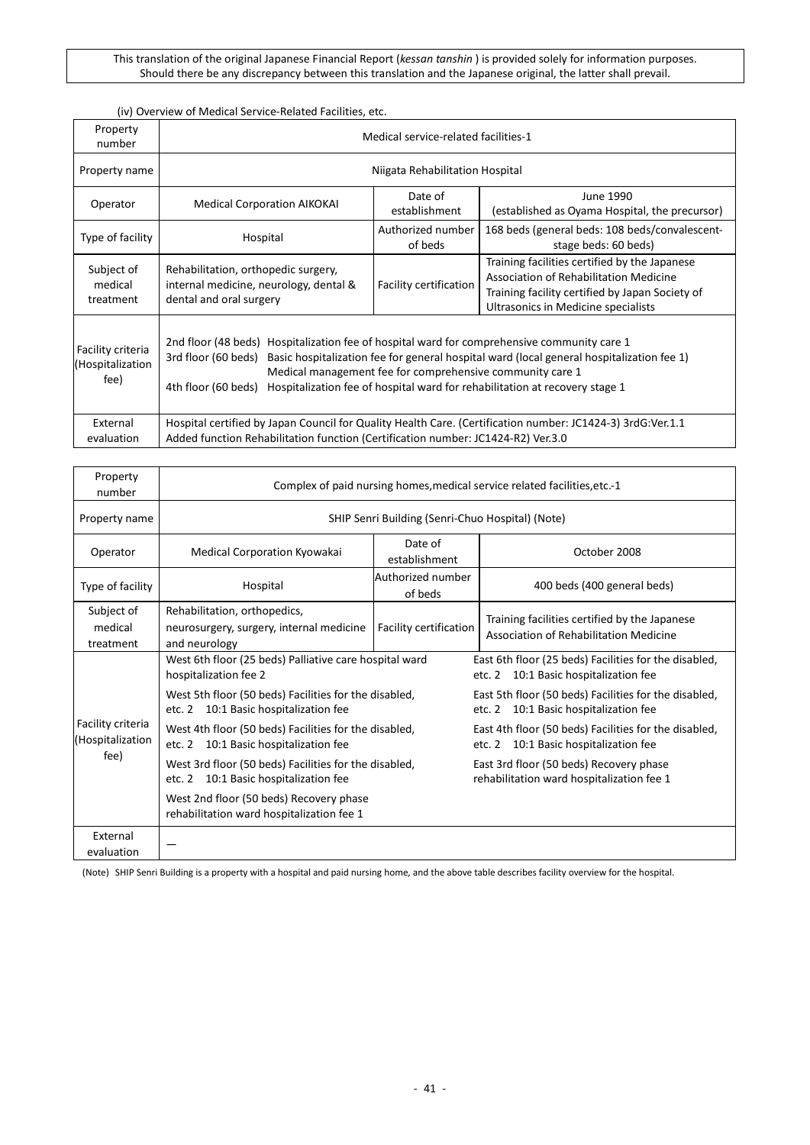## (iv) Overview of Medical Service-Related Facilities, etc.

| Property<br>number                            | Medical service-related facilities-1                                                                                                      |                                                           |                                                                                                                                                                                          |  |  |  |  |  |  |  |  |  |
|-----------------------------------------------|-------------------------------------------------------------------------------------------------------------------------------------------|-----------------------------------------------------------|------------------------------------------------------------------------------------------------------------------------------------------------------------------------------------------|--|--|--|--|--|--|--|--|--|
| Property name                                 |                                                                                                                                           | Niigata Rehabilitation Hospital                           |                                                                                                                                                                                          |  |  |  |  |  |  |  |  |  |
| Operator                                      | <b>Medical Corporation AIKOKAI</b>                                                                                                        | Date of<br>establishment                                  | June 1990<br>(established as Oyama Hospital, the precursor)                                                                                                                              |  |  |  |  |  |  |  |  |  |
| Type of facility                              | Hospital                                                                                                                                  | Authorized number<br>of beds                              | 168 beds (general beds: 108 beds/convalescent-<br>stage beds: 60 beds)                                                                                                                   |  |  |  |  |  |  |  |  |  |
| Subject of<br>medical<br>treatment            | Rehabilitation, orthopedic surgery,<br>internal medicine, neurology, dental &<br>dental and oral surgery                                  | Facility certification                                    | Training facilities certified by the Japanese<br><b>Association of Rehabilitation Medicine</b><br>Training facility certified by Japan Society of<br>Ultrasonics in Medicine specialists |  |  |  |  |  |  |  |  |  |
| Facility criteria<br>Hospitalization)<br>fee) | 2nd floor (48 beds) Hospitalization fee of hospital ward for comprehensive community care 1<br>3rd floor (60 beds)<br>4th floor (60 beds) | Medical management fee for comprehensive community care 1 | Basic hospitalization fee for general hospital ward (local general hospitalization fee 1)<br>Hospitalization fee of hospital ward for rehabilitation at recovery stage 1                 |  |  |  |  |  |  |  |  |  |
| External<br>evaluation                        | Added function Rehabilitation function (Certification number: JC1424-R2) Ver.3.0                                                          |                                                           | Hospital certified by Japan Council for Quality Health Care. (Certification number: JC1424-3) 3rdG:Ver.1.1                                                                               |  |  |  |  |  |  |  |  |  |

| Property<br>number                    |                                                                                                | Complex of paid nursing homes, medical service related facilities, etc.-1 |                                                                                                |  |  |  |  |  |  |  |  |
|---------------------------------------|------------------------------------------------------------------------------------------------|---------------------------------------------------------------------------|------------------------------------------------------------------------------------------------|--|--|--|--|--|--|--|--|
| Property name                         |                                                                                                | SHIP Senri Building (Senri-Chuo Hospital) (Note)                          |                                                                                                |  |  |  |  |  |  |  |  |
| Operator                              | Medical Corporation Kyowakai                                                                   | Date of<br>establishment                                                  | October 2008                                                                                   |  |  |  |  |  |  |  |  |
| Type of facility                      | Hospital                                                                                       | Authorized number<br>of beds                                              | 400 beds (400 general beds)                                                                    |  |  |  |  |  |  |  |  |
| Subject of<br>medical<br>treatment    | Rehabilitation, orthopedics,<br>neurosurgery, surgery, internal medicine<br>and neurology      | Facility certification                                                    | Training facilities certified by the Japanese<br>Association of Rehabilitation Medicine        |  |  |  |  |  |  |  |  |
|                                       | West 6th floor (25 beds) Palliative care hospital ward<br>hospitalization fee 2                |                                                                           | East 6th floor (25 beds) Facilities for the disabled,<br>etc. 2 10:1 Basic hospitalization fee |  |  |  |  |  |  |  |  |
|                                       | West 5th floor (50 beds) Facilities for the disabled,<br>etc. 2 10:1 Basic hospitalization fee |                                                                           | East 5th floor (50 beds) Facilities for the disabled,<br>etc. 2 10:1 Basic hospitalization fee |  |  |  |  |  |  |  |  |
| Facility criteria<br>(Hospitalization | West 4th floor (50 beds) Facilities for the disabled,<br>etc. 2 10:1 Basic hospitalization fee |                                                                           | East 4th floor (50 beds) Facilities for the disabled,<br>etc. 2 10:1 Basic hospitalization fee |  |  |  |  |  |  |  |  |
| fee)                                  | West 3rd floor (50 beds) Facilities for the disabled,<br>etc. 2 10:1 Basic hospitalization fee |                                                                           | East 3rd floor (50 beds) Recovery phase<br>rehabilitation ward hospitalization fee 1           |  |  |  |  |  |  |  |  |
|                                       | West 2nd floor (50 beds) Recovery phase<br>rehabilitation ward hospitalization fee 1           |                                                                           |                                                                                                |  |  |  |  |  |  |  |  |
| External<br>evaluation                |                                                                                                |                                                                           |                                                                                                |  |  |  |  |  |  |  |  |

(Note) SHIP Senri Building is a property with a hospital and paid nursing home, and the above table describes facility overview for the hospital.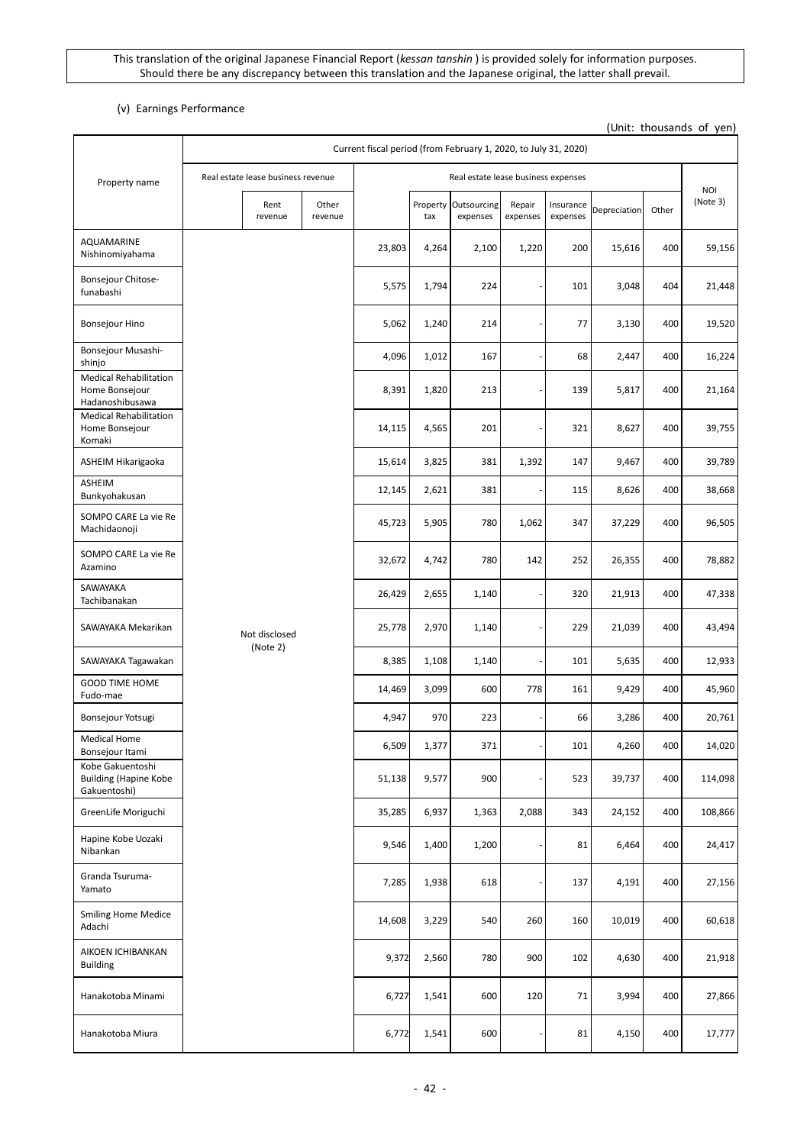## (v) Earnings Performance

(Unit: thousands of yen)

|                                                                    |  | Current fiscal period (from February 1, 2020, to July 31, 2020) |                  |        |                                     |                         |                              |                       |              |       |                        |     |        |
|--------------------------------------------------------------------|--|-----------------------------------------------------------------|------------------|--------|-------------------------------------|-------------------------|------------------------------|-----------------------|--------------|-------|------------------------|-----|--------|
| Property name                                                      |  | Real estate lease business revenue                              |                  |        | Real estate lease business expenses |                         |                              |                       |              |       |                        |     |        |
|                                                                    |  | Rent<br>revenue                                                 | Other<br>revenue |        | Property<br>tax                     | Outsourcing<br>expenses | Repair<br>expenses           | Insurance<br>expenses | Depreciation | Other | <b>NOI</b><br>(Note 3) |     |        |
| AQUAMARINE<br>Nishinomiyahama                                      |  |                                                                 |                  | 23,803 | 4,264                               | 2,100                   | 1,220                        | 200                   | 15,616       | 400   | 59,156                 |     |        |
| Bonsejour Chitose-<br>funabashi                                    |  |                                                                 |                  | 5,575  | 1,794                               | 224                     |                              | 101                   | 3,048        | 404   | 21,448                 |     |        |
| Bonsejour Hino                                                     |  |                                                                 |                  | 5,062  | 1,240                               | 214                     |                              | 77                    | 3,130        | 400   | 19,520                 |     |        |
| Bonsejour Musashi-<br>shinjo                                       |  |                                                                 |                  | 4,096  | 1,012                               | 167                     |                              | 68                    | 2,447        | 400   | 16,224                 |     |        |
| <b>Medical Rehabilitation</b><br>Home Bonsejour<br>Hadanoshibusawa |  |                                                                 |                  | 8,391  | 1,820                               | 213                     | ٠                            | 139                   | 5,817        | 400   | 21,164                 |     |        |
| <b>Medical Rehabilitation</b><br>Home Bonsejour<br>Komaki          |  |                                                                 |                  | 14,115 | 4,565                               | 201                     | ٠                            | 321                   | 8,627        | 400   | 39,755                 |     |        |
| ASHEIM Hikarigaoka                                                 |  |                                                                 |                  | 15,614 | 3,825                               | 381                     | 1,392                        | 147                   | 9,467        | 400   | 39,789                 |     |        |
| ASHEIM<br>Bunkyohakusan                                            |  |                                                                 |                  | 12,145 | 2,621                               | 381                     | ٠                            | 115                   | 8,626        | 400   | 38,668                 |     |        |
| SOMPO CARE La vie Re<br>Machidaonoji                               |  |                                                                 |                  |        |                                     | 45,723                  | 5,905                        | 780                   | 1,062        | 347   | 37,229                 | 400 | 96,505 |
| SOMPO CARE La vie Re<br>Azamino                                    |  |                                                                 |                  | 32,672 | 4,742                               | 780                     | 142                          | 252                   | 26,355       | 400   | 78,882                 |     |        |
| SAWAYAKA<br>Tachibanakan                                           |  |                                                                 |                  | 26,429 | 2,655                               | 1,140                   | ÷                            | 320                   | 21,913       | 400   | 47,338                 |     |        |
| SAWAYAKA Mekarikan                                                 |  | Not disclosed<br>(Note 2)                                       |                  | 25,778 | 2,970                               | 1,140                   | ÷                            | 229                   | 21,039       | 400   | 43,494                 |     |        |
| SAWAYAKA Tagawakan                                                 |  |                                                                 |                  | 8,385  | 1,108                               | 1,140                   | ٠                            | 101                   | 5,635        | 400   | 12,933                 |     |        |
| <b>GOOD TIME HOME</b><br>Fudo-mae                                  |  |                                                                 |                  | 14,469 | 3,099                               | 600                     | 778                          | 161                   | 9,429        | 400   | 45,960                 |     |        |
| Bonsejour Yotsugi                                                  |  |                                                                 |                  | 4,947  | 970                                 | 223                     |                              | 66                    | 3,286        | 400   | 20,761                 |     |        |
| <b>Medical Home</b><br>Bonsejour Itami                             |  |                                                                 |                  | 6,509  | 1,377                               | 371                     |                              | 101                   | 4,260        | 400   | 14,020                 |     |        |
| Kobe Gakuentoshi<br><b>Building (Hapine Kobe</b><br>Gakuentoshi)   |  |                                                                 |                  | 51,138 | 9,577                               | 900                     |                              | 523                   | 39,737       | 400   | 114,098                |     |        |
| GreenLife Moriguchi                                                |  |                                                                 |                  | 35,285 | 6,937                               | 1,363                   | 2,088                        | 343                   | 24,152       | 400   | 108,866                |     |        |
| Hapine Kobe Uozaki<br>Nibankan                                     |  |                                                                 |                  | 9,546  | 1,400                               | 1,200                   |                              | 81                    | 6,464        | 400   | 24,417                 |     |        |
| Granda Tsuruma-<br>Yamato                                          |  |                                                                 |                  | 7,285  | 1,938                               | 618                     | $\qquad \qquad \blacksquare$ | 137                   | 4,191        | 400   | 27,156                 |     |        |
| <b>Smiling Home Medice</b><br>Adachi                               |  |                                                                 |                  | 14,608 | 3,229                               | 540                     | 260                          | 160                   | 10,019       | 400   | 60,618                 |     |        |
| AIKOEN ICHIBANKAN<br><b>Building</b>                               |  |                                                                 |                  | 9,372  | 2,560                               | 780                     | 900                          | 102                   | 4,630        | 400   | 21,918                 |     |        |
| Hanakotoba Minami                                                  |  |                                                                 |                  | 6,727  | 1,541                               | 600                     | 120                          | 71                    | 3,994        | 400   | 27,866                 |     |        |
| Hanakotoba Miura                                                   |  |                                                                 |                  | 6,772  | 1,541                               | 600                     |                              | 81                    | 4,150        | 400   | 17,777                 |     |        |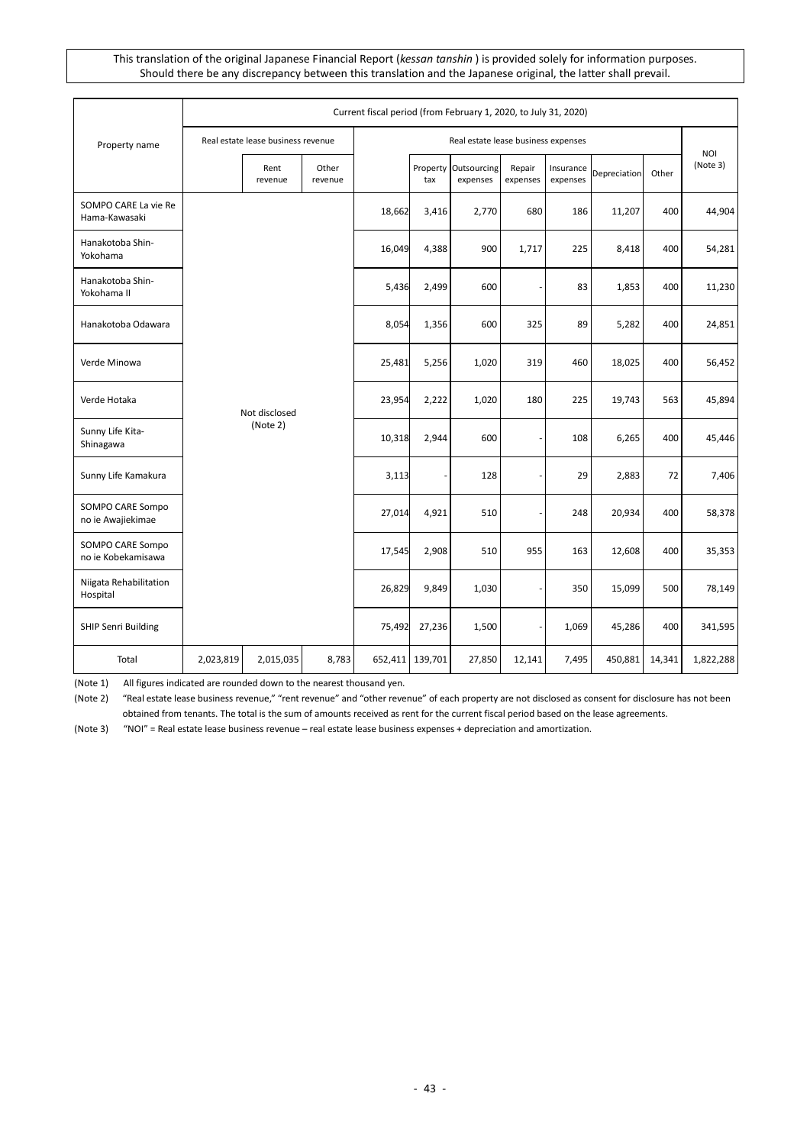|                                        |           |                                    |                  | Current fiscal period (from February 1, 2020, to July 31, 2020) |                 |                                     |                          |                       |              |        |                        |
|----------------------------------------|-----------|------------------------------------|------------------|-----------------------------------------------------------------|-----------------|-------------------------------------|--------------------------|-----------------------|--------------|--------|------------------------|
| Property name                          |           | Real estate lease business revenue |                  |                                                                 |                 | Real estate lease business expenses |                          |                       |              |        |                        |
|                                        |           | Rent<br>revenue                    | Other<br>revenue |                                                                 | Property<br>tax | Outsourcing<br>expenses             | Repair<br>expenses       | Insurance<br>expenses | Depreciation | Other  | <b>NOI</b><br>(Note 3) |
| SOMPO CARE La vie Re<br>Hama-Kawasaki  |           |                                    |                  | 18,662                                                          | 3,416           | 2,770                               | 680                      | 186                   | 11,207       | 400    | 44,904                 |
| Hanakotoba Shin-<br>Yokohama           |           |                                    |                  | 16,049                                                          | 4,388           | 900                                 | 1,717                    | 225                   | 8,418        | 400    | 54,281                 |
| Hanakotoba Shin-<br>Yokohama II        |           |                                    |                  | 5,436                                                           | 2,499           | 600                                 |                          | 83                    | 1,853        | 400    | 11,230                 |
| Hanakotoba Odawara                     |           |                                    |                  | 8,054                                                           | 1,356           | 600                                 | 325                      | 89                    | 5,282        | 400    | 24,851                 |
| Verde Minowa                           |           |                                    |                  | 25,481                                                          | 5,256           | 1,020                               | 319                      | 460                   | 18,025       | 400    | 56,452                 |
| Verde Hotaka                           |           | Not disclosed                      |                  | 23,954                                                          | 2,222           | 1,020                               | 180                      | 225                   | 19,743       | 563    | 45,894                 |
| Sunny Life Kita-<br>Shinagawa          |           | (Note 2)                           |                  | 10,318                                                          | 2,944           | 600                                 |                          | 108                   | 6,265        | 400    | 45,446                 |
| Sunny Life Kamakura                    |           |                                    |                  | 3,113                                                           |                 | 128                                 | $\overline{\phantom{a}}$ | 29                    | 2,883        | 72     | 7,406                  |
| SOMPO CARE Sompo<br>no ie Awajiekimae  |           |                                    |                  | 27,014                                                          | 4,921           | 510                                 |                          | 248                   | 20,934       | 400    | 58,378                 |
| SOMPO CARE Sompo<br>no ie Kobekamisawa |           |                                    |                  | 17,545                                                          | 2,908           | 510                                 | 955                      | 163                   | 12,608       | 400    | 35,353                 |
| Niigata Rehabilitation<br>Hospital     |           |                                    |                  | 26,829                                                          | 9,849           | 1,030                               | $\overline{\phantom{a}}$ | 350                   | 15,099       | 500    | 78,149                 |
| SHIP Senri Building                    |           |                                    |                  | 75,492                                                          | 27,236          | 1,500                               | ÷,                       | 1,069                 | 45,286       | 400    | 341,595                |
| Total                                  | 2,023,819 | 2,015,035                          | 8,783            | 652,411                                                         | 139,701         | 27,850                              | 12,141                   | 7,495                 | 450,881      | 14,341 | 1,822,288              |

(Note 1) All figures indicated are rounded down to the nearest thousand yen.

(Note 2) "Real estate lease business revenue," "rent revenue" and "other revenue" of each property are not disclosed as consent for disclosure has not been obtained from tenants. The total is the sum of amounts received as rent for the current fiscal period based on the lease agreements.

(Note 3) "NOI" = Real estate lease business revenue – real estate lease business expenses + depreciation and amortization.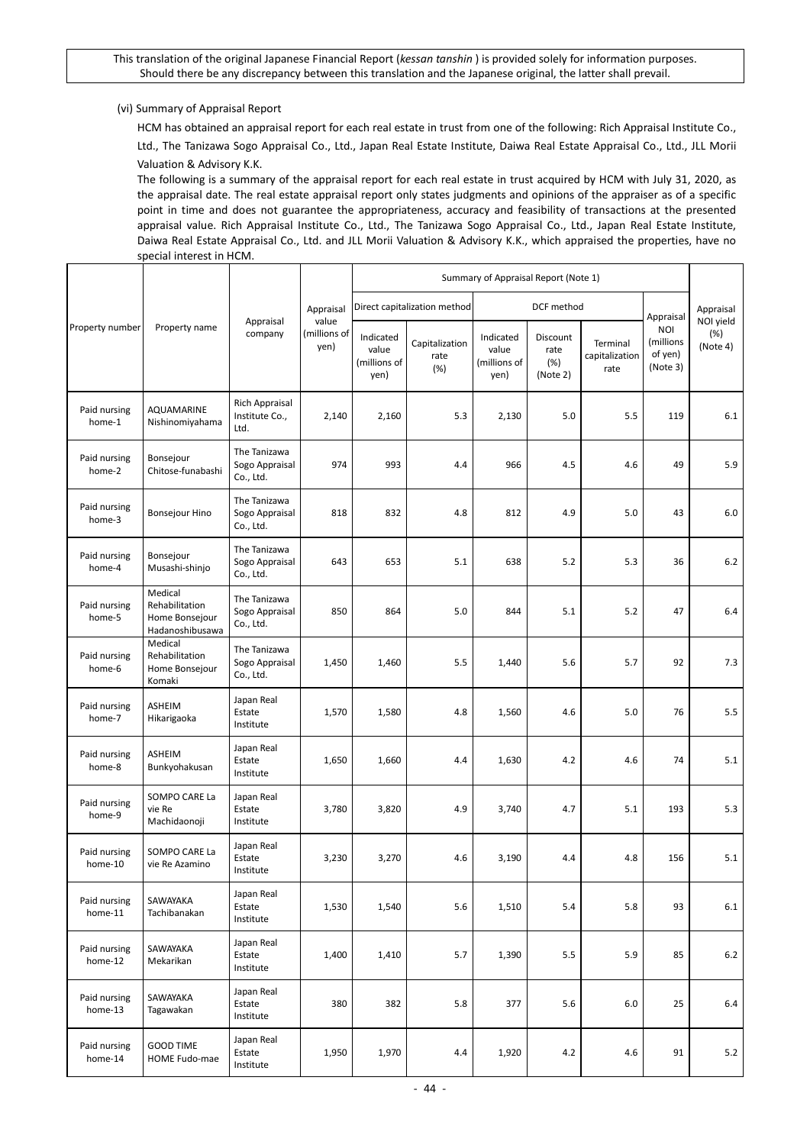## (vi) Summary of Appraisal Report

HCM has obtained an appraisal report for each real estate in trust from one of the following: Rich Appraisal Institute Co., Ltd., The Tanizawa Sogo Appraisal Co., Ltd., Japan Real Estate Institute, Daiwa Real Estate Appraisal Co., Ltd., JLL Morii Valuation & Advisory K.K.

The following is a summary of the appraisal report for each real estate in trust acquired by HCM with July 31, 2020, as the appraisal date. The real estate appraisal report only states judgments and opinions of the appraiser as of a specific point in time and does not guarantee the appropriateness, accuracy and feasibility of transactions at the presented appraisal value. Rich Appraisal Institute Co., Ltd., The Tanizawa Sogo Appraisal Co., Ltd., Japan Real Estate Institute, Daiwa Real Estate Appraisal Co., Ltd. and JLL Morii Valuation & Advisory K.K., which appraised the properties, have no special interest in HCM.

|                         |                                                                |                                             |                               | Summary of Appraisal Report (Note 1)       |                               |                                            |                                     |                                    |                                         |                              |
|-------------------------|----------------------------------------------------------------|---------------------------------------------|-------------------------------|--------------------------------------------|-------------------------------|--------------------------------------------|-------------------------------------|------------------------------------|-----------------------------------------|------------------------------|
|                         |                                                                |                                             | Appraisal                     |                                            | Direct capitalization method  |                                            | DCF method                          |                                    | Appraisal                               | Appraisal                    |
| Property number         | Property name                                                  | Appraisal<br>company                        | value<br>(millions of<br>yen) | Indicated<br>value<br>(millions of<br>yen) | Capitalization<br>rate<br>(%) | Indicated<br>value<br>(millions of<br>yen) | Discount<br>rate<br>(%)<br>(Note 2) | Terminal<br>capitalization<br>rate | NOI<br>(millions<br>of yen)<br>(Note 3) | NOI yield<br>(%)<br>(Note 4) |
| Paid nursing<br>home-1  | AQUAMARINE<br>Nishinomiyahama                                  | Rich Appraisal<br>Institute Co.,<br>Ltd.    | 2,140                         | 2,160                                      | 5.3                           | 2,130                                      | 5.0                                 | 5.5                                | 119                                     | 6.1                          |
| Paid nursing<br>home-2  | Bonsejour<br>Chitose-funabashi                                 | The Tanizawa<br>Sogo Appraisal<br>Co., Ltd. | 974                           | 993                                        | 4.4                           | 966                                        | 4.5                                 | 4.6                                | 49                                      | 5.9                          |
| Paid nursing<br>home-3  | Bonsejour Hino                                                 | The Tanizawa<br>Sogo Appraisal<br>Co., Ltd. | 818                           | 832                                        | 4.8                           | 812                                        | 4.9                                 | 5.0                                | 43                                      | 6.0                          |
| Paid nursing<br>home-4  | Bonsejour<br>Musashi-shinjo                                    | The Tanizawa<br>Sogo Appraisal<br>Co., Ltd. | 643                           | 653                                        | 5.1                           | 638                                        | 5.2                                 | 5.3                                | 36                                      | $6.2$                        |
| Paid nursing<br>home-5  | Medical<br>Rehabilitation<br>Home Bonsejour<br>Hadanoshibusawa | The Tanizawa<br>Sogo Appraisal<br>Co., Ltd. | 850                           | 864                                        | 5.0                           | 844                                        | 5.1                                 | 5.2                                | 47                                      | 6.4                          |
| Paid nursing<br>home-6  | Medical<br>Rehabilitation<br>Home Bonsejour<br>Komaki          | The Tanizawa<br>Sogo Appraisal<br>Co., Ltd. | 1,450                         | 1,460                                      | 5.5                           | 1,440                                      | 5.6                                 | 5.7                                | 92                                      | 7.3                          |
| Paid nursing<br>home-7  | ASHEIM<br>Hikarigaoka                                          | Japan Real<br>Estate<br>Institute           | 1,570                         | 1,580                                      | 4.8                           | 1,560                                      | 4.6                                 | 5.0                                | 76                                      | 5.5                          |
| Paid nursing<br>home-8  | ASHEIM<br>Bunkyohakusan                                        | Japan Real<br>Estate<br>Institute           | 1,650                         | 1,660                                      | 4.4                           | 1,630                                      | 4.2                                 | 4.6                                | 74                                      | 5.1                          |
| Paid nursing<br>home-9  | SOMPO CARE La<br>vie Re<br>Machidaonoji                        | Japan Real<br>Estate<br>Institute           | 3,780                         | 3,820                                      | 4.9                           | 3,740                                      | 4.7                                 | 5.1                                | 193                                     | 5.3                          |
| Paid nursing<br>home-10 | SOMPO CARE La<br>vie Re Azamino                                | Japan Real<br>Estate<br>Institute           | 3,230                         | 3,270                                      | 4.6                           | 3,190                                      | 4.4                                 | 4.8                                | 156                                     | 5.1                          |
| Paid nursing<br>home-11 | SAWAYAKA<br>Tachibanakan                                       | Japan Real<br>Estate<br>Institute           | 1,530                         | 1,540                                      | 5.6                           | 1,510                                      | 5.4                                 | 5.8                                | 93                                      | $6.1\,$                      |
| Paid nursing<br>home-12 | SAWAYAKA<br>Mekarikan                                          | Japan Real<br>Estate<br>Institute           | 1,400                         | 1,410                                      | 5.7                           | 1,390                                      | 5.5                                 | 5.9                                | 85                                      | $6.2$                        |
| Paid nursing<br>home-13 | SAWAYAKA<br>Tagawakan                                          | Japan Real<br>Estate<br>Institute           | 380                           | 382                                        | 5.8                           | 377                                        | 5.6                                 | 6.0                                | 25                                      | 6.4                          |
| Paid nursing<br>home-14 | <b>GOOD TIME</b><br>HOME Fudo-mae                              | Japan Real<br>Estate<br>Institute           | 1,950                         | 1,970                                      | 4.4                           | 1,920                                      | 4.2                                 | 4.6                                | 91                                      | 5.2                          |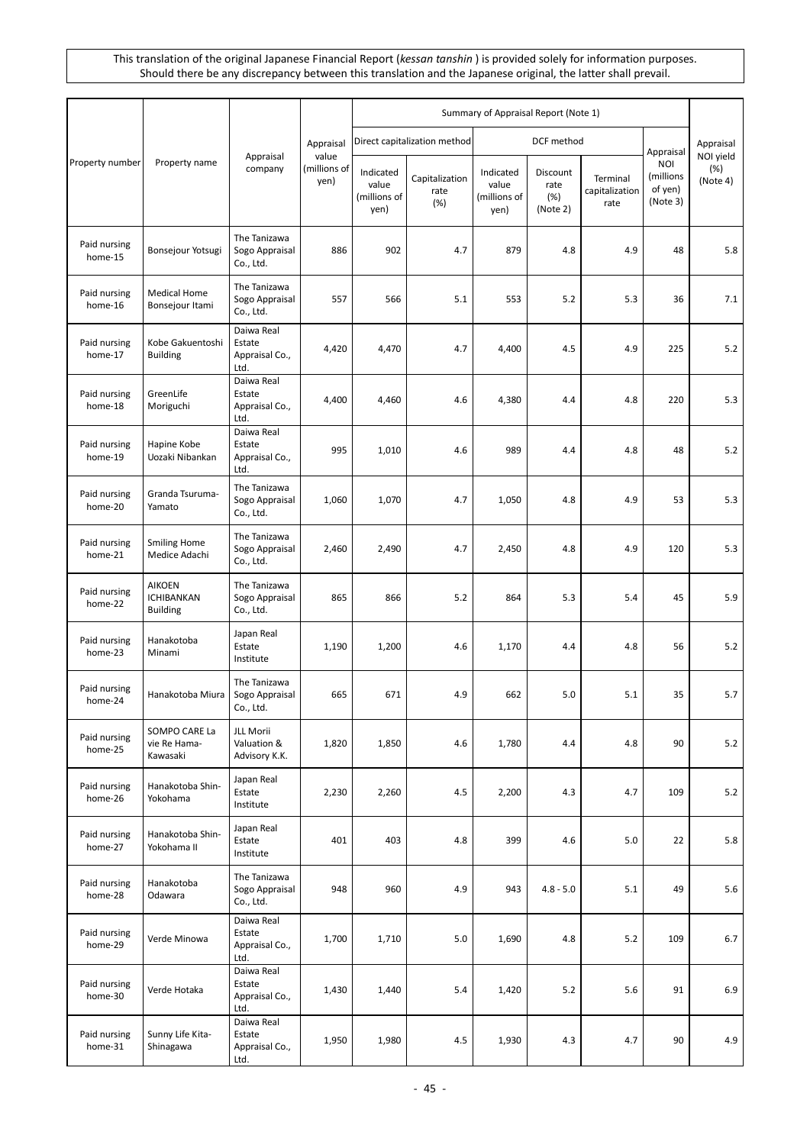|                         |                                                       |                                                |                               | Summary of Appraisal Report (Note 1)       |                               |                                            |                                     |                                    |                                         |                              |
|-------------------------|-------------------------------------------------------|------------------------------------------------|-------------------------------|--------------------------------------------|-------------------------------|--------------------------------------------|-------------------------------------|------------------------------------|-----------------------------------------|------------------------------|
|                         |                                                       | Appraisal<br>company                           | Appraisal                     |                                            | Direct capitalization method  |                                            | DCF method                          |                                    | Appraisal                               | Appraisal                    |
| Property number         | Property name                                         |                                                | value<br>(millions of<br>yen) | Indicated<br>value<br>(millions of<br>yen) | Capitalization<br>rate<br>(%) | Indicated<br>value<br>(millions of<br>yen) | Discount<br>rate<br>(%)<br>(Note 2) | Terminal<br>capitalization<br>rate | NOI<br>(millions<br>of yen)<br>(Note 3) | NOI yield<br>(%)<br>(Note 4) |
| Paid nursing<br>home-15 | Bonsejour Yotsugi                                     | The Tanizawa<br>Sogo Appraisal<br>Co., Ltd.    | 886                           | 902                                        | 4.7                           | 879                                        | 4.8                                 | 4.9                                | 48                                      | 5.8                          |
| Paid nursing<br>home-16 | <b>Medical Home</b><br>Bonsejour Itami                | The Tanizawa<br>Sogo Appraisal<br>Co., Ltd.    | 557                           | 566                                        | 5.1                           | 553                                        | 5.2                                 | 5.3                                | 36                                      | 7.1                          |
| Paid nursing<br>home-17 | Kobe Gakuentoshi<br><b>Building</b>                   | Daiwa Real<br>Estate<br>Appraisal Co.,<br>Ltd. | 4,420                         | 4,470                                      | 4.7                           | 4,400                                      | 4.5                                 | 4.9                                | 225                                     | 5.2                          |
| Paid nursing<br>home-18 | GreenLife<br>Moriguchi                                | Daiwa Real<br>Estate<br>Appraisal Co.,<br>Ltd. | 4,400                         | 4,460                                      | 4.6                           | 4,380                                      | 4.4                                 | 4.8                                | 220                                     | 5.3                          |
| Paid nursing<br>home-19 | Hapine Kobe<br>Uozaki Nibankan                        | Daiwa Real<br>Estate<br>Appraisal Co.,<br>Ltd. | 995                           | 1,010                                      | 4.6                           | 989                                        | 4.4                                 | 4.8                                | 48                                      | 5.2                          |
| Paid nursing<br>home-20 | Granda Tsuruma-<br>Yamato                             | The Tanizawa<br>Sogo Appraisal<br>Co., Ltd.    | 1,060                         | 1,070                                      | 4.7                           | 1,050                                      | 4.8                                 | 4.9                                | 53                                      | 5.3                          |
| Paid nursing<br>home-21 | Smiling Home<br>Medice Adachi                         | The Tanizawa<br>Sogo Appraisal<br>Co., Ltd.    | 2,460                         | 2,490                                      | 4.7                           | 2,450                                      | 4.8                                 | 4.9                                | 120                                     | 5.3                          |
| Paid nursing<br>home-22 | <b>AIKOEN</b><br><b>ICHIBANKAN</b><br><b>Building</b> | The Tanizawa<br>Sogo Appraisal<br>Co., Ltd.    | 865                           | 866                                        | 5.2                           | 864                                        | 5.3                                 | 5.4                                | 45                                      | 5.9                          |
| Paid nursing<br>home-23 | Hanakotoba<br>Minami                                  | Japan Real<br>Estate<br>Institute              | 1,190                         | 1,200                                      | 4.6                           | 1,170                                      | 4.4                                 | 4.8                                | 56                                      | 5.2                          |
| Paid nursing<br>home-24 | Hanakotoba Miura                                      | The Tanizawa<br>Sogo Appraisal<br>Co., Ltd.    | 665                           | 671                                        | 4.9                           | 662                                        | 5.0                                 | 5.1                                | 35                                      | 5.7                          |
| Paid nursing<br>home-25 | SOMPO CARE La<br>vie Re Hama-<br>Kawasaki             | JLL Morii<br>Valuation &<br>Advisory K.K.      | 1,820                         | 1,850                                      | 4.6                           | 1,780                                      | 4.4                                 | 4.8                                | 90                                      | 5.2                          |
| Paid nursing<br>home-26 | Hanakotoba Shin-<br>Yokohama                          | Japan Real<br>Estate<br>Institute              | 2,230                         | 2,260                                      | 4.5                           | 2,200                                      | 4.3                                 | 4.7                                | 109                                     | 5.2                          |
| Paid nursing<br>home-27 | Hanakotoba Shin-<br>Yokohama II                       | Japan Real<br>Estate<br>Institute              | 401                           | 403                                        | 4.8                           | 399                                        | 4.6                                 | 5.0                                | 22                                      | 5.8                          |
| Paid nursing<br>home-28 | Hanakotoba<br>Odawara                                 | The Tanizawa<br>Sogo Appraisal<br>Co., Ltd.    | 948                           | 960                                        | 4.9                           | 943                                        | $4.8 - 5.0$                         | 5.1                                | 49                                      | 5.6                          |
| Paid nursing<br>home-29 | Verde Minowa                                          | Daiwa Real<br>Estate<br>Appraisal Co.,<br>Ltd. | 1,700                         | 1,710                                      | 5.0                           | 1,690                                      | 4.8                                 | 5.2                                | 109                                     | 6.7                          |
| Paid nursing<br>home-30 | Verde Hotaka                                          | Daiwa Real<br>Estate<br>Appraisal Co.,<br>Ltd. | 1,430                         | 1,440                                      | 5.4                           | 1,420                                      | 5.2                                 | 5.6                                | 91                                      | 6.9                          |
| Paid nursing<br>home-31 | Sunny Life Kita-<br>Shinagawa                         | Daiwa Real<br>Estate<br>Appraisal Co.,<br>Ltd. | 1,950                         | 1,980                                      | 4.5                           | 1,930                                      | 4.3                                 | 4.7                                | 90                                      | 4.9                          |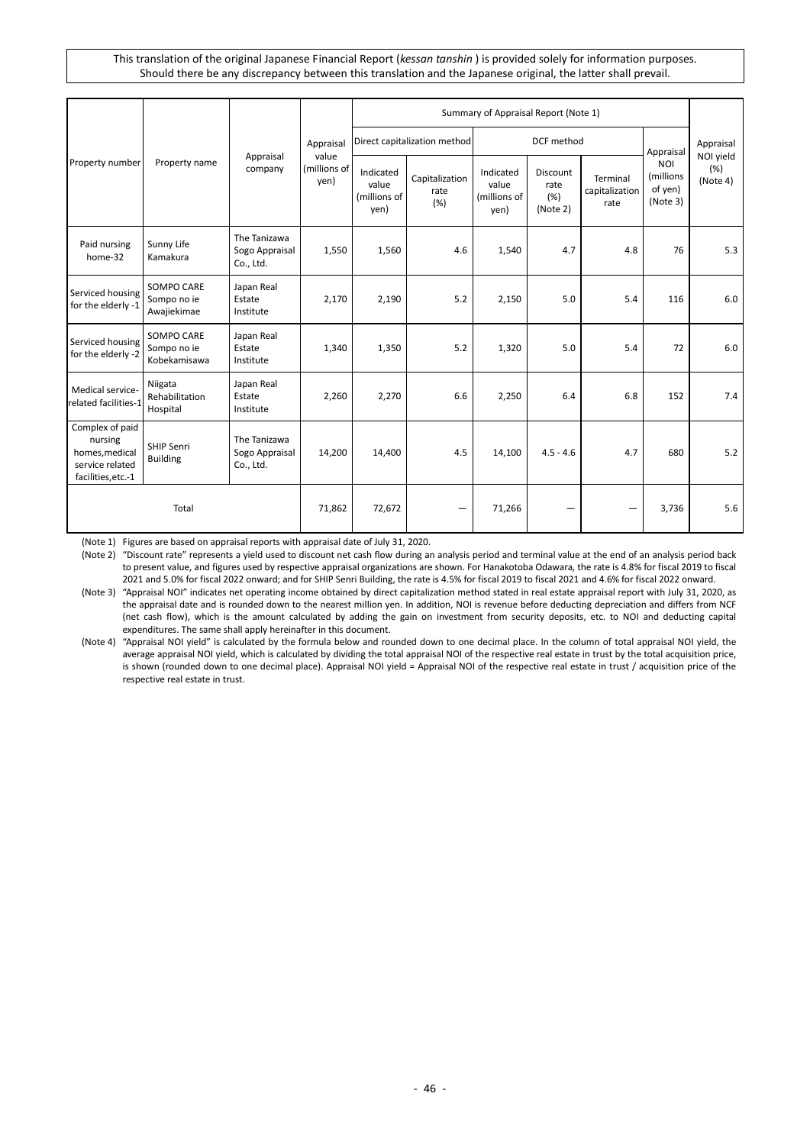|                                                                                       | Property name                             |                                             |                                            | Summary of Appraisal Report (Note 1)       |                                |                                            |                                     |                                    |                                         |                               |
|---------------------------------------------------------------------------------------|-------------------------------------------|---------------------------------------------|--------------------------------------------|--------------------------------------------|--------------------------------|--------------------------------------------|-------------------------------------|------------------------------------|-----------------------------------------|-------------------------------|
| Property number                                                                       |                                           | Appraisal<br>company                        | Appraisal<br>value<br>(millions of<br>yen) | Direct capitalization method               |                                | DCF method                                 |                                     |                                    | Appraisal                               | Appraisal                     |
|                                                                                       |                                           |                                             |                                            | Indicated<br>value<br>(millions of<br>yen) | Capitalization<br>rate<br>(% ) | Indicated<br>value<br>(millions of<br>yen) | Discount<br>rate<br>(%)<br>(Note 2) | Terminal<br>capitalization<br>rate | NOI<br>(millions<br>of yen)<br>(Note 3) | NOI yield<br>(% )<br>(Note 4) |
| Paid nursing<br>home-32                                                               | Sunny Life<br>Kamakura                    | The Tanizawa<br>Sogo Appraisal<br>Co., Ltd. | 1,550                                      | 1,560                                      | 4.6                            | 1,540                                      | 4.7                                 | 4.8                                | 76                                      | 5.3                           |
| Serviced housing<br>for the elderly -1                                                | SOMPO CARE<br>Sompo no ie<br>Awajiekimae  | Japan Real<br>Estate<br>Institute           | 2,170                                      | 2,190                                      | 5.2                            | 2,150                                      | 5.0                                 | 5.4                                | 116                                     | 6.0                           |
| Serviced housing<br>for the elderly -2                                                | SOMPO CARE<br>Sompo no ie<br>Kobekamisawa | Japan Real<br>Estate<br>Institute           | 1,340                                      | 1,350                                      | 5.2                            | 1,320                                      | 5.0                                 | 5.4                                | 72                                      | 6.0                           |
| Medical service-<br>related facilities-1                                              | Niigata<br>Rehabilitation<br>Hospital     | Japan Real<br>Estate<br>Institute           | 2,260                                      | 2,270                                      | 6.6                            | 2,250                                      | 6.4                                 | 6.8                                | 152                                     | 7.4                           |
| Complex of paid<br>nursing<br>homes, medical<br>service related<br>facilities, etc.-1 | SHIP Senri<br><b>Building</b>             | The Tanizawa<br>Sogo Appraisal<br>Co., Ltd. | 14,200                                     | 14,400                                     | 4.5                            | 14,100                                     | $4.5 - 4.6$                         | 4.7                                | 680                                     | 5.2                           |
|                                                                                       | Total                                     |                                             | 71,862                                     | 72,672                                     |                                | 71,266                                     |                                     |                                    | 3,736                                   | 5.6                           |

(Note 1) Figures are based on appraisal reports with appraisal date of July 31, 2020.

(Note 2) "Discount rate" represents a yield used to discount net cash flow during an analysis period and terminal value at the end of an analysis period back to present value, and figures used by respective appraisal organizations are shown. For Hanakotoba Odawara, the rate is 4.8% for fiscal 2019 to fiscal 2021 and 5.0% for fiscal 2022 onward; and for SHIP Senri Building, the rate is 4.5% for fiscal 2019 to fiscal 2021 and 4.6% for fiscal 2022 onward.

(Note 3) "Appraisal NOI" indicates net operating income obtained by direct capitalization method stated in real estate appraisal report with July 31, 2020, as the appraisal date and is rounded down to the nearest million yen. In addition, NOI is revenue before deducting depreciation and differs from NCF (net cash flow), which is the amount calculated by adding the gain on investment from security deposits, etc. to NOI and deducting capital expenditures. The same shall apply hereinafter in this document.

(Note 4) "Appraisal NOI yield" is calculated by the formula below and rounded down to one decimal place. In the column of total appraisal NOI yield, the average appraisal NOI yield, which is calculated by dividing the total appraisal NOI of the respective real estate in trust by the total acquisition price, is shown (rounded down to one decimal place). Appraisal NOI yield = Appraisal NOI of the respective real estate in trust / acquisition price of the respective real estate in trust.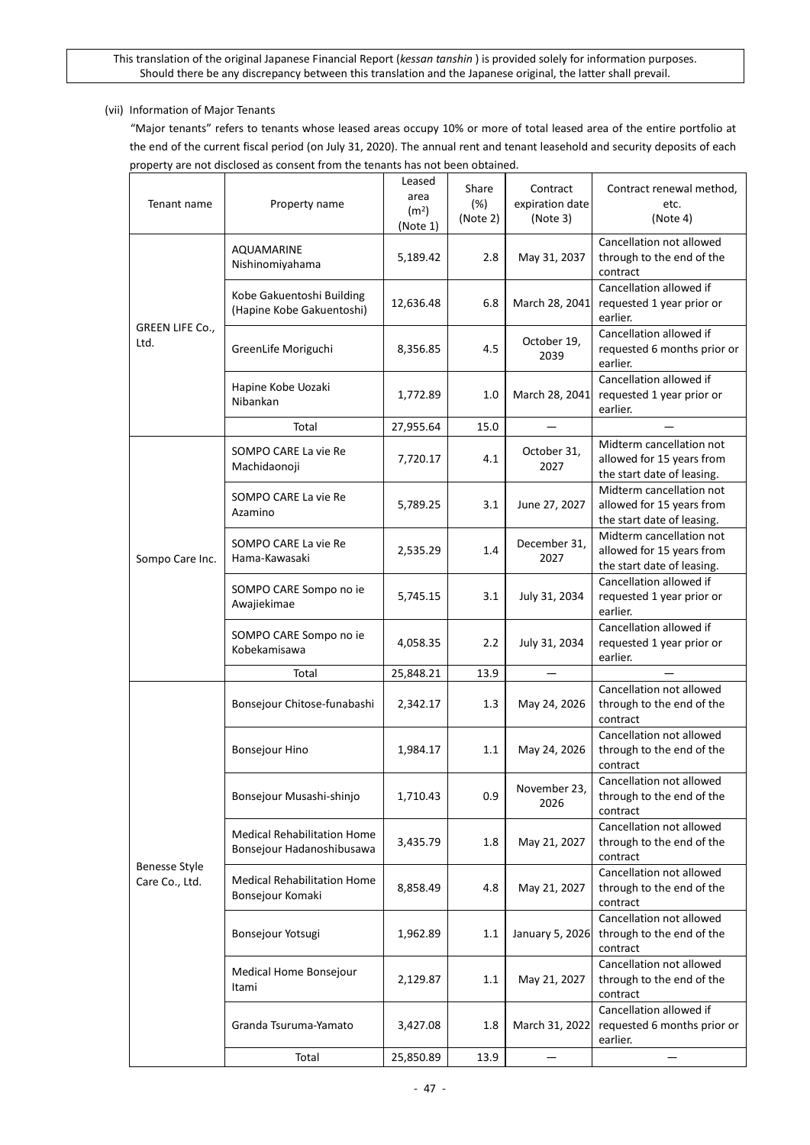## (vii) Information of Major Tenants

"Major tenants" refers to tenants whose leased areas occupy 10% or more of total leased area of the entire portfolio at the end of the current fiscal period (on July 31, 2020). The annual rent and tenant leasehold and security deposits of each property are not disclosed as consent from the tenants has not been obtained.

| Tenant name                            | Property name                                                   | Leased<br>area<br>(m <sup>2</sup> )<br>(Note 1) | Share<br>(%)<br>(Note 2) | Contract<br>expiration date<br>(Note 3) | Contract renewal method,<br>etc.<br>(Note 4)                                        |
|----------------------------------------|-----------------------------------------------------------------|-------------------------------------------------|--------------------------|-----------------------------------------|-------------------------------------------------------------------------------------|
|                                        | AQUAMARINE<br>Nishinomiyahama                                   | 5,189.42                                        | 2.8                      | May 31, 2037                            | Cancellation not allowed<br>through to the end of the<br>contract                   |
| GREEN LIFE Co.,<br>Ltd.                | Kobe Gakuentoshi Building<br>(Hapine Kobe Gakuentoshi)          | 12,636.48                                       | 6.8                      | March 28, 2041                          | Cancellation allowed if<br>requested 1 year prior or<br>earlier.                    |
|                                        | GreenLife Moriguchi                                             | 8,356.85                                        | 4.5                      | October 19,<br>2039                     | Cancellation allowed if<br>requested 6 months prior or<br>earlier.                  |
|                                        | Hapine Kobe Uozaki<br>Nibankan                                  | 1,772.89                                        | 1.0                      | March 28, 2041                          | Cancellation allowed if<br>requested 1 year prior or<br>earlier.                    |
|                                        | Total                                                           | 27,955.64                                       | 15.0                     |                                         |                                                                                     |
|                                        | SOMPO CARE La vie Re<br>Machidaonoji                            | 7,720.17                                        | 4.1                      | October 31,<br>2027                     | Midterm cancellation not<br>allowed for 15 years from<br>the start date of leasing. |
|                                        | SOMPO CARE La vie Re<br>Azamino                                 | 5,789.25                                        | 3.1                      | June 27, 2027                           | Midterm cancellation not<br>allowed for 15 years from<br>the start date of leasing. |
| Sompo Care Inc.                        | SOMPO CARE La vie Re<br>Hama-Kawasaki                           | 2,535.29                                        | 1.4                      | December 31,<br>2027                    | Midterm cancellation not<br>allowed for 15 years from<br>the start date of leasing. |
|                                        | SOMPO CARE Sompo no ie<br>Awajiekimae                           | 5,745.15                                        | 3.1                      | July 31, 2034                           | Cancellation allowed if<br>requested 1 year prior or<br>earlier.                    |
|                                        | SOMPO CARE Sompo no ie<br>Kobekamisawa                          | 4,058.35                                        | 2.2                      | July 31, 2034                           | Cancellation allowed if<br>requested 1 year prior or<br>earlier.                    |
|                                        | Total                                                           | 25,848.21                                       | 13.9                     |                                         |                                                                                     |
|                                        | Bonsejour Chitose-funabashi                                     | 2,342.17                                        | 1.3                      | May 24, 2026                            | Cancellation not allowed<br>through to the end of the<br>contract                   |
|                                        | Bonsejour Hino                                                  | 1,984.17                                        | 1.1                      | May 24, 2026                            | Cancellation not allowed<br>through to the end of the<br>contract                   |
|                                        | Bonsejour Musashi-shinjo                                        | 1,710.43                                        | 0.9                      | November 23,<br>2026                    | Cancellation not allowed<br>through to the end of the<br>contract                   |
|                                        | <b>Medical Rehabilitation Home</b><br>Bonsejour Hadanoshibusawa | 3,435.79                                        | 1.8                      | May 21, 2027                            | Cancellation not allowed<br>through to the end of the<br>contract                   |
| <b>Benesse Style</b><br>Care Co., Ltd. | <b>Medical Rehabilitation Home</b><br>Bonsejour Komaki          | 8,858.49                                        | 4.8                      | May 21, 2027                            | Cancellation not allowed<br>through to the end of the<br>contract                   |
|                                        | Bonsejour Yotsugi                                               | 1,962.89                                        | 1.1                      | January 5, 2026                         | Cancellation not allowed<br>through to the end of the<br>contract                   |
|                                        | Medical Home Bonsejour<br>Itami                                 | 2,129.87                                        | 1.1                      | May 21, 2027                            | Cancellation not allowed<br>through to the end of the<br>contract                   |
|                                        | Granda Tsuruma-Yamato                                           | 3,427.08                                        | 1.8                      | March 31, 2022                          | Cancellation allowed if<br>requested 6 months prior or<br>earlier.                  |
|                                        | Total                                                           | 25,850.89                                       | 13.9                     |                                         |                                                                                     |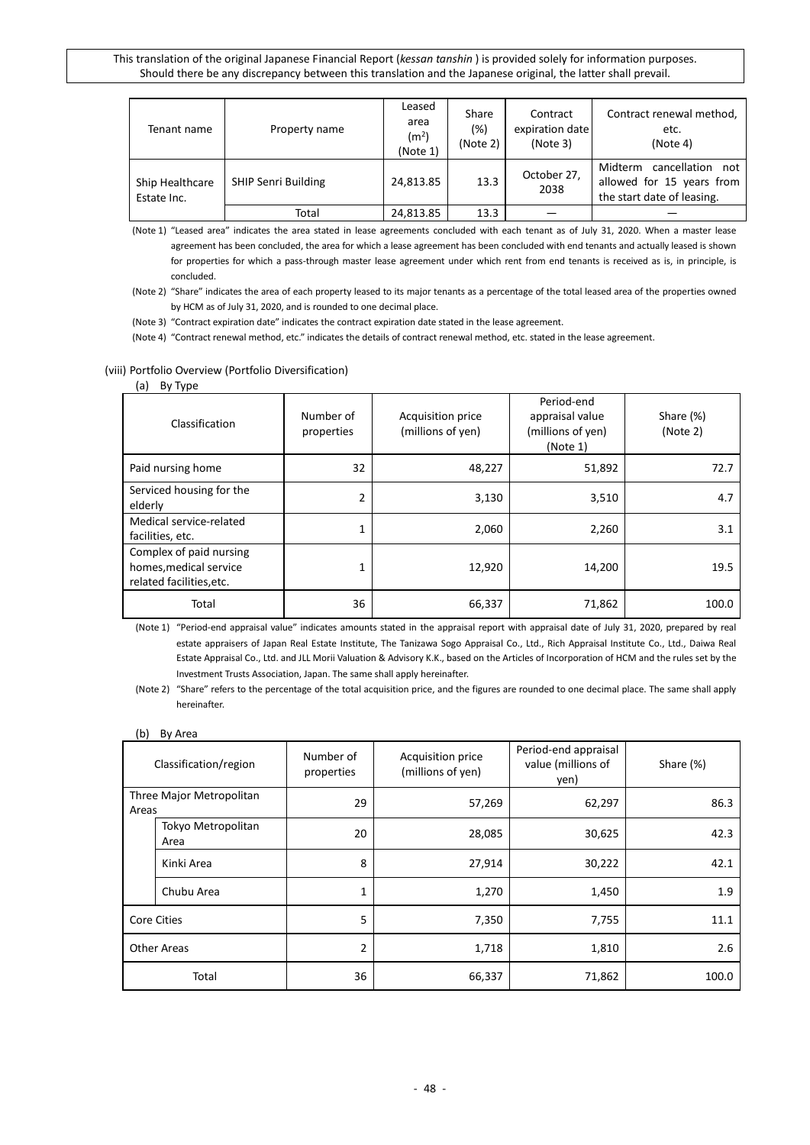| Tenant name                    | Property name              | Leased<br>area<br>(m <sup>2</sup> )<br>(Note 1) | Share<br>(%)<br>(Note 2) | Contract<br>expiration date<br>(Note 3) | Contract renewal method.<br>etc.<br>(Note 4)                                           |
|--------------------------------|----------------------------|-------------------------------------------------|--------------------------|-----------------------------------------|----------------------------------------------------------------------------------------|
| Ship Healthcare<br>Estate Inc. | <b>SHIP Senri Building</b> | 24,813.85                                       | 13.3                     | October 27,<br>2038                     | Midterm<br>cancellation not<br>allowed for 15 years from<br>the start date of leasing. |
|                                | Total                      | 24,813.85                                       | 13.3                     |                                         |                                                                                        |

(Note 1) "Leased area" indicates the area stated in lease agreements concluded with each tenant as of July 31, 2020. When a master lease agreement has been concluded, the area for which a lease agreement has been concluded with end tenants and actually leased is shown for properties for which a pass-through master lease agreement under which rent from end tenants is received as is, in principle, is concluded.

- (Note 2) "Share" indicates the area of each property leased to its major tenants as a percentage of the total leased area of the properties owned by HCM as of July 31, 2020, and is rounded to one decimal place.
- (Note 3) "Contract expiration date" indicates the contract expiration date stated in the lease agreement.

(Note 4) "Contract renewal method, etc." indicates the details of contract renewal method, etc. stated in the lease agreement.

#### (viii) Portfolio Overview (Portfolio Diversification)

#### (a) By Type

| . .<br>Classification                                                         | Number of<br>properties | Acquisition price<br>(millions of yen) | Period-end<br>appraisal value<br>(millions of yen)<br>(Note 1) | Share (%)<br>(Note 2) |
|-------------------------------------------------------------------------------|-------------------------|----------------------------------------|----------------------------------------------------------------|-----------------------|
| Paid nursing home                                                             | 32                      | 48,227                                 | 51,892                                                         | 72.7                  |
| Serviced housing for the<br>elderly                                           | $\overline{2}$          | 3,130                                  | 3,510                                                          | 4.7                   |
| Medical service-related<br>facilities, etc.                                   | 1                       | 2,060                                  | 2,260                                                          | 3.1                   |
| Complex of paid nursing<br>homes, medical service<br>related facilities, etc. | 1                       | 12,920                                 | 14,200                                                         | 19.5                  |
| Total                                                                         | 36                      | 66,337                                 | 71,862                                                         | 100.0                 |

(Note 1) "Period-end appraisal value" indicates amounts stated in the appraisal report with appraisal date of July 31, 2020, prepared by real estate appraisers of Japan Real Estate Institute, The Tanizawa Sogo Appraisal Co., Ltd., Rich Appraisal Institute Co., Ltd., Daiwa Real Estate Appraisal Co., Ltd. and JLL Morii Valuation & Advisory K.K., based on the Articles of Incorporation of HCM and the rules set by the Investment Trusts Association, Japan. The same shall apply hereinafter.

#### (b) By Area

| Classification/region             |                            | Number of<br>properties | Acquisition price<br>(millions of yen) | Period-end appraisal<br>value (millions of<br>yen) | Share (%) |
|-----------------------------------|----------------------------|-------------------------|----------------------------------------|----------------------------------------------------|-----------|
| Three Major Metropolitan<br>Areas |                            | 29                      | 57,269                                 | 62,297                                             | 86.3      |
|                                   | Tokyo Metropolitan<br>Area | 20                      | 28,085                                 | 30,625                                             | 42.3      |
|                                   | Kinki Area                 | 8                       | 27,914                                 | 30,222                                             | 42.1      |
|                                   | Chubu Area                 | $\mathbf{1}$            | 1,270                                  | 1,450                                              | 1.9       |
| <b>Core Cities</b>                |                            | 5                       | 7,350                                  | 7,755                                              | 11.1      |
| <b>Other Areas</b>                |                            | 2                       | 1,718                                  | 1,810                                              | 2.6       |
| Total                             |                            | 36                      | 66,337                                 | 71,862                                             | 100.0     |

<sup>(</sup>Note 2) "Share" refers to the percentage of the total acquisition price, and the figures are rounded to one decimal place. The same shall apply hereinafter.